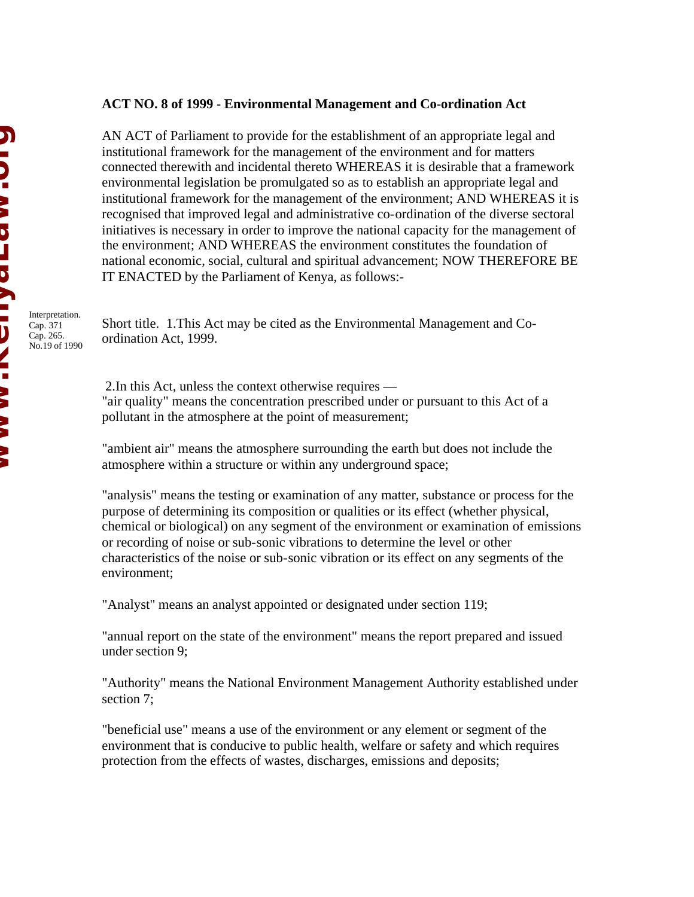## **ACT NO. 8 of 1999 - Environmental Management and Co-ordination Act**

AN ACT of Parliament to provide for the establishment of an appropriate legal and institutional framework for the management of the environment and for matters connected therewith and incidental thereto WHEREAS it is desirable that a framework environmental legislation be promulgated so as to establish an appropriate legal and institutional framework for the management of the environment; AND WHEREAS it is recognised that improved legal and administrative co-ordination of the diverse sectoral initiatives is necessary in order to improve the national capacity for the management of the environment; AND WHEREAS the environment constitutes the foundation of national economic, social, cultural and spiritual advancement; NOW THEREFORE BE IT ENACTED by the Parliament of Kenya, as follows:-

Interpretation. Cap. 371 Cap. 265. No.19 of 1990

Short title. 1.This Act may be cited as the Environmental Management and Coordination Act, 1999.

 2.In this Act, unless the context otherwise requires — "air quality" means the concentration prescribed under or pursuant to this Act of a pollutant in the atmosphere at the point of measurement;

"ambient air" means the atmosphere surrounding the earth but does not include the atmosphere within a structure or within any underground space;

"analysis" means the testing or examination of any matter, substance or process for the purpose of determining its composition or qualities or its effect (whether physical, chemical or biological) on any segment of the environment or examination of emissions or recording of noise or sub-sonic vibrations to determine the level or other characteristics of the noise or sub-sonic vibration or its effect on any segments of the environment;

"Analyst" means an analyst appointed or designated under section 119;

"annual report on the state of the environment" means the report prepared and issued under section 9;

"Authority" means the National Environment Management Authority established under section 7;

"beneficial use" means a use of the environment or any element or segment of the environment that is conducive to public health, welfare or safety and which requires protection from the effects of wastes, discharges, emissions and deposits;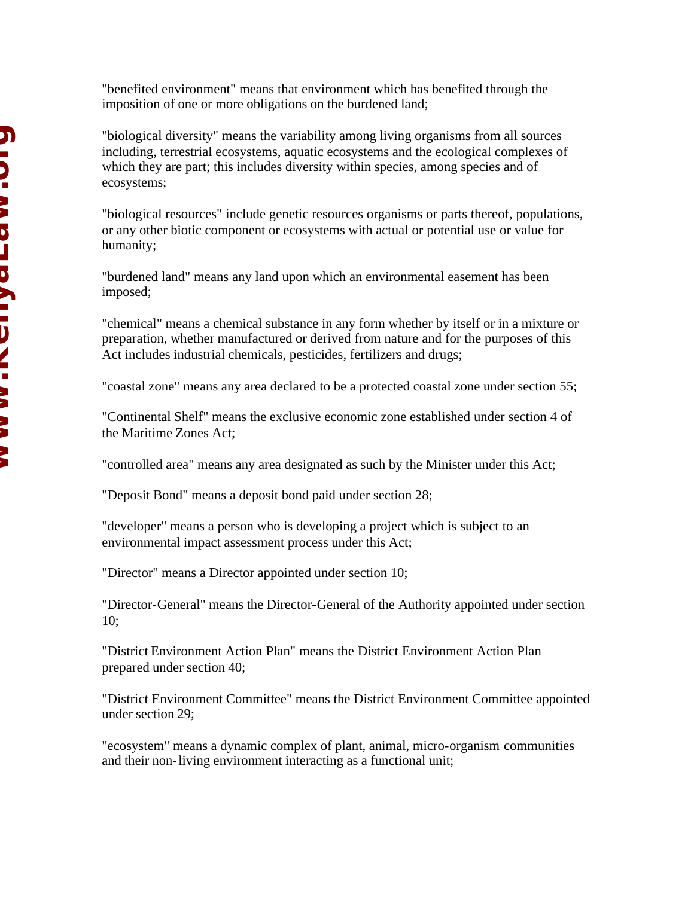"benefited environment" means that environment which has benefited through the imposition of one or more obligations on the burdened land;

"biological diversity" means the variability among living organisms from all sources including, terrestrial ecosystems, aquatic ecosystems and the ecological complexes of which they are part; this includes diversity within species, among species and of ecosystems;

"biological resources" include genetic resources organisms or parts thereof, populations, or any other biotic component or ecosystems with actual or potential use or value for humanity;

"burdened land" means any land upon which an environmental easement has been imposed;

"chemical" means a chemical substance in any form whether by itself or in a mixture or preparation, whether manufactured or derived from nature and for the purposes of this Act includes industrial chemicals, pesticides, fertilizers and drugs;

"coastal zone" means any area declared to be a protected coastal zone under section 55;

"Continental Shelf" means the exclusive economic zone established under section 4 of the Maritime Zones Act;

"controlled area" means any area designated as such by the Minister under this Act;

"Deposit Bond" means a deposit bond paid under section 28;

"developer" means a person who is developing a project which is subject to an environmental impact assessment process under this Act;

"Director" means a Director appointed under section 10;

"Director-General" means the Director-General of the Authority appointed under section 10;

"District Environment Action Plan" means the District Environment Action Plan prepared under section 40;

"District Environment Committee" means the District Environment Committee appointed under section 29;

"ecosystem" means a dynamic complex of plant, animal, micro-organism communities and their non-living environment interacting as a functional unit;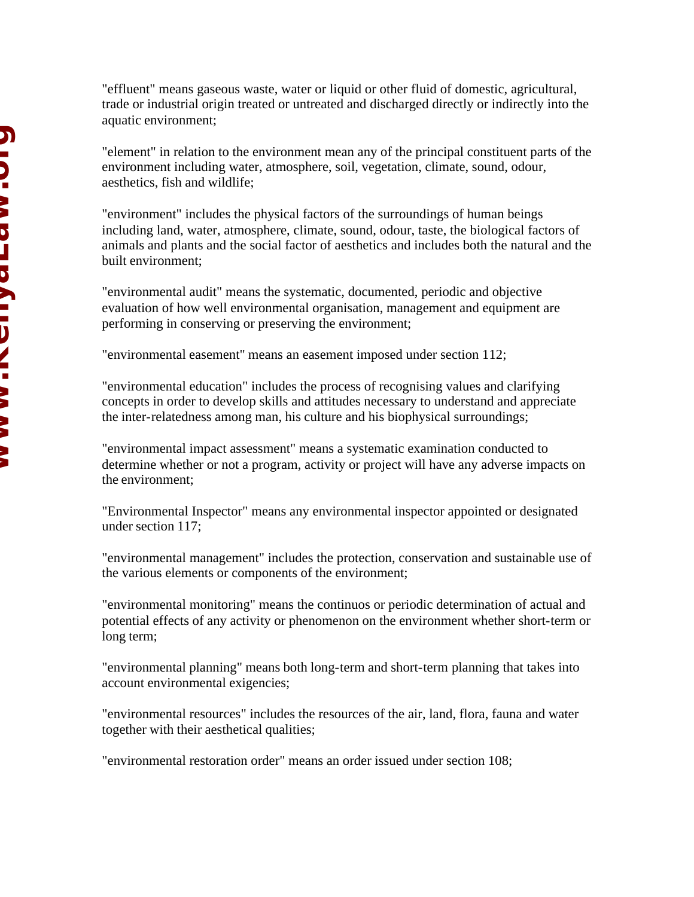"effluent" means gaseous waste, water or liquid or other fluid of domestic, agricultural, trade or industrial origin treated or untreated and discharged directly or indirectly into the aquatic environment;

"element" in relation to the environment mean any of the principal constituent parts of the environment including water, atmosphere, soil, vegetation, climate, sound, odour, aesthetics, fish and wildlife;

"environment" includes the physical factors of the surroundings of human beings including land, water, atmosphere, climate, sound, odour, taste, the biological factors of animals and plants and the social factor of aesthetics and includes both the natural and the built environment;

"environmental audit" means the systematic, documented, periodic and objective evaluation of how well environmental organisation, management and equipment are performing in conserving or preserving the environment;

"environmental easement" means an easement imposed under section 112;

"environmental education" includes the process of recognising values and clarifying concepts in order to develop skills and attitudes necessary to understand and appreciate the inter-relatedness among man, his culture and his biophysical surroundings;

"environmental impact assessment" means a systematic examination conducted to determine whether or not a program, activity or project will have any adverse impacts on the environment;

"Environmental Inspector" means any environmental inspector appointed or designated under section 117;

"environmental management" includes the protection, conservation and sustainable use of the various elements or components of the environment;

"environmental monitoring" means the continuos or periodic determination of actual and potential effects of any activity or phenomenon on the environment whether short-term or long term;

"environmental planning" means both long-term and short-term planning that takes into account environmental exigencies;

"environmental resources" includes the resources of the air, land, flora, fauna and water together with their aesthetical qualities;

"environmental restoration order" means an order issued under section 108;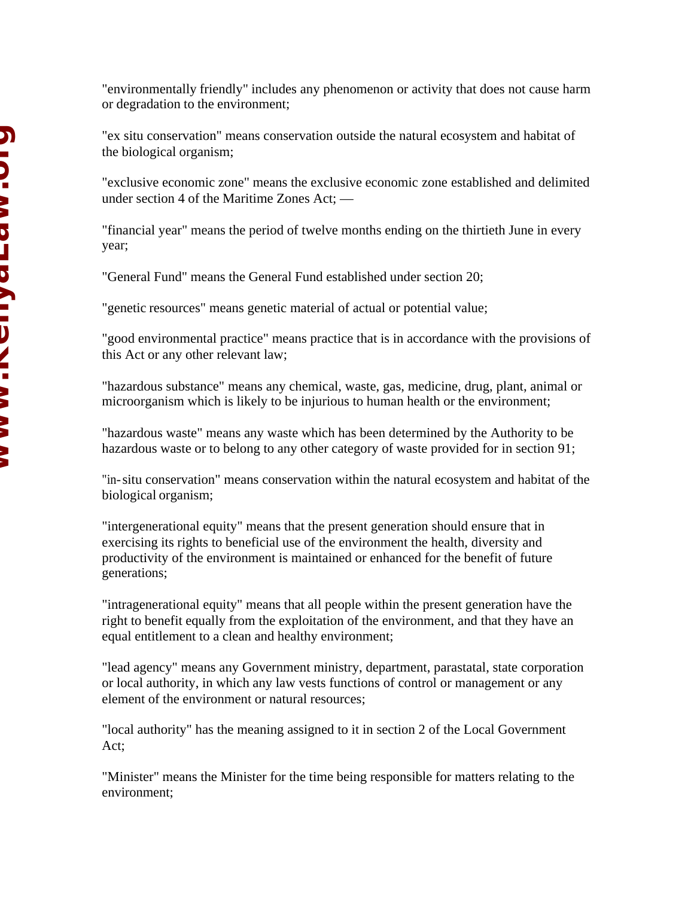"environmentally friendly" includes any phenomenon or activity that does not cause harm or degradation to the environment;

"ex situ conservation" means conservation outside the natural ecosystem and habitat of the biological organism;

"exclusive economic zone" means the exclusive economic zone established and delimited under section 4 of the Maritime Zones Act; —

"financial year" means the period of twelve months ending on the thirtieth June in every year;

"General Fund" means the General Fund established under section 20;

"genetic resources" means genetic material of actual or potential value;

"good environmental practice" means practice that is in accordance with the provisions of this Act or any other relevant law;

"hazardous substance" means any chemical, waste, gas, medicine, drug, plant, animal or microorganism which is likely to be injurious to human health or the environment;

"hazardous waste" means any waste which has been determined by the Authority to be hazardous waste or to belong to any other category of waste provided for in section 91;

"in-situ conservation" means conservation within the natural ecosystem and habitat of the biological organism;

"intergenerational equity" means that the present generation should ensure that in exercising its rights to beneficial use of the environment the health, diversity and productivity of the environment is maintained or enhanced for the benefit of future generations;

"intragenerational equity" means that all people within the present generation have the right to benefit equally from the exploitation of the environment, and that they have an equal entitlement to a clean and healthy environment;

"lead agency" means any Government ministry, department, parastatal, state corporation or local authority, in which any law vests functions of control or management or any element of the environment or natural resources;

"local authority" has the meaning assigned to it in section 2 of the Local Government Act;

"Minister" means the Minister for the time being responsible for matters relating to the environment;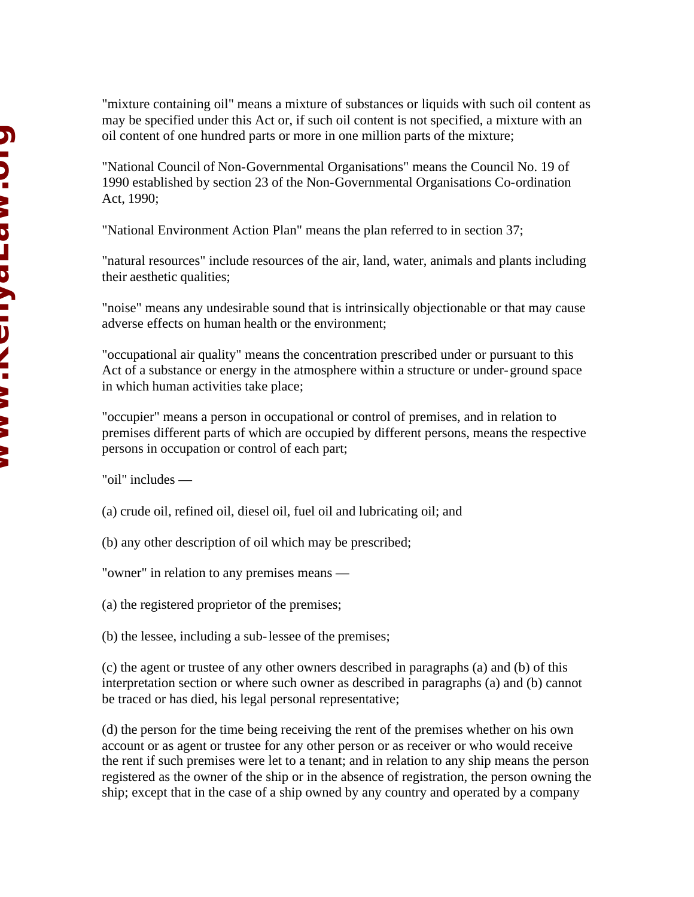"mixture containing oil" means a mixture of substances or liquids with such oil content as may be specified under this Act or, if such oil content is not specified, a mixture with an oil content of one hundred parts or more in one million parts of the mixture;

"National Council of Non-Governmental Organisations" means the Council No. 19 of 1990 established by section 23 of the Non-Governmental Organisations Co-ordination Act, 1990;

"National Environment Action Plan" means the plan referred to in section 37;

"natural resources" include resources of the air, land, water, animals and plants including their aesthetic qualities;

"noise" means any undesirable sound that is intrinsically objectionable or that may cause adverse effects on human health or the environment;

"occupational air quality" means the concentration prescribed under or pursuant to this Act of a substance or energy in the atmosphere within a structure or under-ground space in which human activities take place;

"occupier" means a person in occupational or control of premises, and in relation to premises different parts of which are occupied by different persons, means the respective persons in occupation or control of each part;

"oil" includes —

(a) crude oil, refined oil, diesel oil, fuel oil and lubricating oil; and

(b) any other description of oil which may be prescribed;

"owner" in relation to any premises means —

(a) the registered proprietor of the premises;

(b) the lessee, including a sub-lessee of the premises;

(c) the agent or trustee of any other owners described in paragraphs (a) and (b) of this interpretation section or where such owner as described in paragraphs (a) and (b) cannot be traced or has died, his legal personal representative;

(d) the person for the time being receiving the rent of the premises whether on his own account or as agent or trustee for any other person or as receiver or who would receive the rent if such premises were let to a tenant; and in relation to any ship means the person registered as the owner of the ship or in the absence of registration, the person owning the ship; except that in the case of a ship owned by any country and operated by a company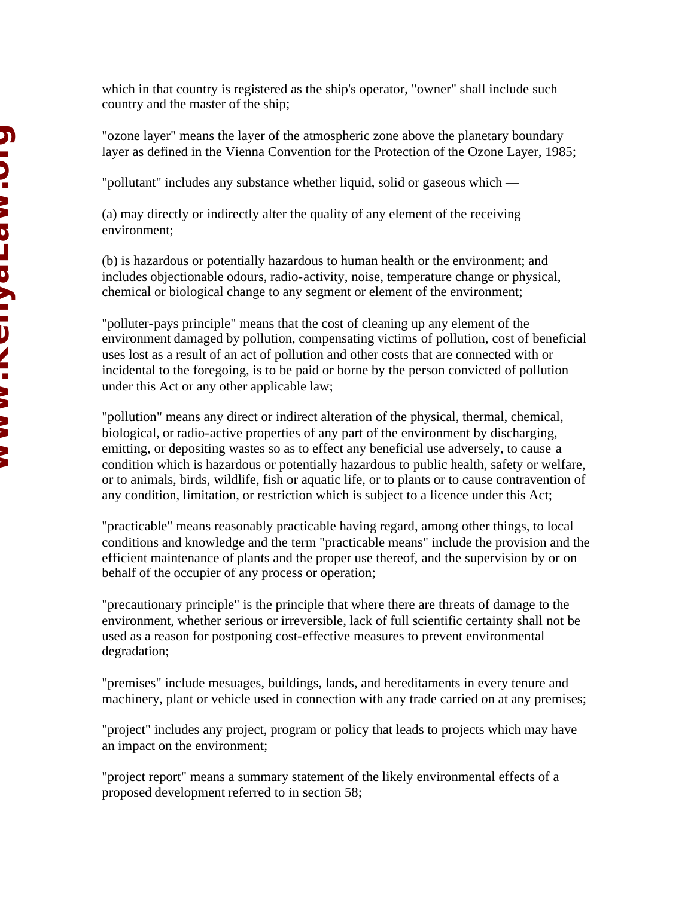which in that country is registered as the ship's operator, "owner" shall include such country and the master of the ship;

"ozone layer" means the layer of the atmospheric zone above the planetary boundary layer as defined in the Vienna Convention for the Protection of the Ozone Layer, 1985;

"pollutant" includes any substance whether liquid, solid or gaseous which —

(a) may directly or indirectly alter the quality of any element of the receiving environment;

(b) is hazardous or potentially hazardous to human health or the environment; and includes objectionable odours, radio-activity, noise, temperature change or physical, chemical or biological change to any segment or element of the environment;

"polluter-pays principle" means that the cost of cleaning up any element of the environment damaged by pollution, compensating victims of pollution, cost of beneficial uses lost as a result of an act of pollution and other costs that are connected with or incidental to the foregoing, is to be paid or borne by the person convicted of pollution under this Act or any other applicable law;

"pollution" means any direct or indirect alteration of the physical, thermal, chemical, biological, or radio-active properties of any part of the environment by discharging, emitting, or depositing wastes so as to effect any beneficial use adversely, to cause a condition which is hazardous or potentially hazardous to public health, safety or welfare, or to animals, birds, wildlife, fish or aquatic life, or to plants or to cause contravention of any condition, limitation, or restriction which is subject to a licence under this Act;

"practicable" means reasonably practicable having regard, among other things, to local conditions and knowledge and the term "practicable means" include the provision and the efficient maintenance of plants and the proper use thereof, and the supervision by or on behalf of the occupier of any process or operation;

"precautionary principle" is the principle that where there are threats of damage to the environment, whether serious or irreversible, lack of full scientific certainty shall not be used as a reason for postponing cost-effective measures to prevent environmental degradation;

"premises" include mesuages, buildings, lands, and hereditaments in every tenure and machinery, plant or vehicle used in connection with any trade carried on at any premises;

"project" includes any project, program or policy that leads to projects which may have an impact on the environment;

"project report" means a summary statement of the likely environmental effects of a proposed development referred to in section 58;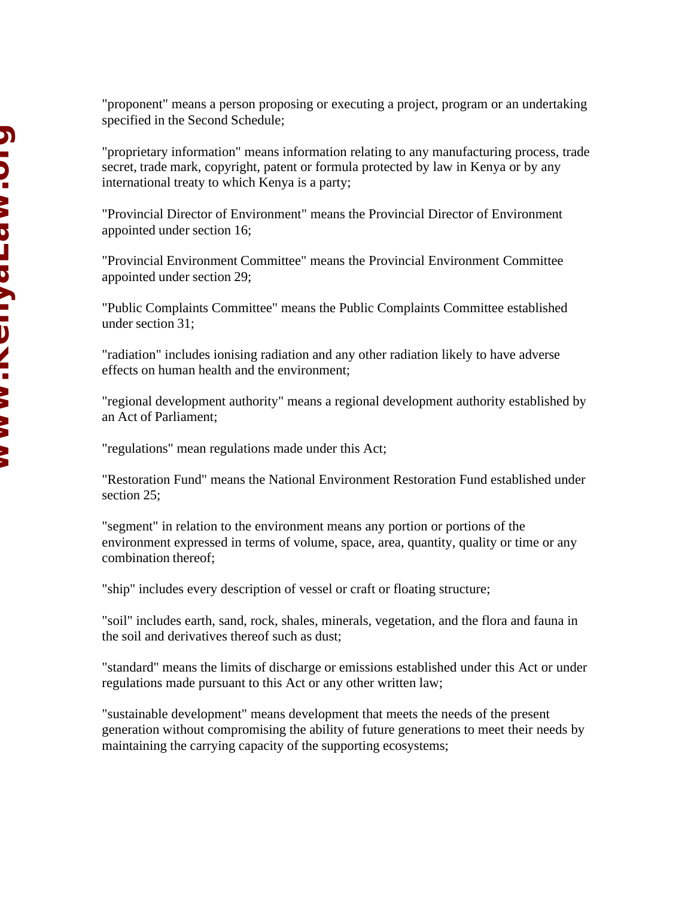"proponent" means a person proposing or executing a project, program or an undertaking specified in the Second Schedule;

"proprietary information" means information relating to any manufacturing process, trade secret, trade mark, copyright, patent or formula protected by law in Kenya or by any international treaty to which Kenya is a party;

"Provincial Director of Environment" means the Provincial Director of Environment appointed under section 16;

"Provincial Environment Committee" means the Provincial Environment Committee appointed under section 29;

"Public Complaints Committee" means the Public Complaints Committee established under section 31;

"radiation" includes ionising radiation and any other radiation likely to have adverse effects on human health and the environment;

"regional development authority" means a regional development authority established by an Act of Parliament;

"regulations" mean regulations made under this Act;

"Restoration Fund" means the National Environment Restoration Fund established under section 25;

"segment" in relation to the environment means any portion or portions of the environment expressed in terms of volume, space, area, quantity, quality or time or any combination thereof;

"ship" includes every description of vessel or craft or floating structure;

"soil" includes earth, sand, rock, shales, minerals, vegetation, and the flora and fauna in the soil and derivatives thereof such as dust;

"standard" means the limits of discharge or emissions established under this Act or under regulations made pursuant to this Act or any other written law;

"sustainable development" means development that meets the needs of the present generation without compromising the ability of future generations to meet their needs by maintaining the carrying capacity of the supporting ecosystems;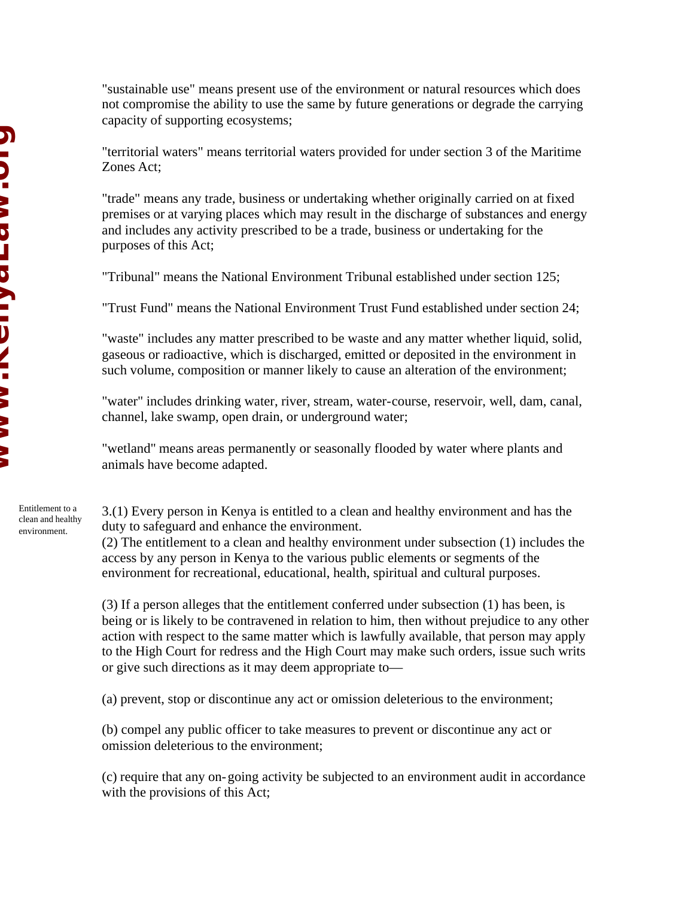"sustainable use" means present use of the environment or natural resources which does not compromise the ability to use the same by future generations or degrade the carrying capacity of supporting ecosystems;

"territorial waters" means territorial waters provided for under section 3 of the Maritime Zones Act;

"trade" means any trade, business or undertaking whether originally carried on at fixed premises or at varying places which may result in the discharge of substances and energy and includes any activity prescribed to be a trade, business or undertaking for the purposes of this Act;

"Tribunal" means the National Environment Tribunal established under section 125;

"Trust Fund" means the National Environment Trust Fund established under section 24;

"waste" includes any matter prescribed to be waste and any matter whether liquid, solid, gaseous or radioactive, which is discharged, emitted or deposited in the environment in such volume, composition or manner likely to cause an alteration of the environment;

"water" includes drinking water, river, stream, water-course, reservoir, well, dam, canal, channel, lake swamp, open drain, or underground water;

"wetland" means areas permanently or seasonally flooded by water where plants and animals have become adapted.

3.(1) Every person in Kenya is entitled to a clean and healthy environment and has the duty to safeguard and enhance the environment.

(2) The entitlement to a clean and healthy environment under subsection (1) includes the access by any person in Kenya to the various public elements or segments of the environment for recreational, educational, health, spiritual and cultural purposes.

(3) If a person alleges that the entitlement conferred under subsection (1) has been, is being or is likely to be contravened in relation to him, then without prejudice to any other action with respect to the same matter which is lawfully available, that person may apply to the High Court for redress and the High Court may make such orders, issue such writs or give such directions as it may deem appropriate to—

(a) prevent, stop or discontinue any act or omission deleterious to the environment;

(b) compel any public officer to take measures to prevent or discontinue any act or omission deleterious to the environment;

(c) require that any on-going activity be subjected to an environment audit in accordance with the provisions of this Act;

Entitlement to a clean and healthy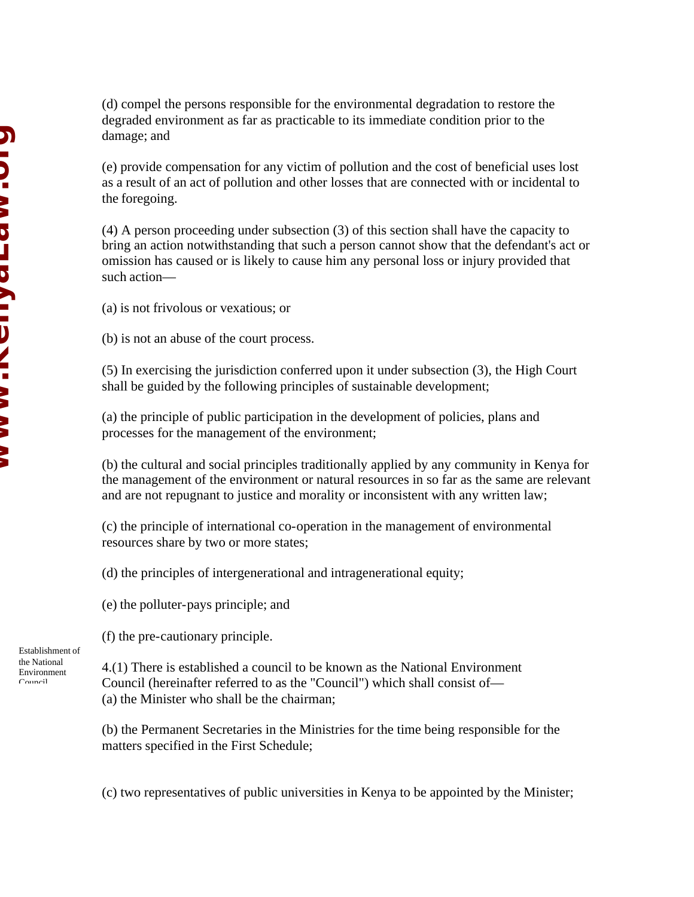(d) compel the persons responsible for the environmental degradation to restore the degraded environment as far as practicable to its immediate condition prior to the damage; and

(e) provide compensation for any victim of pollution and the cost of beneficial uses lost as a result of an act of pollution and other losses that are connected with or incidental to the foregoing.

(4) A person proceeding under subsection (3) of this section shall have the capacity to bring an action notwithstanding that such a person cannot show that the defendant's act or omission has caused or is likely to cause him any personal loss or injury provided that such action—

(a) is not frivolous or vexatious; or

(b) is not an abuse of the court process.

(5) In exercising the jurisdiction conferred upon it under subsection (3), the High Court shall be guided by the following principles of sustainable development;

(a) the principle of public participation in the development of policies, plans and processes for the management of the environment;

(b) the cultural and social principles traditionally applied by any community in Kenya for the management of the environment or natural resources in so far as the same are relevant and are not repugnant to justice and morality or inconsistent with any written law;

(c) the principle of international co-operation in the management of environmental resources share by two or more states;

(d) the principles of intergenerational and intragenerational equity;

(e) the polluter-pays principle; and

(f) the pre-cautionary principle.

4.(1) There is established a council to be known as the National Environment Council (hereinafter referred to as the "Council") which shall consist of— (a) the Minister who shall be the chairman;

(b) the Permanent Secretaries in the Ministries for the time being responsible for the matters specified in the First Schedule;

(c) two representatives of public universities in Kenya to be appointed by the Minister;

Establishment of the National Environment Council.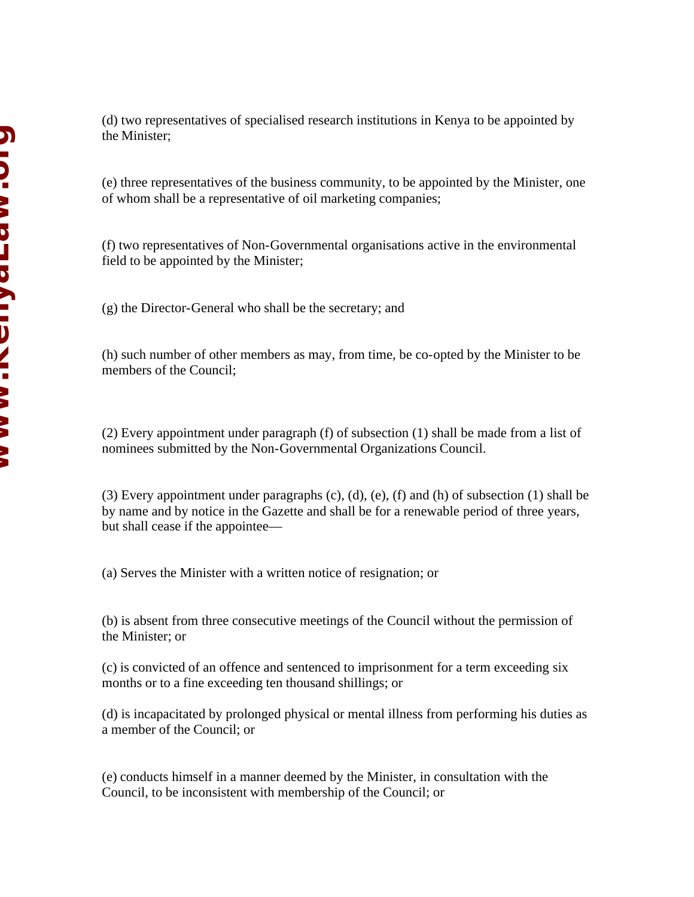(d) two representatives of specialised research institutions in Kenya to be appointed by the Minister;

(e) three representatives of the business community, to be appointed by the Minister, one of whom shall be a representative of oil marketing companies;

(f) two representatives of Non-Governmental organisations active in the environmental field to be appointed by the Minister;

(g) the Director-General who shall be the secretary; and

(h) such number of other members as may, from time, be co-opted by the Minister to be members of the Council;

(2) Every appointment under paragraph (f) of subsection (1) shall be made from a list of nominees submitted by the Non-Governmental Organizations Council.

(3) Every appointment under paragraphs (c), (d), (e), (f) and (h) of subsection (1) shall be by name and by notice in the Gazette and shall be for a renewable period of three years, but shall cease if the appointee—

(a) Serves the Minister with a written notice of resignation; or

(b) is absent from three consecutive meetings of the Council without the permission of the Minister; or

(c) is convicted of an offence and sentenced to imprisonment for a term exceeding six months or to a fine exceeding ten thousand shillings; or

(d) is incapacitated by prolonged physical or mental illness from performing his duties as a member of the Council; or

(e) conducts himself in a manner deemed by the Minister, in consultation with the Council, to be inconsistent with membership of the Council; or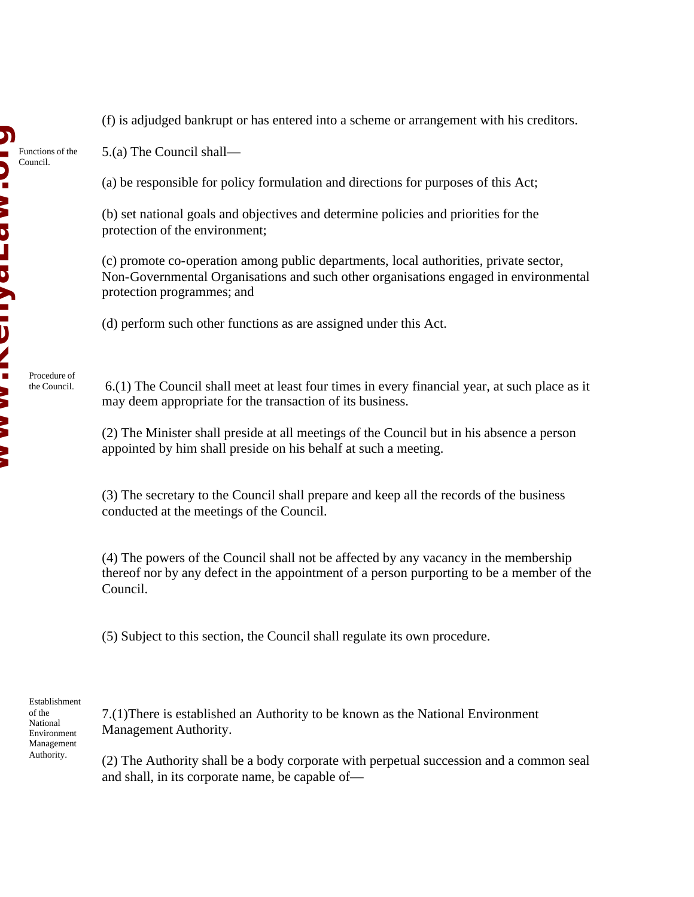5.(a) The Council shall—

(a) be responsible for policy formulation and directions for purposes of this Act;

(b) set national goals and objectives and determine policies and priorities for the protection of the environment;

(c) promote co-operation among public departments, local authorities, private sector, Non-Governmental Organisations and such other organisations engaged in environmental protection programmes; and

(d) perform such other functions as are assigned under this Act.

 6.(1) The Council shall meet at least four times in every financial year, at such place as it may deem appropriate for the transaction of its business.

(2) The Minister shall preside at all meetings of the Council but in his absence a person appointed by him shall preside on his behalf at such a meeting.

(3) The secretary to the Council shall prepare and keep all the records of the business conducted at the meetings of the Council.

(4) The powers of the Council shall not be affected by any vacancy in the membership thereof nor by any defect in the appointment of a person purporting to be a member of the Council.

(5) Subject to this section, the Council shall regulate its own procedure.

Establishment of the National Environment Management Authority.

7.(1)There is established an Authority to be known as the National Environment Management Authority.

(2) The Authority shall be a body corporate with perpetual succession and a common seal and shall, in its corporate name, be capable of—

Procedure of the Council.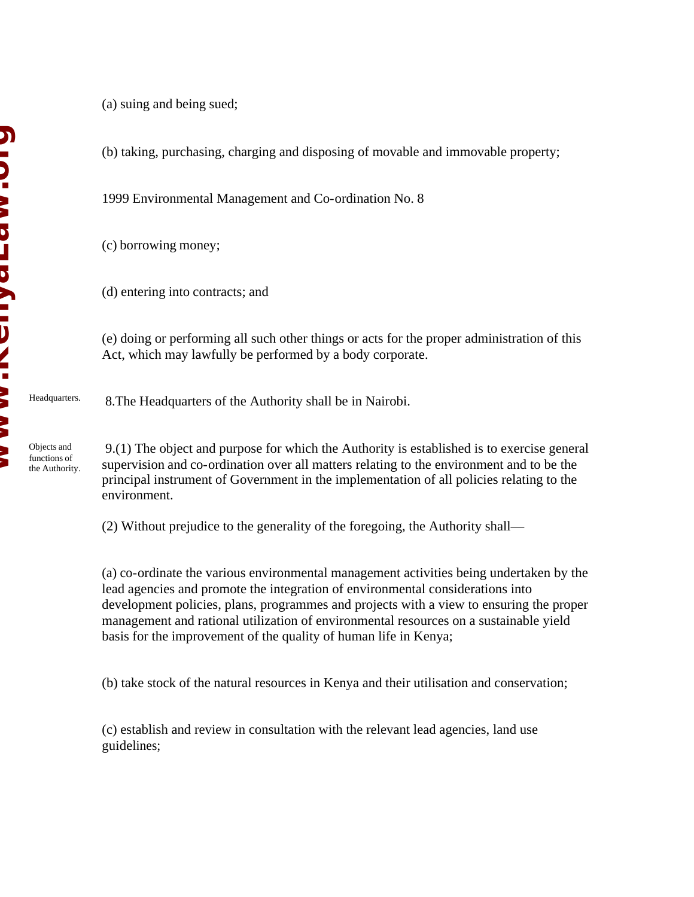Objects and functions of

the Authority.

(a) suing and being sued;

(b) taking, purchasing, charging and disposing of movable and immovable property;

1999 Environmental Management and Co-ordination No. 8

(c) borrowing money;

(d) entering into contracts; and

(e) doing or performing all such other things or acts for the proper administration of this Act, which may lawfully be performed by a body corporate.

 8.The Headquarters of the Authority shall be in Nairobi. Headquarters.

> 9.(1) The object and purpose for which the Authority is established is to exercise general supervision and co-ordination over all matters relating to the environment and to be the principal instrument of Government in the implementation of all policies relating to the environment.

(2) Without prejudice to the generality of the foregoing, the Authority shall—

(a) co-ordinate the various environmental management activities being undertaken by the lead agencies and promote the integration of environmental considerations into development policies, plans, programmes and projects with a view to ensuring the proper management and rational utilization of environmental resources on a sustainable yield basis for the improvement of the quality of human life in Kenya;

(b) take stock of the natural resources in Kenya and their utilisation and conservation;

(c) establish and review in consultation with the relevant lead agencies, land use guidelines;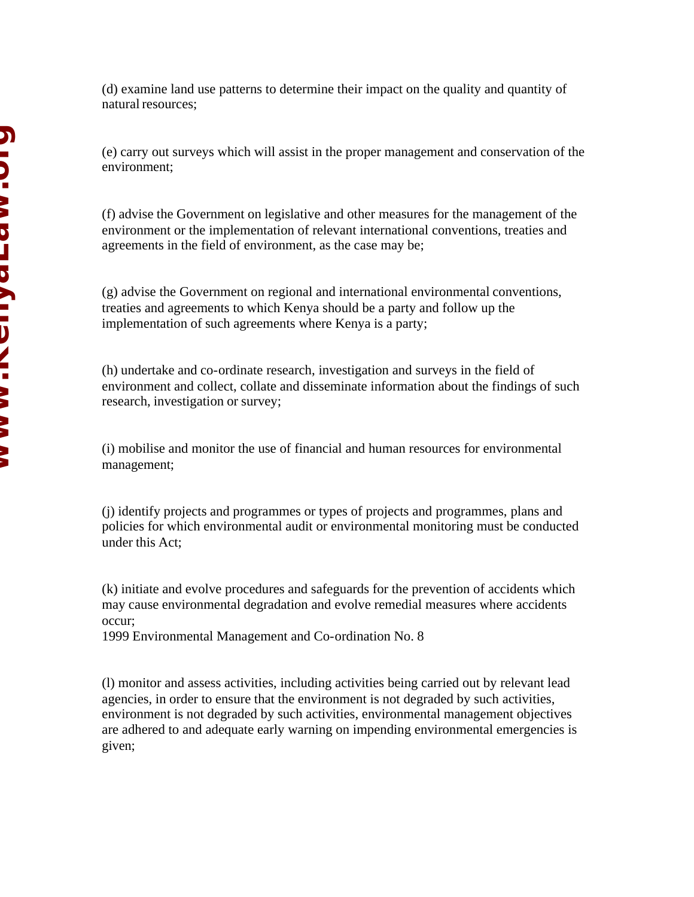(d) examine land use patterns to determine their impact on the quality and quantity of natural resources;

(e) carry out surveys which will assist in the proper management and conservation of the environment;

(f) advise the Government on legislative and other measures for the management of the environment or the implementation of relevant international conventions, treaties and agreements in the field of environment, as the case may be;

(g) advise the Government on regional and international environmental conventions, treaties and agreements to which Kenya should be a party and follow up the implementation of such agreements where Kenya is a party;

(h) undertake and co-ordinate research, investigation and surveys in the field of environment and collect, collate and disseminate information about the findings of such research, investigation or survey;

(i) mobilise and monitor the use of financial and human resources for environmental management;

(j) identify projects and programmes or types of projects and programmes, plans and policies for which environmental audit or environmental monitoring must be conducted under this Act;

(k) initiate and evolve procedures and safeguards for the prevention of accidents which may cause environmental degradation and evolve remedial measures where accidents occur;

1999 Environmental Management and Co-ordination No. 8

(l) monitor and assess activities, including activities being carried out by relevant lead agencies, in order to ensure that the environment is not degraded by such activities, environment is not degraded by such activities, environmental management objectives are adhered to and adequate early warning on impending environmental emergencies is given;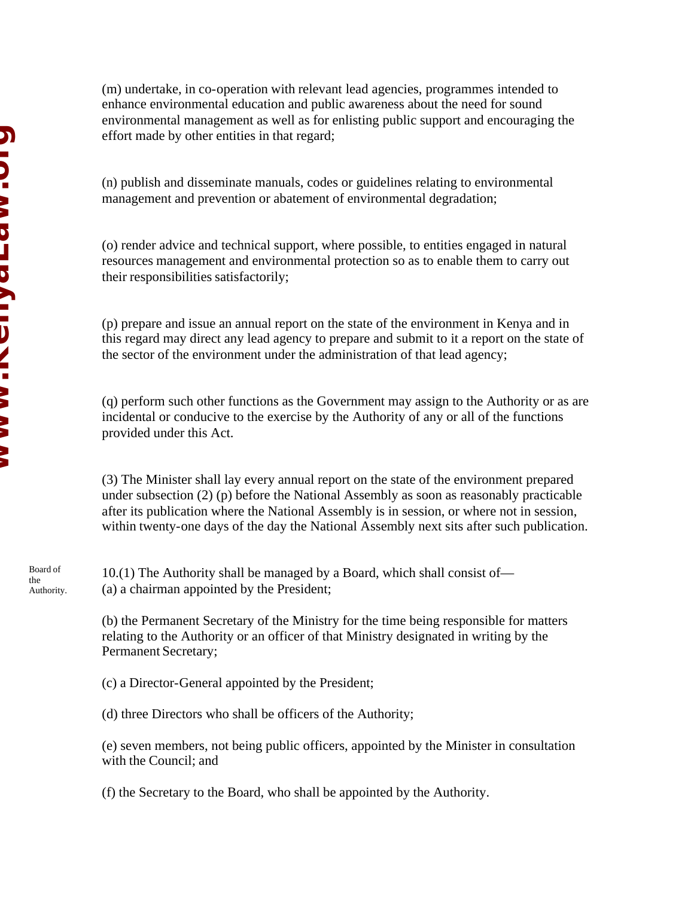(m) undertake, in co-operation with relevant lead agencies, programmes intended to enhance environmental education and public awareness about the need for sound environmental management as well as for enlisting public support and encouraging the effort made by other entities in that regard;

(n) publish and disseminate manuals, codes or guidelines relating to environmental management and prevention or abatement of environmental degradation;

(o) render advice and technical support, where possible, to entities engaged in natural resources management and environmental protection so as to enable them to carry out their responsibilities satisfactorily;

(p) prepare and issue an annual report on the state of the environment in Kenya and in this regard may direct any lead agency to prepare and submit to it a report on the state of the sector of the environment under the administration of that lead agency;

(q) perform such other functions as the Government may assign to the Authority or as are incidental or conducive to the exercise by the Authority of any or all of the functions provided under this Act.

(3) The Minister shall lay every annual report on the state of the environment prepared under subsection (2) (p) before the National Assembly as soon as reasonably practicable after its publication where the National Assembly is in session, or where not in session, within twenty-one days of the day the National Assembly next sits after such publication.

10.(1) The Authority shall be managed by a Board, which shall consist of— (a) a chairman appointed by the President;

(b) the Permanent Secretary of the Ministry for the time being responsible for matters relating to the Authority or an officer of that Ministry designated in writing by the Permanent Secretary;

(c) a Director-General appointed by the President;

(d) three Directors who shall be officers of the Authority;

(e) seven members, not being public officers, appointed by the Minister in consultation with the Council; and

(f) the Secretary to the Board, who shall be appointed by the Authority.

the Authority.

Board of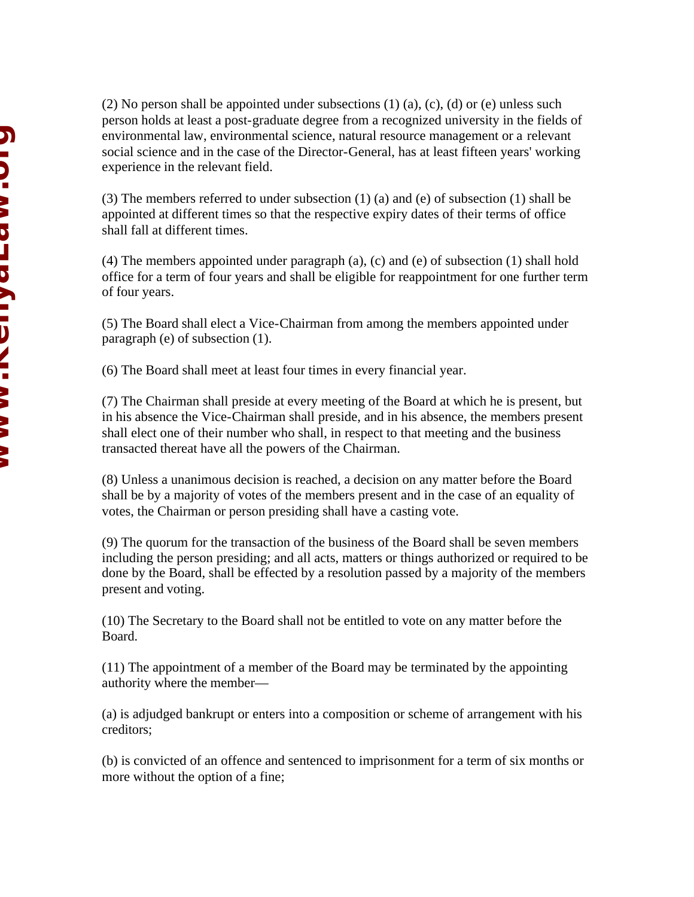(2) No person shall be appointed under subsections  $(1)$  (a),  $(c)$ ,  $(d)$  or  $(e)$  unless such person holds at least a post-graduate degree from a recognized university in the fields of environmental law, environmental science, natural resource management or a relevant social science and in the case of the Director-General, has at least fifteen years' working experience in the relevant field.

(3) The members referred to under subsection (1) (a) and (e) of subsection (1) shall be appointed at different times so that the respective expiry dates of their terms of office shall fall at different times.

(4) The members appointed under paragraph (a), (c) and (e) of subsection (1) shall hold office for a term of four years and shall be eligible for reappointment for one further term of four years.

(5) The Board shall elect a Vice-Chairman from among the members appointed under paragraph (e) of subsection (1).

(6) The Board shall meet at least four times in every financial year.

(7) The Chairman shall preside at every meeting of the Board at which he is present, but in his absence the Vice-Chairman shall preside, and in his absence, the members present shall elect one of their number who shall, in respect to that meeting and the business transacted thereat have all the powers of the Chairman.

(8) Unless a unanimous decision is reached, a decision on any matter before the Board shall be by a majority of votes of the members present and in the case of an equality of votes, the Chairman or person presiding shall have a casting vote.

(9) The quorum for the transaction of the business of the Board shall be seven members including the person presiding; and all acts, matters or things authorized or required to be done by the Board, shall be effected by a resolution passed by a majority of the members present and voting.

(10) The Secretary to the Board shall not be entitled to vote on any matter before the Board.

(11) The appointment of a member of the Board may be terminated by the appointing authority where the member—

(a) is adjudged bankrupt or enters into a composition or scheme of arrangement with his creditors;

(b) is convicted of an offence and sentenced to imprisonment for a term of six months or more without the option of a fine;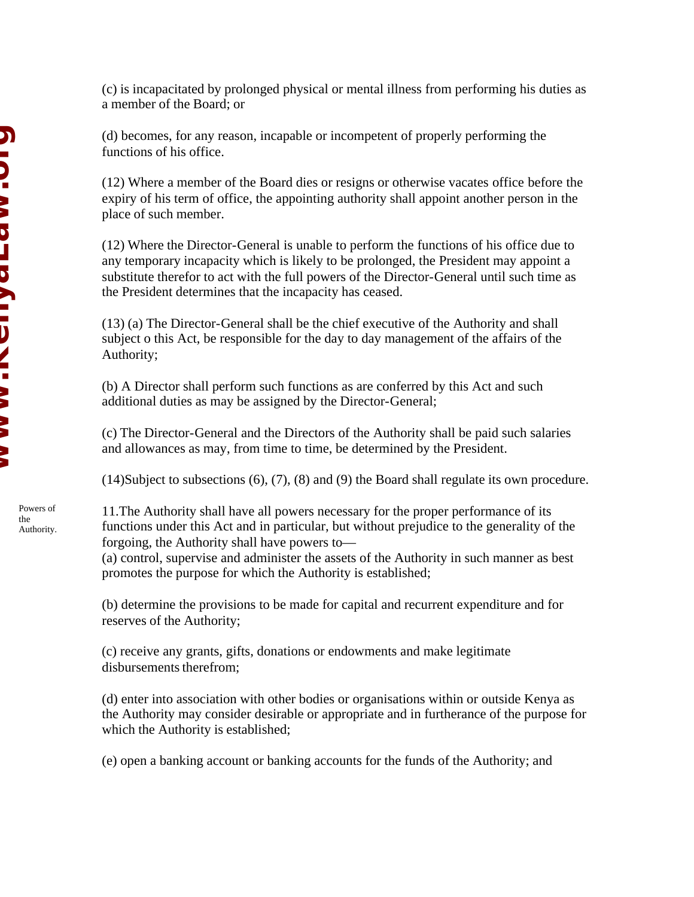(c) is incapacitated by prolonged physical or mental illness from performing his duties as a member of the Board; or

(d) becomes, for any reason, incapable or incompetent of properly performing the functions of his office.

(12) Where a member of the Board dies or resigns or otherwise vacates office before the expiry of his term of office, the appointing authority shall appoint another person in the place of such member.

(12) Where the Director-General is unable to perform the functions of his office due to any temporary incapacity which is likely to be prolonged, the President may appoint a substitute therefor to act with the full powers of the Director-General until such time as the President determines that the incapacity has ceased.

(13) (a) The Director-General shall be the chief executive of the Authority and shall subject o this Act, be responsible for the day to day management of the affairs of the Authority;

(b) A Director shall perform such functions as are conferred by this Act and such additional duties as may be assigned by the Director-General;

(c) The Director-General and the Directors of the Authority shall be paid such salaries and allowances as may, from time to time, be determined by the President.

(14)Subject to subsections (6), (7), (8) and (9) the Board shall regulate its own procedure.

11.The Authority shall have all powers necessary for the proper performance of its functions under this Act and in particular, but without prejudice to the generality of the forgoing, the Authority shall have powers to—

(a) control, supervise and administer the assets of the Authority in such manner as best promotes the purpose for which the Authority is established;

(b) determine the provisions to be made for capital and recurrent expenditure and for reserves of the Authority;

(c) receive any grants, gifts, donations or endowments and make legitimate disbursements therefrom;

(d) enter into association with other bodies or organisations within or outside Kenya as the Authority may consider desirable or appropriate and in furtherance of the purpose for which the Authority is established;

(e) open a banking account or banking accounts for the funds of the Authority; and

**Windows NID. >> Dコワ A I D/I >> >> >>**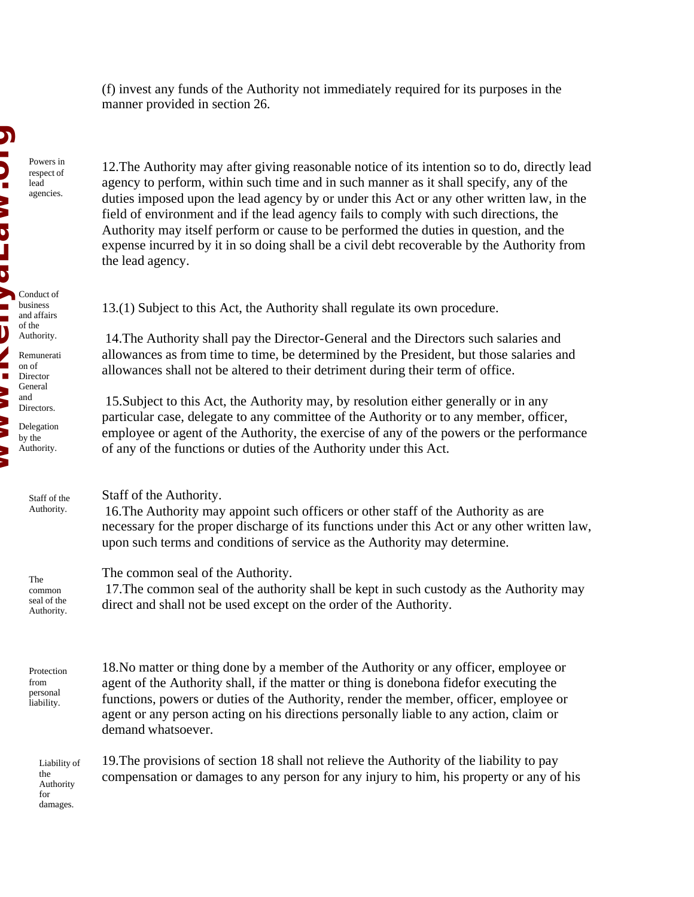(f) invest any funds of the Authority not immediately required for its purposes in the manner provided in section 26.

12.The Authority may after giving reasonable notice of its intention so to do, directly lead agency to perform, within such time and in such manner as it shall specify, any of the duties imposed upon the lead agency by or under this Act or any other written law, in the field of environment and if the lead agency fails to comply with such directions, the Authority may itself perform or cause to be performed the duties in question, and the expense incurred by it in so doing shall be a civil debt recoverable by the Authority from the lead agency.

13.(1) Subject to this Act, the Authority shall regulate its own procedure.

 14.The Authority shall pay the Director-General and the Directors such salaries and allowances as from time to time, be determined by the President, but those salaries and allowances shall not be altered to their detriment during their term of office.

 15.Subject to this Act, the Authority may, by resolution either generally or in any particular case, delegate to any committee of the Authority or to any member, officer, employee or agent of the Authority, the exercise of any of the powers or the performance of any of the functions or duties of the Authority under this Act.

Staff of the Authority.

 16.The Authority may appoint such officers or other staff of the Authority as are necessary for the proper discharge of its functions under this Act or any other written law, upon such terms and conditions of service as the Authority may determine.

The common seal of the Authority.

 17.The common seal of the authority shall be kept in such custody as the Authority may direct and shall not be used except on the order of the Authority.

Protection from personal liability.

18.No matter or thing done by a member of the Authority or any officer, employee or agent of the Authority shall, if the matter or thing is donebona fidefor executing the functions, powers or duties of the Authority, render the member, officer, employee or agent or any person acting on his directions personally liable to any action, claim or demand whatsoever.

19.The provisions of section 18 shall not relieve the Authority of the liability to pay compensation or damages to any person for any injury to him, his property or any of his

Liability of the Authority for damages.

**Windows** N<br>D<br>U Conduct of business and affairs of the Authority. Remunerati on of Director General and Directors. Delegation by the Authority.

Powers in respect of lead agencies.

The common

seal of the Authority.

Staff of the Authority.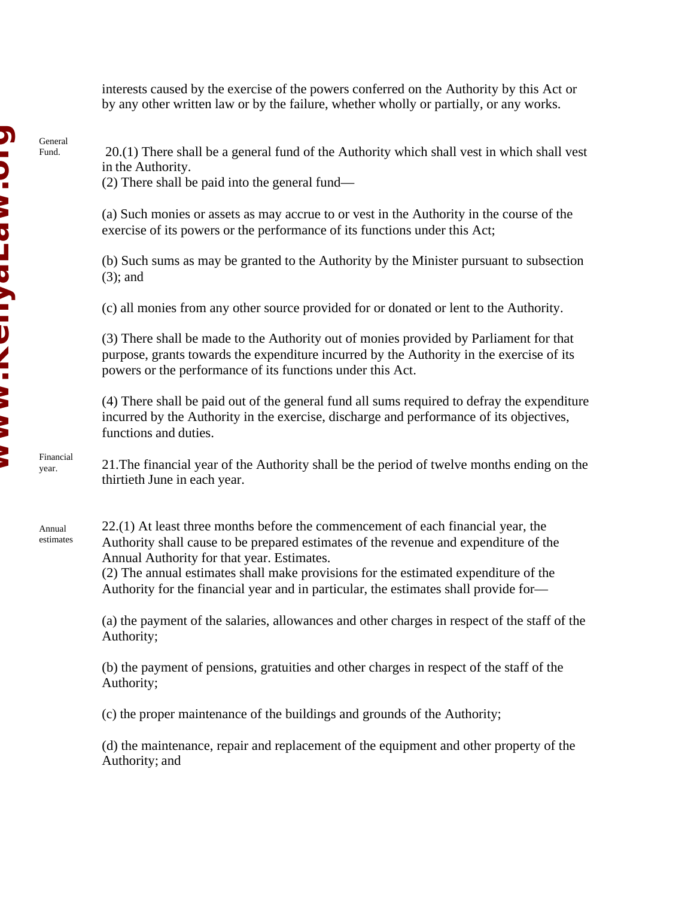interests caused by the exercise of the powers conferred on the Authority by this Act or by any other written law or by the failure, whether wholly or partially, or any works.

 20.(1) There shall be a general fund of the Authority which shall vest in which shall vest in the Authority.

(2) There shall be paid into the general fund—

(a) Such monies or assets as may accrue to or vest in the Authority in the course of the exercise of its powers or the performance of its functions under this Act;

(b) Such sums as may be granted to the Authority by the Minister pursuant to subsection (3); and

(c) all monies from any other source provided for or donated or lent to the Authority.

(3) There shall be made to the Authority out of monies provided by Parliament for that purpose, grants towards the expenditure incurred by the Authority in the exercise of its powers or the performance of its functions under this Act.

(4) There shall be paid out of the general fund all sums required to defray the expenditure incurred by the Authority in the exercise, discharge and performance of its objectives, functions and duties.

21.The financial year of the Authority shall be the period of twelve months ending on the thirtieth June in each year.

22.(1) At least three months before the commencement of each financial year, the Authority shall cause to be prepared estimates of the revenue and expenditure of the Annual Authority for that year. Estimates.

(2) The annual estimates shall make provisions for the estimated expenditure of the Authority for the financial year and in particular, the estimates shall provide for—

(a) the payment of the salaries, allowances and other charges in respect of the staff of the Authority;

(b) the payment of pensions, gratuities and other charges in respect of the staff of the Authority;

(c) the proper maintenance of the buildings and grounds of the Authority;

(d) the maintenance, repair and replacement of the equipment and other property of the Authority; and

General Fund.

Financial year.

Annual estimates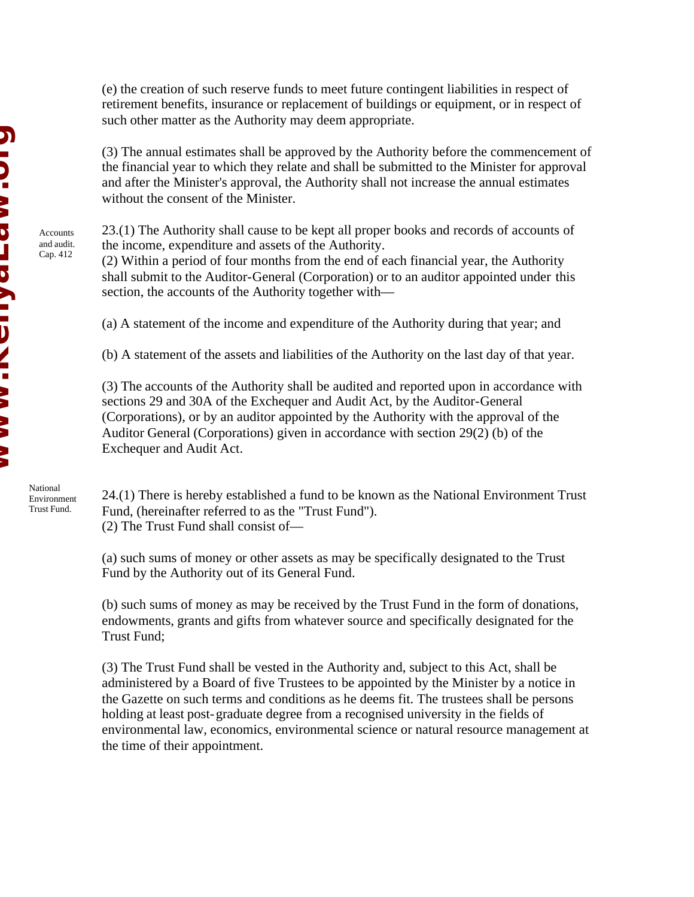(e) the creation of such reserve funds to meet future contingent liabilities in respect of retirement benefits, insurance or replacement of buildings or equipment, or in respect of such other matter as the Authority may deem appropriate.

(3) The annual estimates shall be approved by the Authority before the commencement of the financial year to which they relate and shall be submitted to the Minister for approval and after the Minister's approval, the Authority shall not increase the annual estimates without the consent of the Minister.

23.(1) The Authority shall cause to be kept all proper books and records of accounts of the income, expenditure and assets of the Authority.

(2) Within a period of four months from the end of each financial year, the Authority shall submit to the Auditor-General (Corporation) or to an auditor appointed under this section, the accounts of the Authority together with—

(a) A statement of the income and expenditure of the Authority during that year; and

(b) A statement of the assets and liabilities of the Authority on the last day of that year.

(3) The accounts of the Authority shall be audited and reported upon in accordance with sections 29 and 30A of the Exchequer and Audit Act, by the Auditor-General (Corporations), or by an auditor appointed by the Authority with the approval of the Auditor General (Corporations) given in accordance with section 29(2) (b) of the Exchequer and Audit Act.

24.(1) There is hereby established a fund to be known as the National Environment Trust Fund, (hereinafter referred to as the "Trust Fund"). (2) The Trust Fund shall consist of—

(a) such sums of money or other assets as may be specifically designated to the Trust Fund by the Authority out of its General Fund.

(b) such sums of money as may be received by the Trust Fund in the form of donations, endowments, grants and gifts from whatever source and specifically designated for the Trust Fund;

(3) The Trust Fund shall be vested in the Authority and, subject to this Act, shall be administered by a Board of five Trustees to be appointed by the Minister by a notice in the Gazette on such terms and conditions as he deems fit. The trustees shall be persons holding at least post-graduate degree from a recognised university in the fields of environmental law, economics, environmental science or natural resource management at the time of their appointment.

**Windows NID. >> DID AID. AID. ->> >>** 

> National Environment Trust Fund.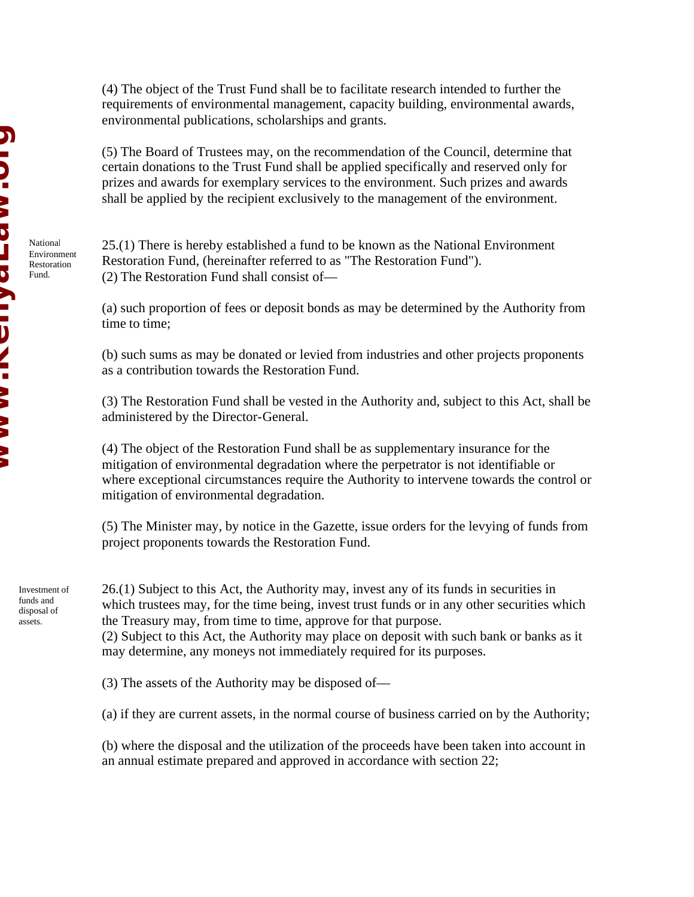National Environment Restoration Fund.

(4) The object of the Trust Fund shall be to facilitate research intended to further the requirements of environmental management, capacity building, environmental awards, environmental publications, scholarships and grants.

(5) The Board of Trustees may, on the recommendation of the Council, determine that certain donations to the Trust Fund shall be applied specifically and reserved only for prizes and awards for exemplary services to the environment. Such prizes and awards shall be applied by the recipient exclusively to the management of the environment.

25.(1) There is hereby established a fund to be known as the National Environment Restoration Fund, (hereinafter referred to as "The Restoration Fund"). (2) The Restoration Fund shall consist of—

(a) such proportion of fees or deposit bonds as may be determined by the Authority from time to time;

(b) such sums as may be donated or levied from industries and other projects proponents as a contribution towards the Restoration Fund.

(3) The Restoration Fund shall be vested in the Authority and, subject to this Act, shall be administered by the Director-General.

(4) The object of the Restoration Fund shall be as supplementary insurance for the mitigation of environmental degradation where the perpetrator is not identifiable or where exceptional circumstances require the Authority to intervene towards the control or mitigation of environmental degradation.

(5) The Minister may, by notice in the Gazette, issue orders for the levying of funds from project proponents towards the Restoration Fund.

Investment of funds and disposal of assets.

26.(1) Subject to this Act, the Authority may, invest any of its funds in securities in which trustees may, for the time being, invest trust funds or in any other securities which the Treasury may, from time to time, approve for that purpose.

(2) Subject to this Act, the Authority may place on deposit with such bank or banks as it may determine, any moneys not immediately required for its purposes.

(3) The assets of the Authority may be disposed of—

(a) if they are current assets, in the normal course of business carried on by the Authority;

(b) where the disposal and the utilization of the proceeds have been taken into account in an annual estimate prepared and approved in accordance with section 22;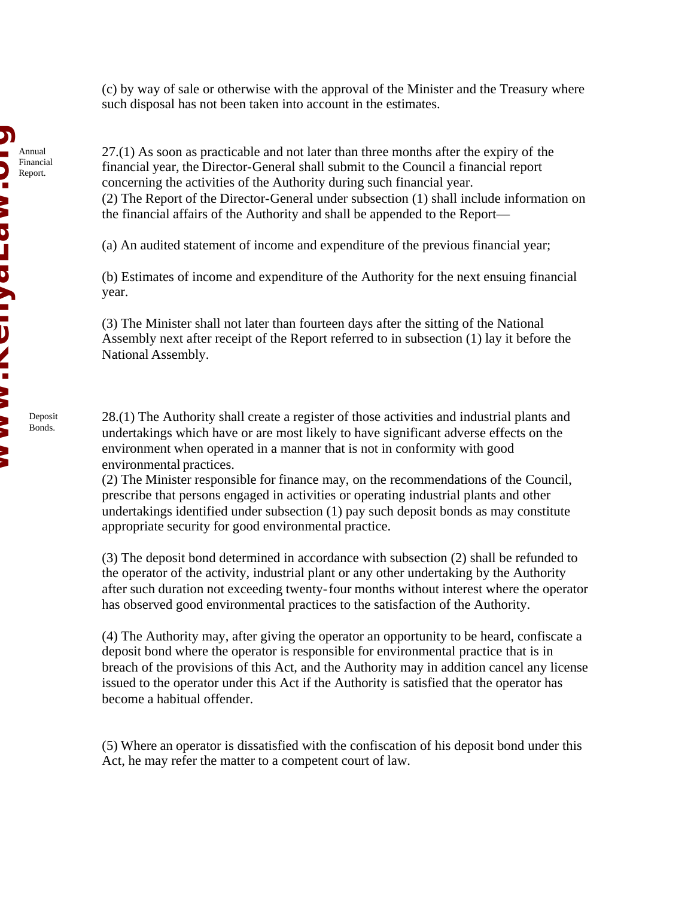(c) by way of sale or otherwise with the approval of the Minister and the Treasury where such disposal has not been taken into account in the estimates.

27.(1) As soon as practicable and not later than three months after the expiry of the financial year, the Director-General shall submit to the Council a financial report concerning the activities of the Authority during such financial year. (2) The Report of the Director-General under subsection (1) shall include information on the financial affairs of the Authority and shall be appended to the Report—

(a) An audited statement of income and expenditure of the previous financial year;

(b) Estimates of income and expenditure of the Authority for the next ensuing financial year.

(3) The Minister shall not later than fourteen days after the sitting of the National Assembly next after receipt of the Report referred to in subsection (1) lay it before the National Assembly.

28.(1) The Authority shall create a register of those activities and industrial plants and undertakings which have or are most likely to have significant adverse effects on the environment when operated in a manner that is not in conformity with good environmental practices.

(2) The Minister responsible for finance may, on the recommendations of the Council, prescribe that persons engaged in activities or operating industrial plants and other undertakings identified under subsection (1) pay such deposit bonds as may constitute appropriate security for good environmental practice.

(3) The deposit bond determined in accordance with subsection (2) shall be refunded to the operator of the activity, industrial plant or any other undertaking by the Authority after such duration not exceeding twenty-four months without interest where the operator has observed good environmental practices to the satisfaction of the Authority.

(4) The Authority may, after giving the operator an opportunity to be heard, confiscate a deposit bond where the operator is responsible for environmental practice that is in breach of the provisions of this Act, and the Authority may in addition cancel any license issued to the operator under this Act if the Authority is satisfied that the operator has become a habitual offender.

(5) Where an operator is dissatisfied with the confiscation of his deposit bond under this Act, he may refer the matter to a competent court of law.

Deposit Bonds.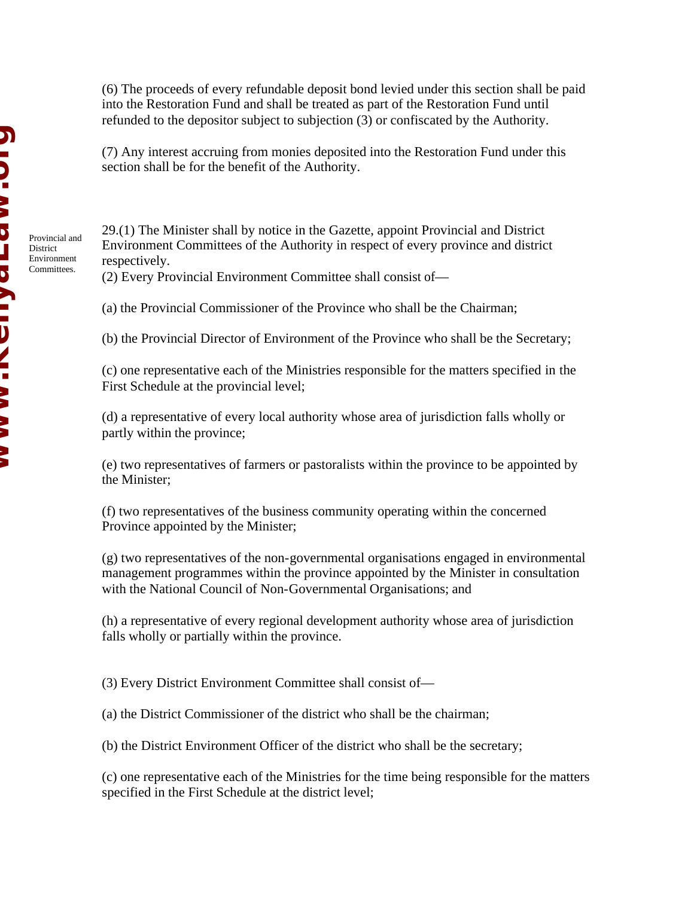Provincial and **District** Environment Committees.

(6) The proceeds of every refundable deposit bond levied under this section shall be paid into the Restoration Fund and shall be treated as part of the Restoration Fund until refunded to the depositor subject to subjection (3) or confiscated by the Authority.

(7) Any interest accruing from monies deposited into the Restoration Fund under this section shall be for the benefit of the Authority.

29.(1) The Minister shall by notice in the Gazette, appoint Provincial and District Environment Committees of the Authority in respect of every province and district respectively.

(2) Every Provincial Environment Committee shall consist of—

(a) the Provincial Commissioner of the Province who shall be the Chairman;

(b) the Provincial Director of Environment of the Province who shall be the Secretary;

(c) one representative each of the Ministries responsible for the matters specified in the First Schedule at the provincial level;

(d) a representative of every local authority whose area of jurisdiction falls wholly or partly within the province;

(e) two representatives of farmers or pastoralists within the province to be appointed by the Minister;

(f) two representatives of the business community operating within the concerned Province appointed by the Minister;

(g) two representatives of the non-governmental organisations engaged in environmental management programmes within the province appointed by the Minister in consultation with the National Council of Non-Governmental Organisations; and

(h) a representative of every regional development authority whose area of jurisdiction falls wholly or partially within the province.

(3) Every District Environment Committee shall consist of—

(a) the District Commissioner of the district who shall be the chairman;

(b) the District Environment Officer of the district who shall be the secretary;

(c) one representative each of the Ministries for the time being responsible for the matters specified in the First Schedule at the district level;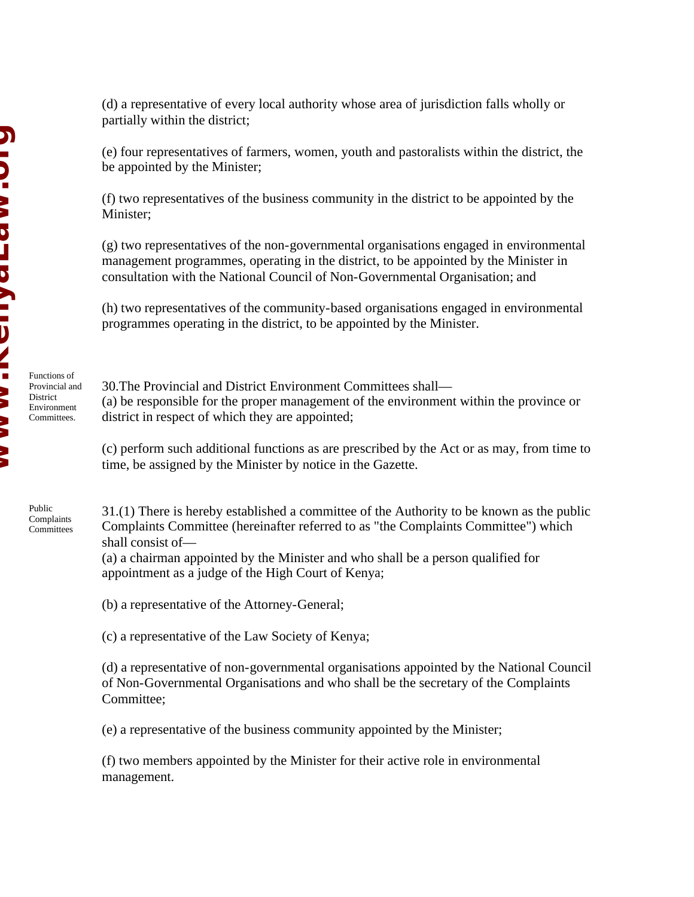Functions of Provincial and **District** Environment Committees.

Public Complaints **Committees**  (d) a representative of every local authority whose area of jurisdiction falls wholly or partially within the district;

(e) four representatives of farmers, women, youth and pastoralists within the district, the be appointed by the Minister;

(f) two representatives of the business community in the district to be appointed by the Minister:

(g) two representatives of the non-governmental organisations engaged in environmental management programmes, operating in the district, to be appointed by the Minister in consultation with the National Council of Non-Governmental Organisation; and

(h) two representatives of the community-based organisations engaged in environmental programmes operating in the district, to be appointed by the Minister.

30.The Provincial and District Environment Committees shall— (a) be responsible for the proper management of the environment within the province or district in respect of which they are appointed;

(c) perform such additional functions as are prescribed by the Act or as may, from time to time, be assigned by the Minister by notice in the Gazette.

31.(1) There is hereby established a committee of the Authority to be known as the public Complaints Committee (hereinafter referred to as "the Complaints Committee") which shall consist of—

(a) a chairman appointed by the Minister and who shall be a person qualified for appointment as a judge of the High Court of Kenya;

(b) a representative of the Attorney-General;

(c) a representative of the Law Society of Kenya;

(d) a representative of non-governmental organisations appointed by the National Council of Non-Governmental Organisations and who shall be the secretary of the Complaints Committee;

(e) a representative of the business community appointed by the Minister;

(f) two members appointed by the Minister for their active role in environmental management.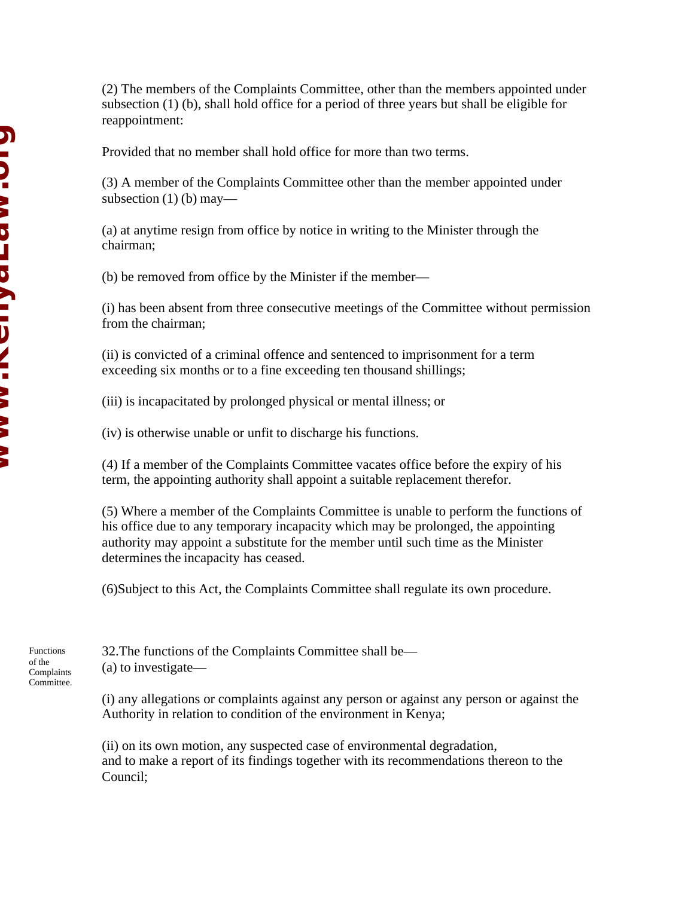(2) The members of the Complaints Committee, other than the members appointed under subsection (1) (b), shall hold office for a period of three years but shall be eligible for reappointment:

Provided that no member shall hold office for more than two terms.

(3) A member of the Complaints Committee other than the member appointed under subsection  $(1)$  (b) may—

(a) at anytime resign from office by notice in writing to the Minister through the chairman;

(b) be removed from office by the Minister if the member—

(i) has been absent from three consecutive meetings of the Committee without permission from the chairman;

(ii) is convicted of a criminal offence and sentenced to imprisonment for a term exceeding six months or to a fine exceeding ten thousand shillings;

(iii) is incapacitated by prolonged physical or mental illness; or

(iv) is otherwise unable or unfit to discharge his functions.

(4) If a member of the Complaints Committee vacates office before the expiry of his term, the appointing authority shall appoint a suitable replacement therefor.

(5) Where a member of the Complaints Committee is unable to perform the functions of his office due to any temporary incapacity which may be prolonged, the appointing authority may appoint a substitute for the member until such time as the Minister determines the incapacity has ceased.

(6)Subject to this Act, the Complaints Committee shall regulate its own procedure.

32.The functions of the Complaints Committee shall be— (a) to investigate—

(i) any allegations or complaints against any person or against any person or against the Authority in relation to condition of the environment in Kenya;

(ii) on its own motion, any suspected case of environmental degradation, and to make a report of its findings together with its recommendations thereon to the Council;

Functions of the Complaints Committee.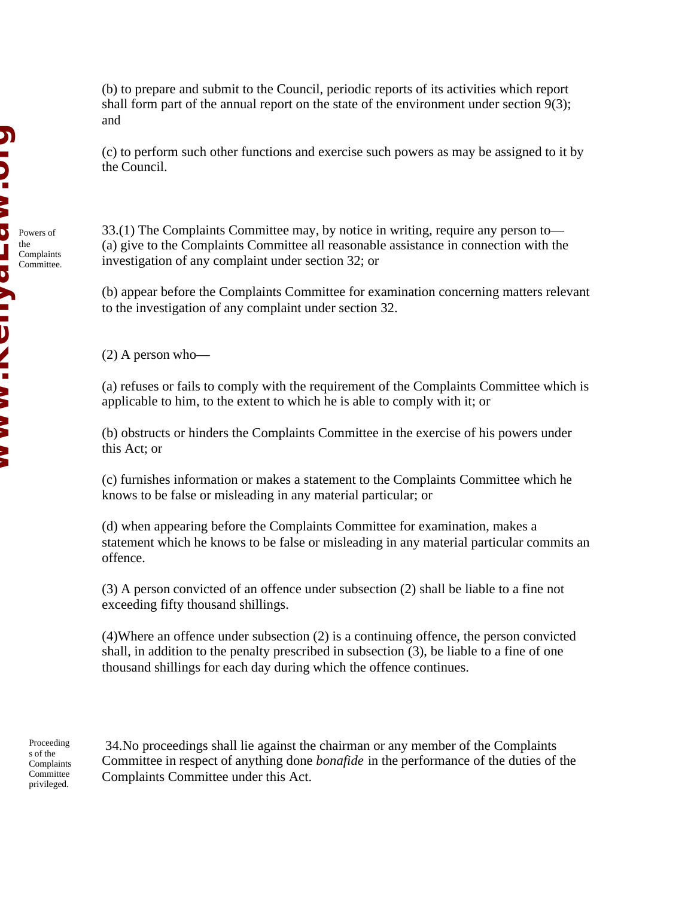(b) to prepare and submit to the Council, periodic reports of its activities which report shall form part of the annual report on the state of the environment under section 9(3); and

(c) to perform such other functions and exercise such powers as may be assigned to it by the Council.

33.(1) The Complaints Committee may, by notice in writing, require any person to— (a) give to the Complaints Committee all reasonable assistance in connection with the investigation of any complaint under section 32; or

(b) appear before the Complaints Committee for examination concerning matters relevant to the investigation of any complaint under section 32.

(2) A person who—

(a) refuses or fails to comply with the requirement of the Complaints Committee which is applicable to him, to the extent to which he is able to comply with it; or

(b) obstructs or hinders the Complaints Committee in the exercise of his powers under this Act; or

(c) furnishes information or makes a statement to the Complaints Committee which he knows to be false or misleading in any material particular; or

(d) when appearing before the Complaints Committee for examination, makes a statement which he knows to be false or misleading in any material particular commits an offence.

(3) A person convicted of an offence under subsection (2) shall be liable to a fine not exceeding fifty thousand shillings.

(4)Where an offence under subsection (2) is a continuing offence, the person convicted shall, in addition to the penalty prescribed in subsection (3), be liable to a fine of one thousand shillings for each day during which the offence continues.

Proceeding s of the Complaints **Committee** privileged.

 34.No proceedings shall lie against the chairman or any member of the Complaints Committee in respect of anything done *bonafide* in the performance of the duties of the Complaints Committee under this Act.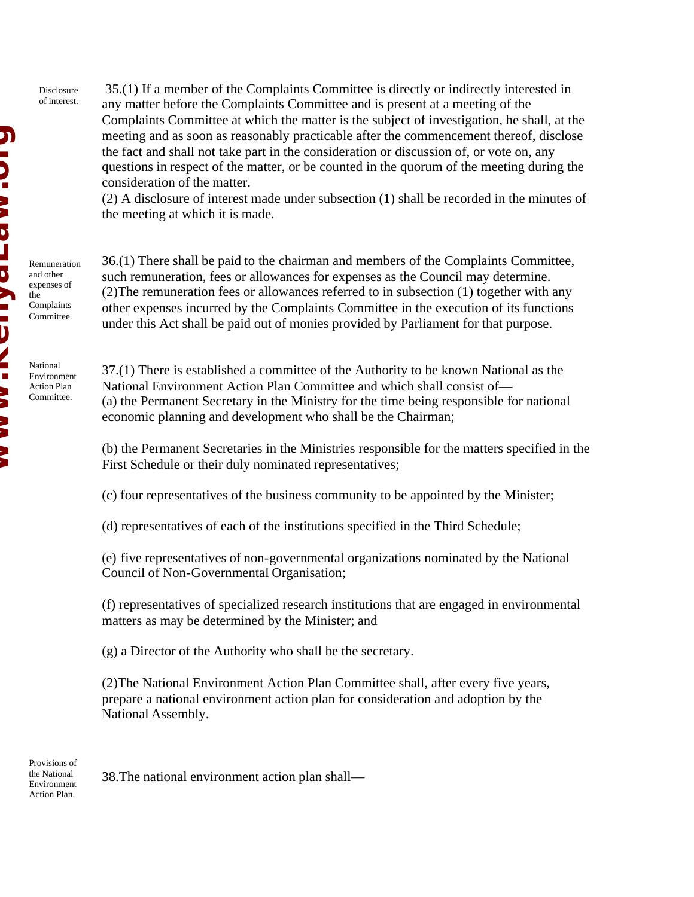Disclosure of interest.

 35.(1) If a member of the Complaints Committee is directly or indirectly interested in any matter before the Complaints Committee and is present at a meeting of the Complaints Committee at which the matter is the subject of investigation, he shall, at the meeting and as soon as reasonably practicable after the commencement thereof, disclose the fact and shall not take part in the consideration or discussion of, or vote on, any questions in respect of the matter, or be counted in the quorum of the meeting during the consideration of the matter.

(2) A disclosure of interest made under subsection (1) shall be recorded in the minutes of the meeting at which it is made.

Remuneration and other expenses of the Complaints Committee.

National Environment Action Plan Committee.

36.(1) There shall be paid to the chairman and members of the Complaints Committee, such remuneration, fees or allowances for expenses as the Council may determine. (2)The remuneration fees or allowances referred to in subsection (1) together with any other expenses incurred by the Complaints Committee in the execution of its functions under this Act shall be paid out of monies provided by Parliament for that purpose.

37.(1) There is established a committee of the Authority to be known National as the National Environment Action Plan Committee and which shall consist of— (a) the Permanent Secretary in the Ministry for the time being responsible for national economic planning and development who shall be the Chairman;

(b) the Permanent Secretaries in the Ministries responsible for the matters specified in the First Schedule or their duly nominated representatives;

(c) four representatives of the business community to be appointed by the Minister;

(d) representatives of each of the institutions specified in the Third Schedule;

(e) five representatives of non-governmental organizations nominated by the National Council of Non-Governmental Organisation;

(f) representatives of specialized research institutions that are engaged in environmental matters as may be determined by the Minister; and

(g) a Director of the Authority who shall be the secretary.

(2)The National Environment Action Plan Committee shall, after every five years, prepare a national environment action plan for consideration and adoption by the National Assembly.

Provisions of the National Environment Action Plan.

38.The national environment action plan shall—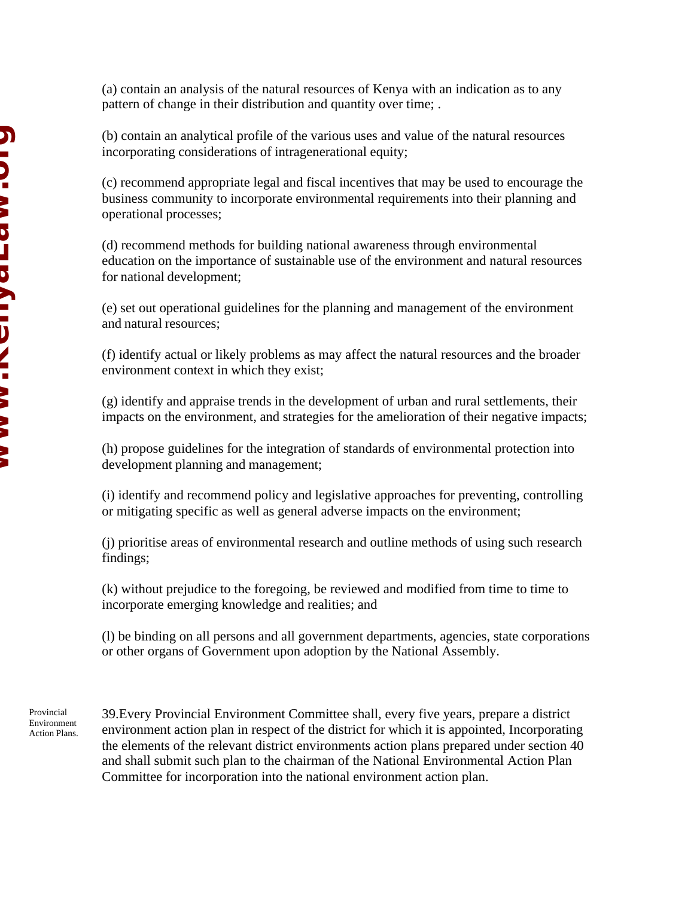(a) contain an analysis of the natural resources of Kenya with an indication as to any pattern of change in their distribution and quantity over time; .

(b) contain an analytical profile of the various uses and value of the natural resources incorporating considerations of intragenerational equity;

(c) recommend appropriate legal and fiscal incentives that may be used to encourage the business community to incorporate environmental requirements into their planning and operational processes;

(d) recommend methods for building national awareness through environmental education on the importance of sustainable use of the environment and natural resources for national development;

(e) set out operational guidelines for the planning and management of the environment and natural resources;

(f) identify actual or likely problems as may affect the natural resources and the broader environment context in which they exist;

(g) identify and appraise trends in the development of urban and rural settlements, their impacts on the environment, and strategies for the amelioration of their negative impacts;

(h) propose guidelines for the integration of standards of environmental protection into development planning and management;

(i) identify and recommend policy and legislative approaches for preventing, controlling or mitigating specific as well as general adverse impacts on the environment;

(j) prioritise areas of environmental research and outline methods of using such research findings;

(k) without prejudice to the foregoing, be reviewed and modified from time to time to incorporate emerging knowledge and realities; and

(l) be binding on all persons and all government departments, agencies, state corporations or other organs of Government upon adoption by the National Assembly.

Provincial Environment Action Plans. 39.Every Provincial Environment Committee shall, every five years, prepare a district environment action plan in respect of the district for which it is appointed, Incorporating the elements of the relevant district environments action plans prepared under section 40 and shall submit such plan to the chairman of the National Environmental Action Plan Committee for incorporation into the national environment action plan.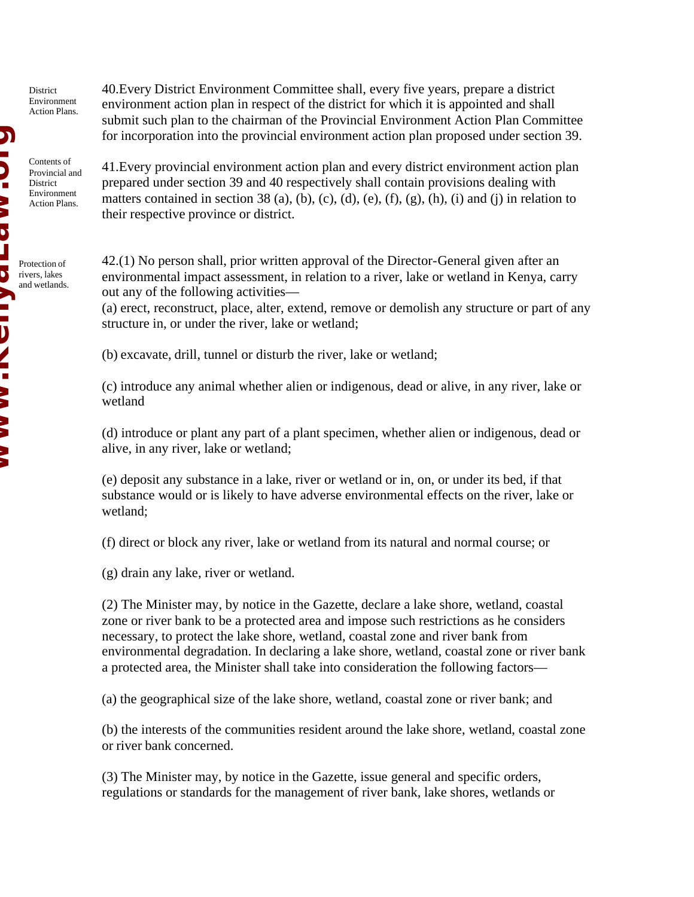District Environment Action Plans.

Contents of Provincial and District Environment Action Plans.

Protection of rivers, lakes and wetlands. 40.Every District Environment Committee shall, every five years, prepare a district environment action plan in respect of the district for which it is appointed and shall submit such plan to the chairman of the Provincial Environment Action Plan Committee for incorporation into the provincial environment action plan proposed under section 39.

41.Every provincial environment action plan and every district environment action plan prepared under section 39 and 40 respectively shall contain provisions dealing with matters contained in section 38 (a), (b), (c), (d), (e), (f), (g), (h), (i) and (j) in relation to their respective province or district.

42.(1) No person shall, prior written approval of the Director-General given after an environmental impact assessment, in relation to a river, lake or wetland in Kenya, carry out any of the following activities—

(a) erect, reconstruct, place, alter, extend, remove or demolish any structure or part of any structure in, or under the river, lake or wetland;

(b) excavate, drill, tunnel or disturb the river, lake or wetland;

(c) introduce any animal whether alien or indigenous, dead or alive, in any river, lake or wetland

(d) introduce or plant any part of a plant specimen, whether alien or indigenous, dead or alive, in any river, lake or wetland;

(e) deposit any substance in a lake, river or wetland or in, on, or under its bed, if that substance would or is likely to have adverse environmental effects on the river, lake or wetland;

(f) direct or block any river, lake or wetland from its natural and normal course; or

(g) drain any lake, river or wetland.

(2) The Minister may, by notice in the Gazette, declare a lake shore, wetland, coastal zone or river bank to be a protected area and impose such restrictions as he considers necessary, to protect the lake shore, wetland, coastal zone and river bank from environmental degradation. In declaring a lake shore, wetland, coastal zone or river bank a protected area, the Minister shall take into consideration the following factors—

(a) the geographical size of the lake shore, wetland, coastal zone or river bank; and

(b) the interests of the communities resident around the lake shore, wetland, coastal zone or river bank concerned.

(3) The Minister may, by notice in the Gazette, issue general and specific orders, regulations or standards for the management of river bank, lake shores, wetlands or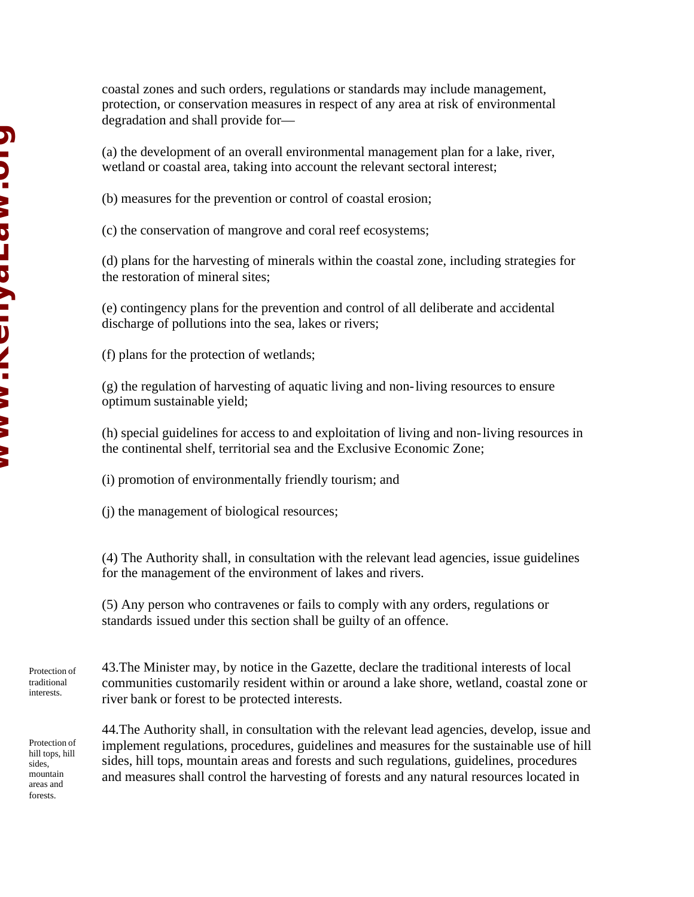coastal zones and such orders, regulations or standards may include management, protection, or conservation measures in respect of any area at risk of environmental degradation and shall provide for—

(a) the development of an overall environmental management plan for a lake, river, wetland or coastal area, taking into account the relevant sectoral interest;

(b) measures for the prevention or control of coastal erosion;

(c) the conservation of mangrove and coral reef ecosystems;

(d) plans for the harvesting of minerals within the coastal zone, including strategies for the restoration of mineral sites;

(e) contingency plans for the prevention and control of all deliberate and accidental discharge of pollutions into the sea, lakes or rivers;

(f) plans for the protection of wetlands;

(g) the regulation of harvesting of aquatic living and non-living resources to ensure optimum sustainable yield;

(h) special guidelines for access to and exploitation of living and non-living resources in the continental shelf, territorial sea and the Exclusive Economic Zone;

(i) promotion of environmentally friendly tourism; and

(j) the management of biological resources;

(4) The Authority shall, in consultation with the relevant lead agencies, issue guidelines for the management of the environment of lakes and rivers.

(5) Any person who contravenes or fails to comply with any orders, regulations or standards issued under this section shall be guilty of an offence.

43.The Minister may, by notice in the Gazette, declare the traditional interests of local communities customarily resident within or around a lake shore, wetland, coastal zone or river bank or forest to be protected interests.

Protection of hill tops, hill sides, mountain areas and forests.

Protection of traditional interests.

> 44.The Authority shall, in consultation with the relevant lead agencies, develop, issue and implement regulations, procedures, guidelines and measures for the sustainable use of hill sides, hill tops, mountain areas and forests and such regulations, guidelines, procedures and measures shall control the harvesting of forests and any natural resources located in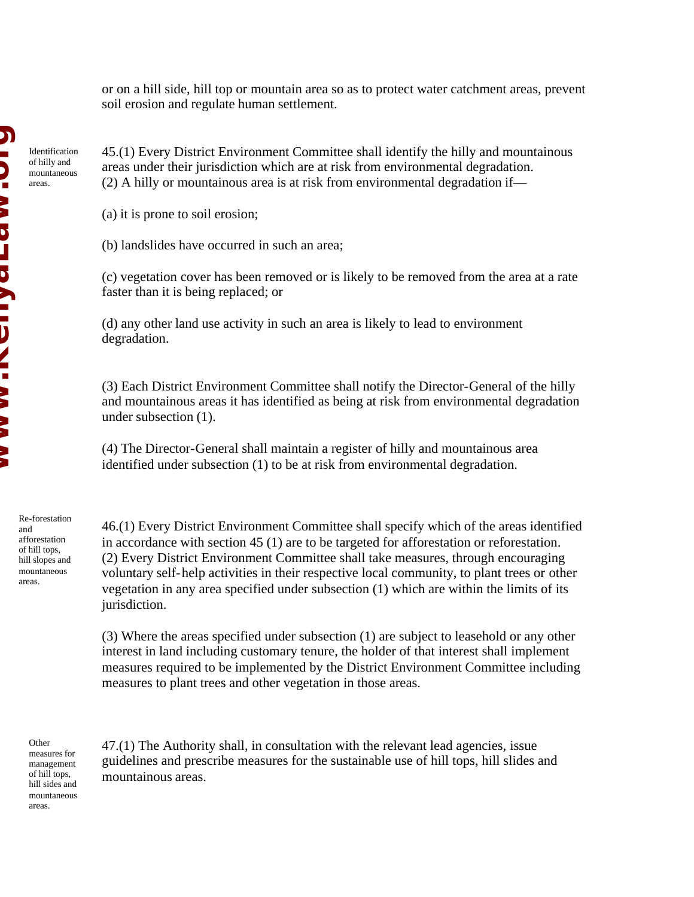or on a hill side, hill top or mountain area so as to protect water catchment areas, prevent soil erosion and regulate human settlement.

Identification of hilly and mountaneous areas.

45.(1) Every District Environment Committee shall identify the hilly and mountainous areas under their jurisdiction which are at risk from environmental degradation. (2) A hilly or mountainous area is at risk from environmental degradation if—

(a) it is prone to soil erosion;

(b) landslides have occurred in such an area;

(c) vegetation cover has been removed or is likely to be removed from the area at a rate faster than it is being replaced; or

(d) any other land use activity in such an area is likely to lead to environment degradation.

(3) Each District Environment Committee shall notify the Director-General of the hilly and mountainous areas it has identified as being at risk from environmental degradation under subsection (1).

(4) The Director-General shall maintain a register of hilly and mountainous area identified under subsection (1) to be at risk from environmental degradation.

Re-forestation and afforestation of hill tops, hill slopes and mountaneous areas.

46.(1) Every District Environment Committee shall specify which of the areas identified in accordance with section 45 (1) are to be targeted for afforestation or reforestation. (2) Every District Environment Committee shall take measures, through encouraging voluntary self-help activities in their respective local community, to plant trees or other vegetation in any area specified under subsection (1) which are within the limits of its jurisdiction.

(3) Where the areas specified under subsection (1) are subject to leasehold or any other interest in land including customary tenure, the holder of that interest shall implement measures required to be implemented by the District Environment Committee including measures to plant trees and other vegetation in those areas.

**Other** 

measures for management of hill tops, hill sides and mountaneous areas.

47.(1) The Authority shall, in consultation with the relevant lead agencies, issue guidelines and prescribe measures for the sustainable use of hill tops, hill slides and mountainous areas.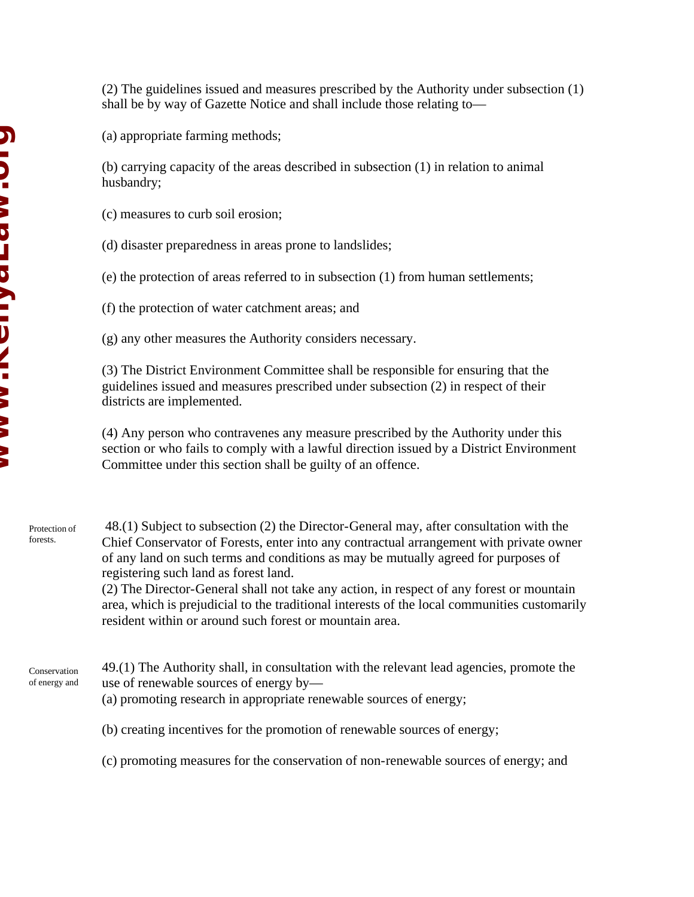(2) The guidelines issued and measures prescribed by the Authority under subsection (1) shall be by way of Gazette Notice and shall include those relating to—

(a) appropriate farming methods;

(b) carrying capacity of the areas described in subsection (1) in relation to animal husbandry;

(c) measures to curb soil erosion;

(d) disaster preparedness in areas prone to landslides;

(e) the protection of areas referred to in subsection (1) from human settlements;

(f) the protection of water catchment areas; and

(g) any other measures the Authority considers necessary.

(3) The District Environment Committee shall be responsible for ensuring that the guidelines issued and measures prescribed under subsection (2) in respect of their districts are implemented.

(4) Any person who contravenes any measure prescribed by the Authority under this section or who fails to comply with a lawful direction issued by a District Environment Committee under this section shall be guilty of an offence.

 48.(1) Subject to subsection (2) the Director-General may, after consultation with the Chief Conservator of Forests, enter into any contractual arrangement with private owner of any land on such terms and conditions as may be mutually agreed for purposes of registering such land as forest land. Protection of forests.

(2) The Director-General shall not take any action, in respect of any forest or mountain area, which is prejudicial to the traditional interests of the local communities customarily resident within or around such forest or mountain area.

49.(1) The Authority shall, in consultation with the relevant lead agencies, promote the use of renewable sources of energy by— Conservation of energy and

(a) promoting research in appropriate renewable sources of energy;

(b) creating incentives for the promotion of renewable sources of energy;

(c) promoting measures for the conservation of non-renewable sources of energy; and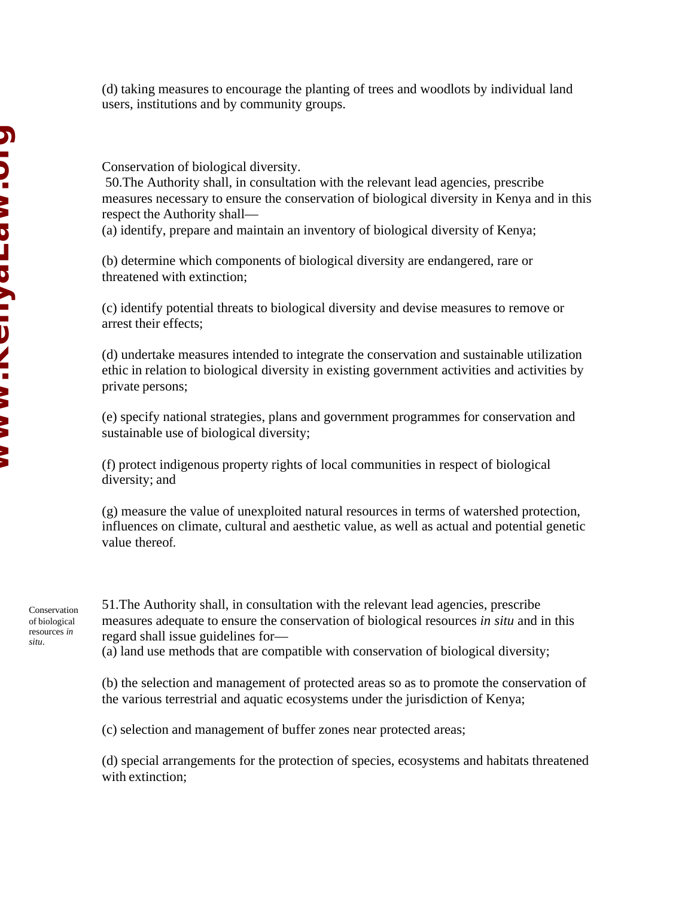(d) taking measures to encourage the planting of trees and woodlots by individual land users, institutions and by community groups.

Conservation of biological diversity.

 50.The Authority shall, in consultation with the relevant lead agencies, prescribe measures necessary to ensure the conservation of biological diversity in Kenya and in this respect the Authority shall—

(a) identify, prepare and maintain an inventory of biological diversity of Kenya;

(b) determine which components of biological diversity are endangered, rare or threatened with extinction;

(c) identify potential threats to biological diversity and devise measures to remove or arrest their effects;

(d) undertake measures intended to integrate the conservation and sustainable utilization ethic in relation to biological diversity in existing government activities and activities by private persons;

(e) specify national strategies, plans and government programmes for conservation and sustainable use of biological diversity;

(f) protect indigenous property rights of local communities in respect of biological diversity; and

(g) measure the value of unexploited natural resources in terms of watershed protection, influences on climate, cultural and aesthetic value, as well as actual and potential genetic value thereof.

Conservation of biological resources *in situ*.

51.The Authority shall, in consultation with the relevant lead agencies, prescribe measures adequate to ensure the conservation of biological resources *in situ* and in this regard shall issue guidelines for—

(a) land use methods that are compatible with conservation of biological diversity;

(b) the selection and management of protected areas so as to promote the conservation of the various terrestrial and aquatic ecosystems under the jurisdiction of Kenya;

(c) selection and management of buffer zones near protected areas;

(d) special arrangements for the protection of species, ecosystems and habitats threatened with extinction;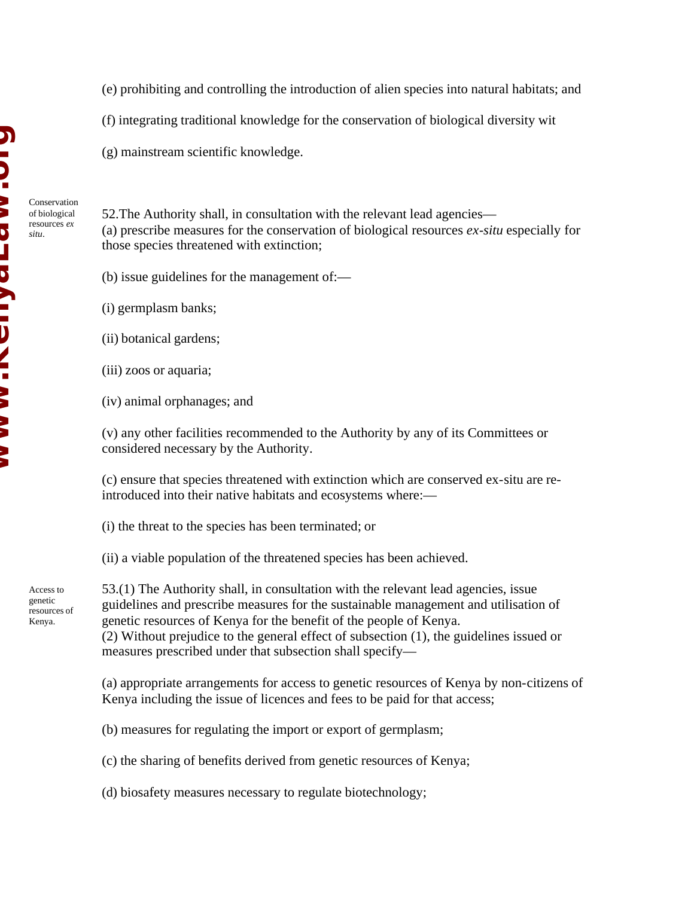- (e) prohibiting and controlling the introduction of alien species into natural habitats; and
- (f) integrating traditional knowledge for the conservation of biological diversity wit
- (g) mainstream scientific knowledge.

Conservation of biological resources *ex situ*.

52.The Authority shall, in consultation with the relevant lead agencies— (a) prescribe measures for the conservation of biological resources *ex-situ* especially for those species threatened with extinction;

- (b) issue guidelines for the management of:—
- (i) germplasm banks;
- (ii) botanical gardens;
- (iii) zoos or aquaria;
- (iv) animal orphanages; and

(v) any other facilities recommended to the Authority by any of its Committees or considered necessary by the Authority.

(c) ensure that species threatened with extinction which are conserved ex-situ are reintroduced into their native habitats and ecosystems where:—

(i) the threat to the species has been terminated; or

(ii) a viable population of the threatened species has been achieved.

genetic resources of Kenya.

Access to

53.(1) The Authority shall, in consultation with the relevant lead agencies, issue guidelines and prescribe measures for the sustainable management and utilisation of genetic resources of Kenya for the benefit of the people of Kenya. (2) Without prejudice to the general effect of subsection (1), the guidelines issued or measures prescribed under that subsection shall specify—

(a) appropriate arrangements for access to genetic resources of Kenya by non-citizens of Kenya including the issue of licences and fees to be paid for that access;

(b) measures for regulating the import or export of germplasm;

(c) the sharing of benefits derived from genetic resources of Kenya;

(d) biosafety measures necessary to regulate biotechnology;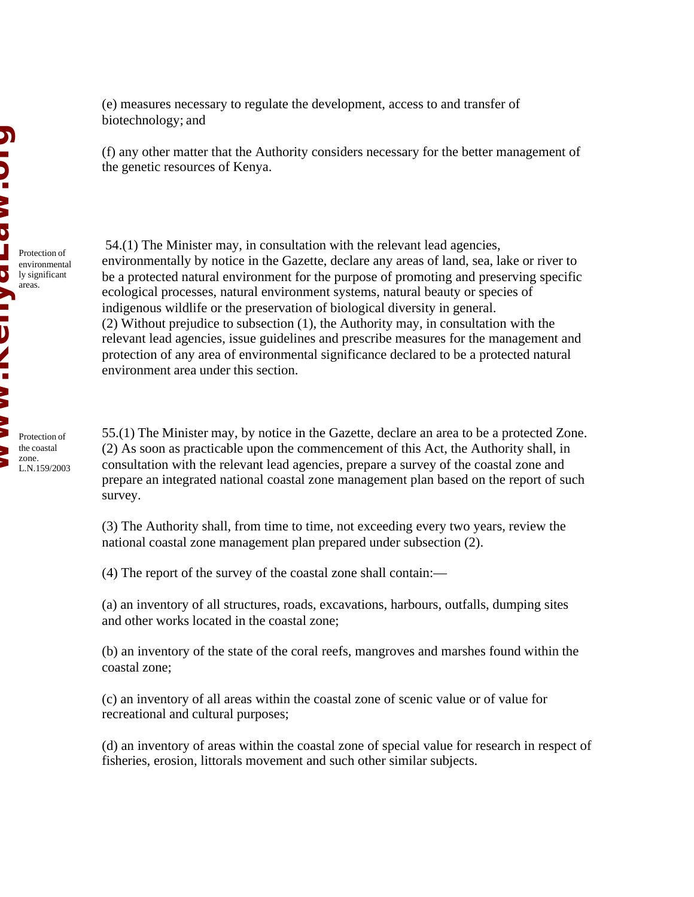(e) measures necessary to regulate the development, access to and transfer of biotechnology; and

(f) any other matter that the Authority considers necessary for the better management of the genetic resources of Kenya.

 54.(1) The Minister may, in consultation with the relevant lead agencies, environmentally by notice in the Gazette, declare any areas of land, sea, lake or river to be a protected natural environment for the purpose of promoting and preserving specific ecological processes, natural environment systems, natural beauty or species of indigenous wildlife or the preservation of biological diversity in general. (2) Without prejudice to subsection (1), the Authority may, in consultation with the relevant lead agencies, issue guidelines and prescribe measures for the management and protection of any area of environmental significance declared to be a protected natural environment area under this section.

55.(1) The Minister may, by notice in the Gazette, declare an area to be a protected Zone. (2) As soon as practicable upon the commencement of this Act, the Authority shall, in consultation with the relevant lead agencies, prepare a survey of the coastal zone and prepare an integrated national coastal zone management plan based on the report of such survey.

(3) The Authority shall, from time to time, not exceeding every two years, review the national coastal zone management plan prepared under subsection (2).

(4) The report of the survey of the coastal zone shall contain:—

(a) an inventory of all structures, roads, excavations, harbours, outfalls, dumping sites and other works located in the coastal zone;

(b) an inventory of the state of the coral reefs, mangroves and marshes found within the coastal zone;

(c) an inventory of all areas within the coastal zone of scenic value or of value for recreational and cultural purposes;

(d) an inventory of areas within the coastal zone of special value for research in respect of fisheries, erosion, littorals movement and such other similar subjects.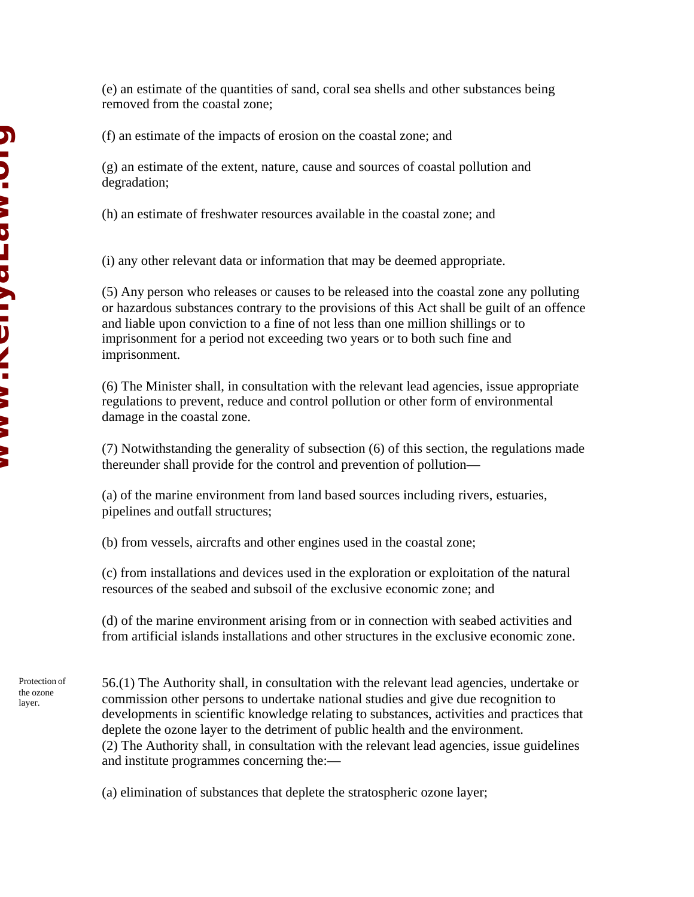(e) an estimate of the quantities of sand, coral sea shells and other substances being removed from the coastal zone;

(f) an estimate of the impacts of erosion on the coastal zone; and

(g) an estimate of the extent, nature, cause and sources of coastal pollution and degradation;

(h) an estimate of freshwater resources available in the coastal zone; and

(i) any other relevant data or information that may be deemed appropriate.

(5) Any person who releases or causes to be released into the coastal zone any polluting or hazardous substances contrary to the provisions of this Act shall be guilt of an offence and liable upon conviction to a fine of not less than one million shillings or to imprisonment for a period not exceeding two years or to both such fine and imprisonment.

(6) The Minister shall, in consultation with the relevant lead agencies, issue appropriate regulations to prevent, reduce and control pollution or other form of environmental damage in the coastal zone.

(7) Notwithstanding the generality of subsection (6) of this section, the regulations made thereunder shall provide for the control and prevention of pollution—

(a) of the marine environment from land based sources including rivers, estuaries, pipelines and outfall structures;

(b) from vessels, aircrafts and other engines used in the coastal zone;

(c) from installations and devices used in the exploration or exploitation of the natural resources of the seabed and subsoil of the exclusive economic zone; and

(d) of the marine environment arising from or in connection with seabed activities and from artificial islands installations and other structures in the exclusive economic zone.

Protection of the ozone layer.

56.(1) The Authority shall, in consultation with the relevant lead agencies, undertake or commission other persons to undertake national studies and give due recognition to developments in scientific knowledge relating to substances, activities and practices that deplete the ozone layer to the detriment of public health and the environment. (2) The Authority shall, in consultation with the relevant lead agencies, issue guidelines and institute programmes concerning the:—

(a) elimination of substances that deplete the stratospheric ozone layer;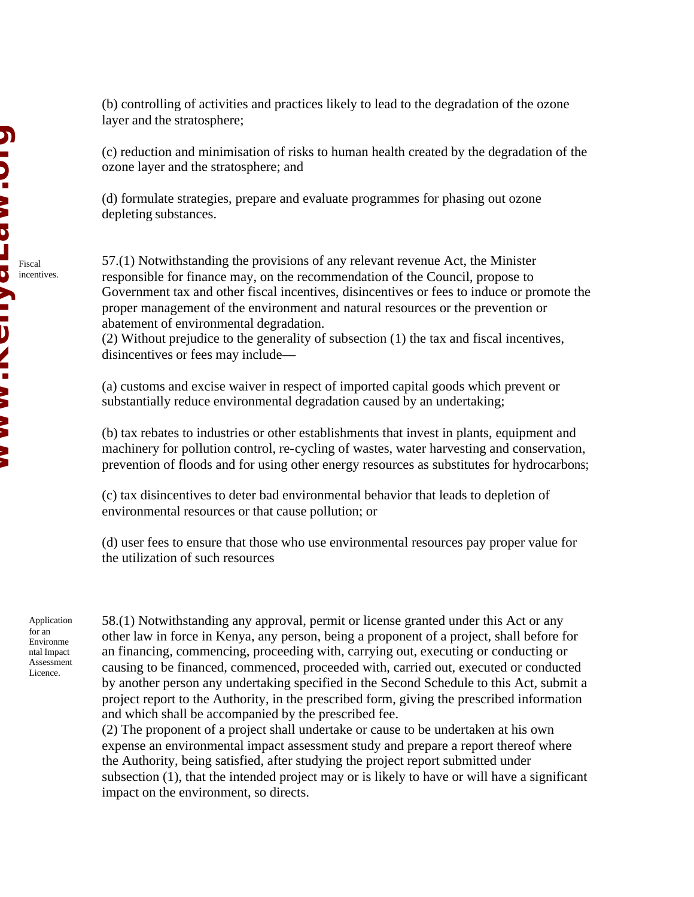(b) controlling of activities and practices likely to lead to the degradation of the ozone layer and the stratosphere;

(c) reduction and minimisation of risks to human health created by the degradation of the ozone layer and the stratosphere; and

(d) formulate strategies, prepare and evaluate programmes for phasing out ozone depleting substances.

57.(1) Notwithstanding the provisions of any relevant revenue Act, the Minister responsible for finance may, on the recommendation of the Council, propose to Government tax and other fiscal incentives, disincentives or fees to induce or promote the proper management of the environment and natural resources or the prevention or abatement of environmental degradation.

(2) Without prejudice to the generality of subsection (1) the tax and fiscal incentives, disincentives or fees may include—

(a) customs and excise waiver in respect of imported capital goods which prevent or substantially reduce environmental degradation caused by an undertaking;

(b) tax rebates to industries or other establishments that invest in plants, equipment and machinery for pollution control, re-cycling of wastes, water harvesting and conservation, prevention of floods and for using other energy resources as substitutes for hydrocarbons;

(c) tax disincentives to deter bad environmental behavior that leads to depletion of environmental resources or that cause pollution; or

(d) user fees to ensure that those who use environmental resources pay proper value for the utilization of such resources

Application for an Environme ntal Impact Assessment Licence.

58.(1) Notwithstanding any approval, permit or license granted under this Act or any other law in force in Kenya, any person, being a proponent of a project, shall before for an financing, commencing, proceeding with, carrying out, executing or conducting or causing to be financed, commenced, proceeded with, carried out, executed or conducted by another person any undertaking specified in the Second Schedule to this Act, submit a project report to the Authority, in the prescribed form, giving the prescribed information and which shall be accompanied by the prescribed fee.

(2) The proponent of a project shall undertake or cause to be undertaken at his own expense an environmental impact assessment study and prepare a report thereof where the Authority, being satisfied, after studying the project report submitted under subsection (1), that the intended project may or is likely to have or will have a significant impact on the environment, so directs.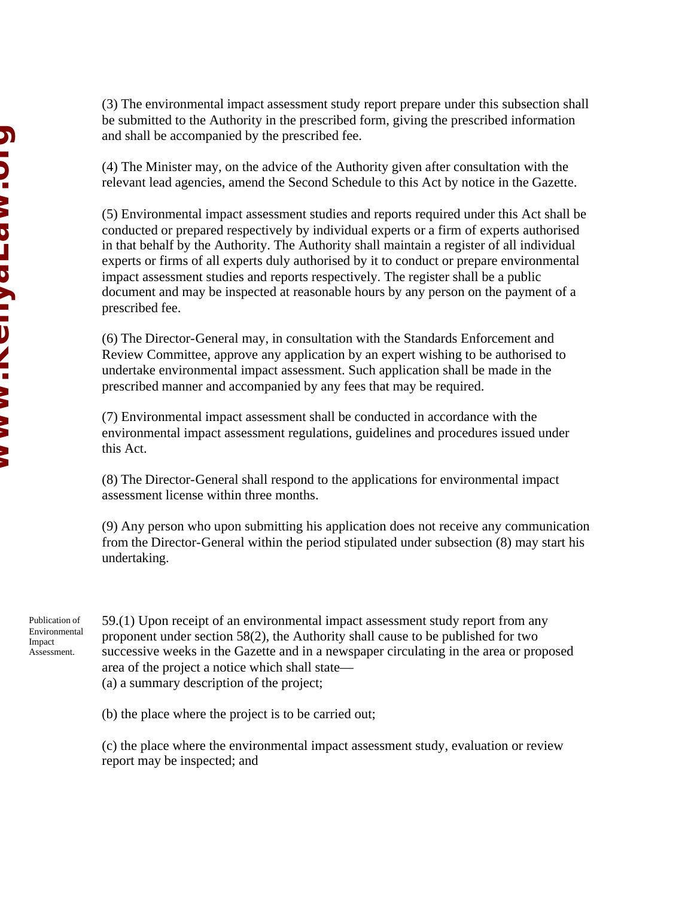(3) The environmental impact assessment study report prepare under this subsection shall be submitted to the Authority in the prescribed form, giving the prescribed information and shall be accompanied by the prescribed fee.

(4) The Minister may, on the advice of the Authority given after consultation with the relevant lead agencies, amend the Second Schedule to this Act by notice in the Gazette.

(5) Environmental impact assessment studies and reports required under this Act shall be conducted or prepared respectively by individual experts or a firm of experts authorised in that behalf by the Authority. The Authority shall maintain a register of all individual experts or firms of all experts duly authorised by it to conduct or prepare environmental impact assessment studies and reports respectively. The register shall be a public document and may be inspected at reasonable hours by any person on the payment of a prescribed fee.

(6) The Director-General may, in consultation with the Standards Enforcement and Review Committee, approve any application by an expert wishing to be authorised to undertake environmental impact assessment. Such application shall be made in the prescribed manner and accompanied by any fees that may be required.

(7) Environmental impact assessment shall be conducted in accordance with the environmental impact assessment regulations, guidelines and procedures issued under this Act.

(8) The Director-General shall respond to the applications for environmental impact assessment license within three months.

(9) Any person who upon submitting his application does not receive any communication from the Director-General within the period stipulated under subsection (8) may start his undertaking.

Publication of Environmental Impact Assessment.

59.(1) Upon receipt of an environmental impact assessment study report from any proponent under section 58(2), the Authority shall cause to be published for two successive weeks in the Gazette and in a newspaper circulating in the area or proposed area of the project a notice which shall state—

(a) a summary description of the project;

(b) the place where the project is to be carried out;

(c) the place where the environmental impact assessment study, evaluation or review report may be inspected; and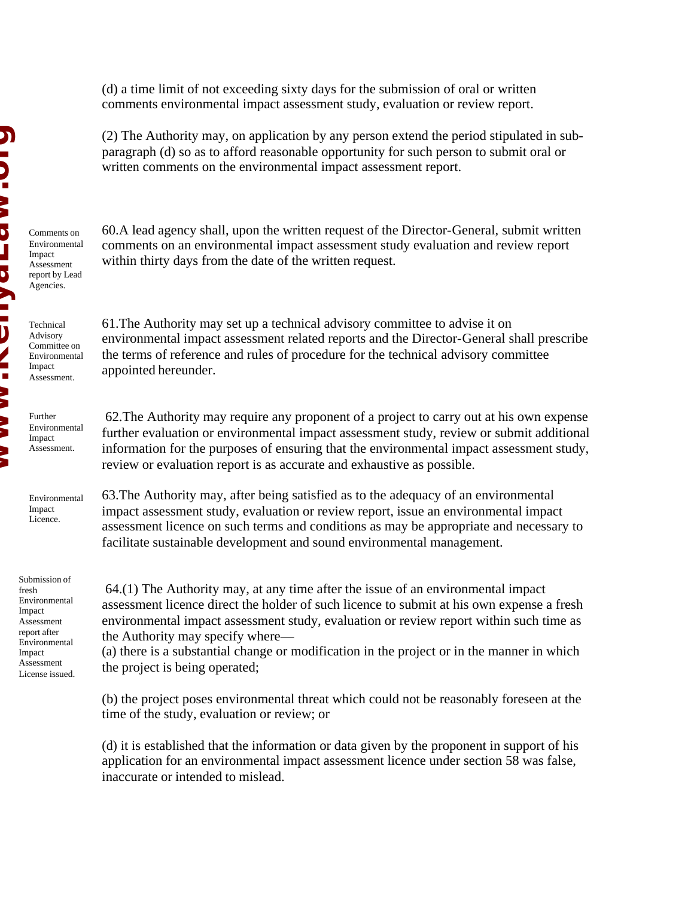(d) a time limit of not exceeding sixty days for the submission of oral or written comments environmental impact assessment study, evaluation or review report.

(2) The Authority may, on application by any person extend the period stipulated in subparagraph (d) so as to afford reasonable opportunity for such person to submit oral or written comments on the environmental impact assessment report.

Comments on Environmental Impact Assessment report by Lead Agencies.

Technical Advisory Committee on Environmental Impact Assessment.

Further Environmental Impact Assessment.

Environmental Impact Licence.

Submission of fresh Environmental Impact Assessment report after Environmental Impact Assessment License issued. 60.A lead agency shall, upon the written request of the Director-General, submit written comments on an environmental impact assessment study evaluation and review report within thirty days from the date of the written request.

61.The Authority may set up a technical advisory committee to advise it on environmental impact assessment related reports and the Director-General shall prescribe the terms of reference and rules of procedure for the technical advisory committee appointed hereunder.

 62.The Authority may require any proponent of a project to carry out at his own expense further evaluation or environmental impact assessment study, review or submit additional information for the purposes of ensuring that the environmental impact assessment study, review or evaluation report is as accurate and exhaustive as possible.

63.The Authority may, after being satisfied as to the adequacy of an environmental impact assessment study, evaluation or review report, issue an environmental impact assessment licence on such terms and conditions as may be appropriate and necessary to facilitate sustainable development and sound environmental management.

 64.(1) The Authority may, at any time after the issue of an environmental impact assessment licence direct the holder of such licence to submit at his own expense a fresh environmental impact assessment study, evaluation or review report within such time as the Authority may specify where—

(a) there is a substantial change or modification in the project or in the manner in which the project is being operated;

(b) the project poses environmental threat which could not be reasonably foreseen at the time of the study, evaluation or review; or

(d) it is established that the information or data given by the proponent in support of his application for an environmental impact assessment licence under section 58 was false, inaccurate or intended to mislead.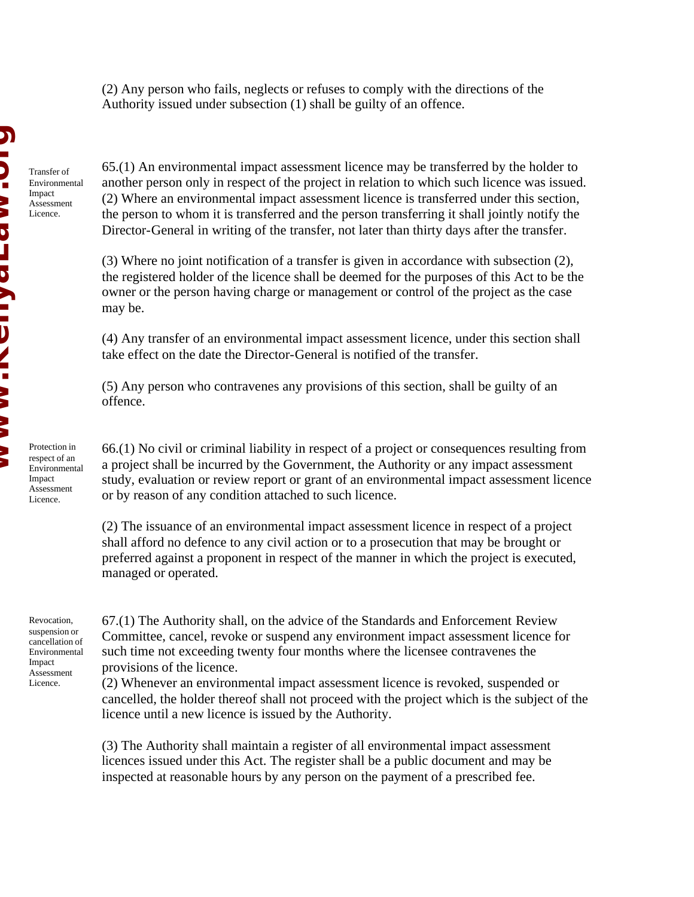(2) Any person who fails, neglects or refuses to comply with the directions of the Authority issued under subsection (1) shall be guilty of an offence.

Transfer of Environmental Impact Assessment Licence.

65.(1) An environmental impact assessment licence may be transferred by the holder to another person only in respect of the project in relation to which such licence was issued. (2) Where an environmental impact assessment licence is transferred under this section, the person to whom it is transferred and the person transferring it shall jointly notify the Director-General in writing of the transfer, not later than thirty days after the transfer.

(3) Where no joint notification of a transfer is given in accordance with subsection (2), the registered holder of the licence shall be deemed for the purposes of this Act to be the owner or the person having charge or management or control of the project as the case may be.

(4) Any transfer of an environmental impact assessment licence, under this section shall take effect on the date the Director-General is notified of the transfer.

(5) Any person who contravenes any provisions of this section, shall be guilty of an offence.

Protection in respect of an Environmental Impact Assessment Licence.

66.(1) No civil or criminal liability in respect of a project or consequences resulting from a project shall be incurred by the Government, the Authority or any impact assessment study, evaluation or review report or grant of an environmental impact assessment licence or by reason of any condition attached to such licence.

(2) The issuance of an environmental impact assessment licence in respect of a project shall afford no defence to any civil action or to a prosecution that may be brought or preferred against a proponent in respect of the manner in which the project is executed, managed or operated.

Revocation, suspension or cancellation of Environmental Impact Assessment Licence.

67.(1) The Authority shall, on the advice of the Standards and Enforcement Review Committee, cancel, revoke or suspend any environment impact assessment licence for such time not exceeding twenty four months where the licensee contravenes the provisions of the licence.

(2) Whenever an environmental impact assessment licence is revoked, suspended or cancelled, the holder thereof shall not proceed with the project which is the subject of the licence until a new licence is issued by the Authority.

(3) The Authority shall maintain a register of all environmental impact assessment licences issued under this Act. The register shall be a public document and may be inspected at reasonable hours by any person on the payment of a prescribed fee.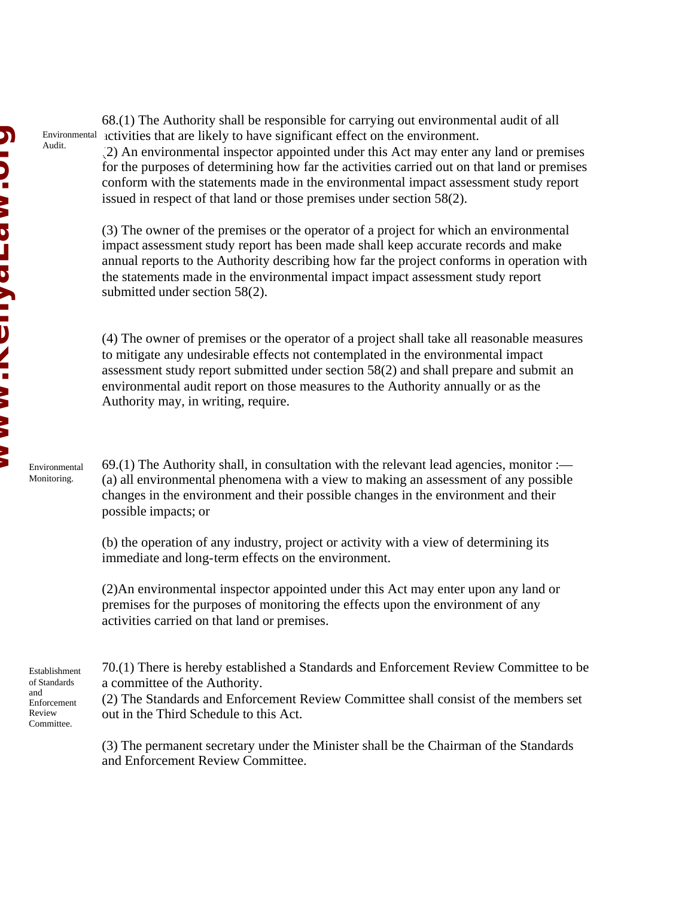68.(1) The Authority shall be responsible for carrying out environmental audit of all activities that are likely to have significant effect on the environment. Environmental Audit.

(2) An environmental inspector appointed under this Act may enter any land or premises for the purposes of determining how far the activities carried out on that land or premises conform with the statements made in the environmental impact assessment study report issued in respect of that land or those premises under section 58(2).

(3) The owner of the premises or the operator of a project for which an environmental impact assessment study report has been made shall keep accurate records and make annual reports to the Authority describing how far the project conforms in operation with the statements made in the environmental impact impact assessment study report submitted under section 58(2).

(4) The owner of premises or the operator of a project shall take all reasonable measures to mitigate any undesirable effects not contemplated in the environmental impact assessment study report submitted under section 58(2) and shall prepare and submit an environmental audit report on those measures to the Authority annually or as the Authority may, in writing, require.

 $69(1)$  The Authority shall, in consultation with the relevant lead agencies, monitor :— (a) all environmental phenomena with a view to making an assessment of any possible changes in the environment and their possible changes in the environment and their possible impacts; or

(b) the operation of any industry, project or activity with a view of determining its immediate and long-term effects on the environment.

(2)An environmental inspector appointed under this Act may enter upon any land or premises for the purposes of monitoring the effects upon the environment of any activities carried on that land or premises.

70.(1) There is hereby established a Standards and Enforcement Review Committee to be a committee of the Authority.

(2) The Standards and Enforcement Review Committee shall consist of the members set out in the Third Schedule to this Act.

(3) The permanent secretary under the Minister shall be the Chairman of the Standards and Enforcement Review Committee.

Environmental Monitoring.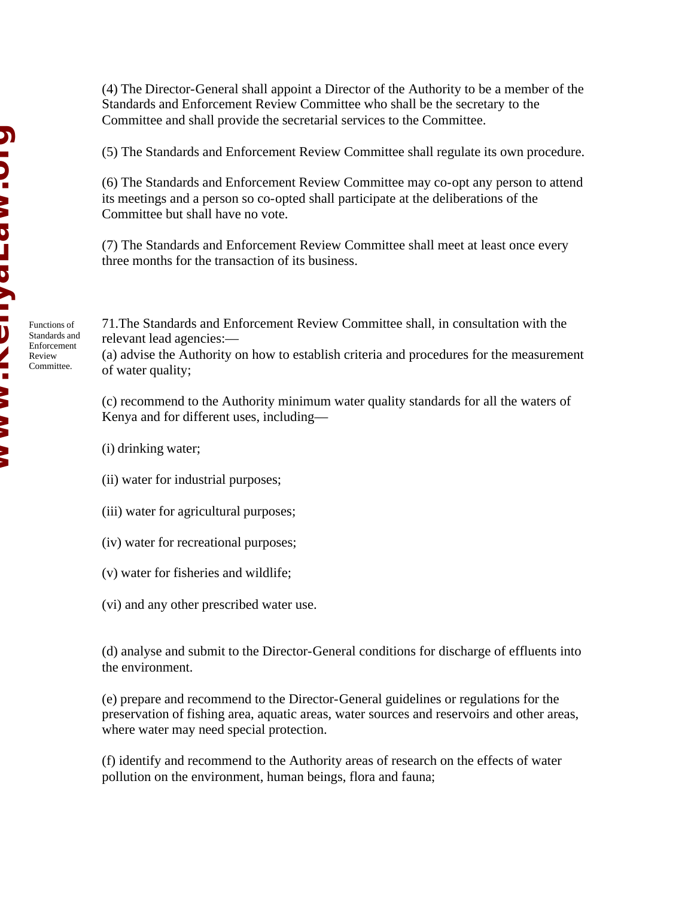Functions of Standards and Enforcement Review Committee.

(4) The Director-General shall appoint a Director of the Authority to be a member of the Standards and Enforcement Review Committee who shall be the secretary to the Committee and shall provide the secretarial services to the Committee.

(5) The Standards and Enforcement Review Committee shall regulate its own procedure.

(6) The Standards and Enforcement Review Committee may co-opt any person to attend its meetings and a person so co-opted shall participate at the deliberations of the Committee but shall have no vote.

(7) The Standards and Enforcement Review Committee shall meet at least once every three months for the transaction of its business.

71.The Standards and Enforcement Review Committee shall, in consultation with the relevant lead agencies:—

(a) advise the Authority on how to establish criteria and procedures for the measurement of water quality;

(c) recommend to the Authority minimum water quality standards for all the waters of Kenya and for different uses, including—

(i) drinking water;

- (ii) water for industrial purposes;
- (iii) water for agricultural purposes;
- (iv) water for recreational purposes;
- (v) water for fisheries and wildlife;
- (vi) and any other prescribed water use.

(d) analyse and submit to the Director-General conditions for discharge of effluents into the environment.

(e) prepare and recommend to the Director-General guidelines or regulations for the preservation of fishing area, aquatic areas, water sources and reservoirs and other areas, where water may need special protection.

(f) identify and recommend to the Authority areas of research on the effects of water pollution on the environment, human beings, flora and fauna;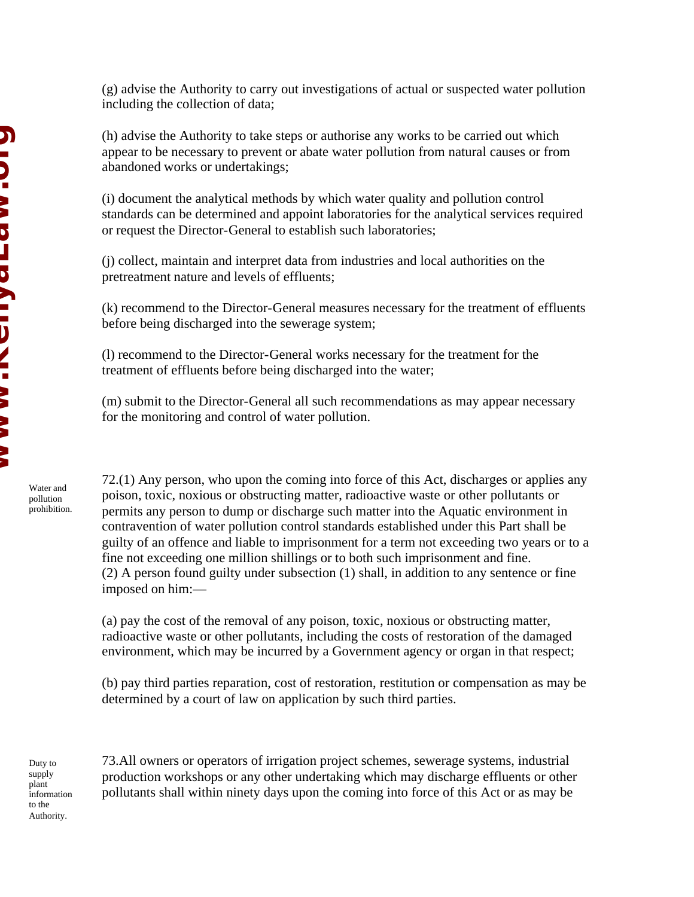(h) advise the Authority to take steps or authorise any works to be carried out which appear to be necessary to prevent or abate water pollution from natural causes or from abandoned works or undertakings;

(i) document the analytical methods by which water quality and pollution control standards can be determined and appoint laboratories for the analytical services required or request the Director-General to establish such laboratories;

(j) collect, maintain and interpret data from industries and local authorities on the pretreatment nature and levels of effluents;

(k) recommend to the Director-General measures necessary for the treatment of effluents before being discharged into the sewerage system;

(l) recommend to the Director-General works necessary for the treatment for the treatment of effluents before being discharged into the water;

(m) submit to the Director-General all such recommendations as may appear necessary for the monitoring and control of water pollution.

72.(1) Any person, who upon the coming into force of this Act, discharges or applies any poison, toxic, noxious or obstructing matter, radioactive waste or other pollutants or permits any person to dump or discharge such matter into the Aquatic environment in contravention of water pollution control standards established under this Part shall be guilty of an offence and liable to imprisonment for a term not exceeding two years or to a fine not exceeding one million shillings or to both such imprisonment and fine. (2) A person found guilty under subsection (1) shall, in addition to any sentence or fine imposed on him:—

(a) pay the cost of the removal of any poison, toxic, noxious or obstructing matter, radioactive waste or other pollutants, including the costs of restoration of the damaged environment, which may be incurred by a Government agency or organ in that respect;

(b) pay third parties reparation, cost of restoration, restitution or compensation as may be determined by a court of law on application by such third parties.

Duty to supply plant information to the Authority.

Water and pollution prohibition.

> 73.All owners or operators of irrigation project schemes, sewerage systems, industrial production workshops or any other undertaking which may discharge effluents or other pollutants shall within ninety days upon the coming into force of this Act or as may be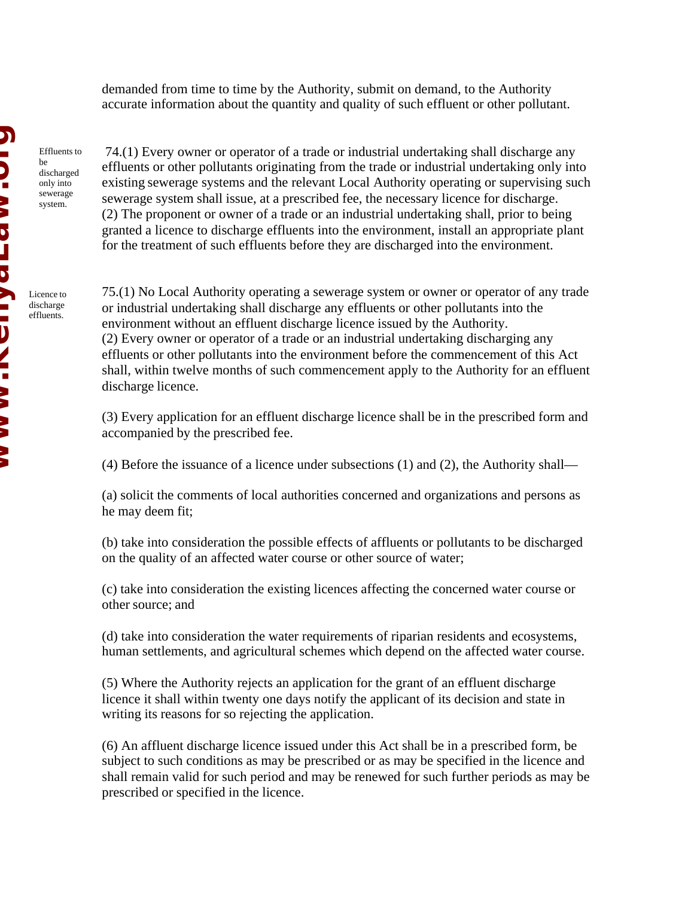demanded from time to time by the Authority, submit on demand, to the Authority accurate information about the quantity and quality of such effluent or other pollutant.

Effluents to be discharged only into sewerage system.

 74.(1) Every owner or operator of a trade or industrial undertaking shall discharge any effluents or other pollutants originating from the trade or industrial undertaking only into existing sewerage systems and the relevant Local Authority operating or supervising such sewerage system shall issue, at a prescribed fee, the necessary licence for discharge. (2) The proponent or owner of a trade or an industrial undertaking shall, prior to being granted a licence to discharge effluents into the environment, install an appropriate plant for the treatment of such effluents before they are discharged into the environment.

Licence to discharge effluents.

75.(1) No Local Authority operating a sewerage system or owner or operator of any trade or industrial undertaking shall discharge any effluents or other pollutants into the environment without an effluent discharge licence issued by the Authority. (2) Every owner or operator of a trade or an industrial undertaking discharging any effluents or other pollutants into the environment before the commencement of this Act shall, within twelve months of such commencement apply to the Authority for an effluent discharge licence.

(3) Every application for an effluent discharge licence shall be in the prescribed form and accompanied by the prescribed fee.

(4) Before the issuance of a licence under subsections (1) and (2), the Authority shall—

(a) solicit the comments of local authorities concerned and organizations and persons as he may deem fit;

(b) take into consideration the possible effects of affluents or pollutants to be discharged on the quality of an affected water course or other source of water;

(c) take into consideration the existing licences affecting the concerned water course or other source; and

(d) take into consideration the water requirements of riparian residents and ecosystems, human settlements, and agricultural schemes which depend on the affected water course.

(5) Where the Authority rejects an application for the grant of an effluent discharge licence it shall within twenty one days notify the applicant of its decision and state in writing its reasons for so rejecting the application.

(6) An affluent discharge licence issued under this Act shall be in a prescribed form, be subject to such conditions as may be prescribed or as may be specified in the licence and shall remain valid for such period and may be renewed for such further periods as may be prescribed or specified in the licence.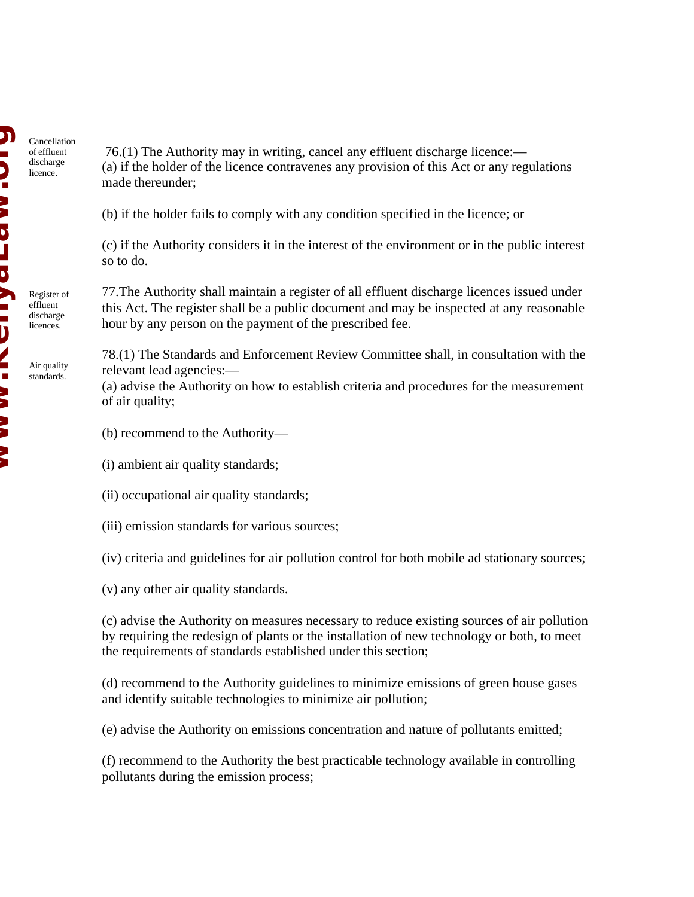Cancellation of effluent discharge licence.

Register of effluent discharge licences.

Air quality standards.

 76.(1) The Authority may in writing, cancel any effluent discharge licence:— (a) if the holder of the licence contravenes any provision of this Act or any regulations made thereunder;

(b) if the holder fails to comply with any condition specified in the licence; or

(c) if the Authority considers it in the interest of the environment or in the public interest so to do.

77.The Authority shall maintain a register of all effluent discharge licences issued under this Act. The register shall be a public document and may be inspected at any reasonable hour by any person on the payment of the prescribed fee.

78.(1) The Standards and Enforcement Review Committee shall, in consultation with the relevant lead agencies:—

(a) advise the Authority on how to establish criteria and procedures for the measurement of air quality;

- (b) recommend to the Authority—
- (i) ambient air quality standards;
- (ii) occupational air quality standards;
- (iii) emission standards for various sources;

(iv) criteria and guidelines for air pollution control for both mobile ad stationary sources;

(v) any other air quality standards.

(c) advise the Authority on measures necessary to reduce existing sources of air pollution by requiring the redesign of plants or the installation of new technology or both, to meet the requirements of standards established under this section;

(d) recommend to the Authority guidelines to minimize emissions of green house gases and identify suitable technologies to minimize air pollution;

(e) advise the Authority on emissions concentration and nature of pollutants emitted;

(f) recommend to the Authority the best practicable technology available in controlling pollutants during the emission process;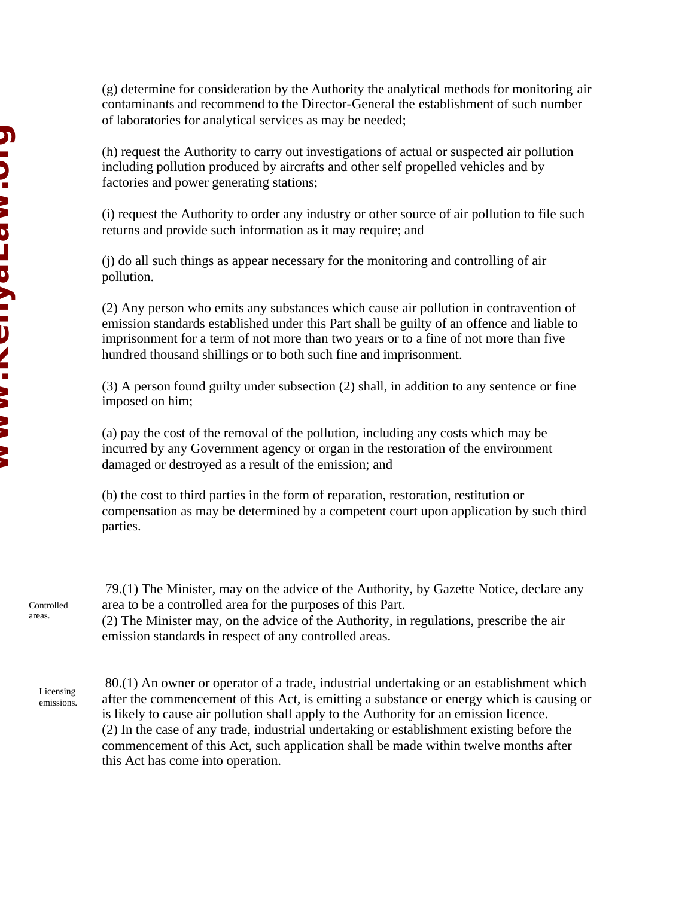(g) determine for consideration by the Authority the analytical methods for monitoring air contaminants and recommend to the Director-General the establishment of such number of laboratories for analytical services as may be needed;

(h) request the Authority to carry out investigations of actual or suspected air pollution including pollution produced by aircrafts and other self propelled vehicles and by factories and power generating stations;

(i) request the Authority to order any industry or other source of air pollution to file such returns and provide such information as it may require; and

(j) do all such things as appear necessary for the monitoring and controlling of air pollution.

(2) Any person who emits any substances which cause air pollution in contravention of emission standards established under this Part shall be guilty of an offence and liable to imprisonment for a term of not more than two years or to a fine of not more than five hundred thousand shillings or to both such fine and imprisonment.

(3) A person found guilty under subsection (2) shall, in addition to any sentence or fine imposed on him;

(a) pay the cost of the removal of the pollution, including any costs which may be incurred by any Government agency or organ in the restoration of the environment damaged or destroyed as a result of the emission; and

(b) the cost to third parties in the form of reparation, restoration, restitution or compensation as may be determined by a competent court upon application by such third parties.

 79.(1) The Minister, may on the advice of the Authority, by Gazette Notice, declare any area to be a controlled area for the purposes of this Part. (2) The Minister may, on the advice of the Authority, in regulations, prescribe the air emission standards in respect of any controlled areas. Controlled

Licensing emissions.

areas.

 80.(1) An owner or operator of a trade, industrial undertaking or an establishment which after the commencement of this Act, is emitting a substance or energy which is causing or is likely to cause air pollution shall apply to the Authority for an emission licence. (2) In the case of any trade, industrial undertaking or establishment existing before the commencement of this Act, such application shall be made within twelve months after this Act has come into operation.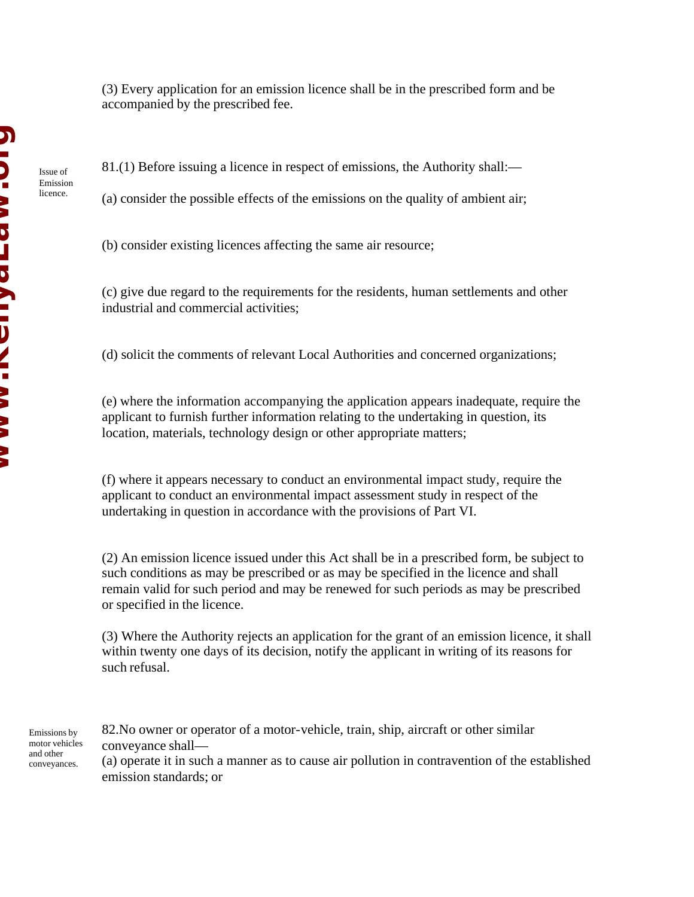Issue of Emission licence.

(3) Every application for an emission licence shall be in the prescribed form and be accompanied by the prescribed fee.

81.(1) Before issuing a licence in respect of emissions, the Authority shall:—

(a) consider the possible effects of the emissions on the quality of ambient air;

(b) consider existing licences affecting the same air resource;

(c) give due regard to the requirements for the residents, human settlements and other industrial and commercial activities;

(d) solicit the comments of relevant Local Authorities and concerned organizations;

(e) where the information accompanying the application appears inadequate, require the applicant to furnish further information relating to the undertaking in question, its location, materials, technology design or other appropriate matters;

(f) where it appears necessary to conduct an environmental impact study, require the applicant to conduct an environmental impact assessment study in respect of the undertaking in question in accordance with the provisions of Part VI.

(2) An emission licence issued under this Act shall be in a prescribed form, be subject to such conditions as may be prescribed or as may be specified in the licence and shall remain valid for such period and may be renewed for such periods as may be prescribed or specified in the licence.

(3) Where the Authority rejects an application for the grant of an emission licence, it shall within twenty one days of its decision, notify the applicant in writing of its reasons for such refusal.

Emissions by motor vehicles and other conveyances.

82.No owner or operator of a motor-vehicle, train, ship, aircraft or other similar conveyance shall— (a) operate it in such a manner as to cause air pollution in contravention of the established

emission standards; or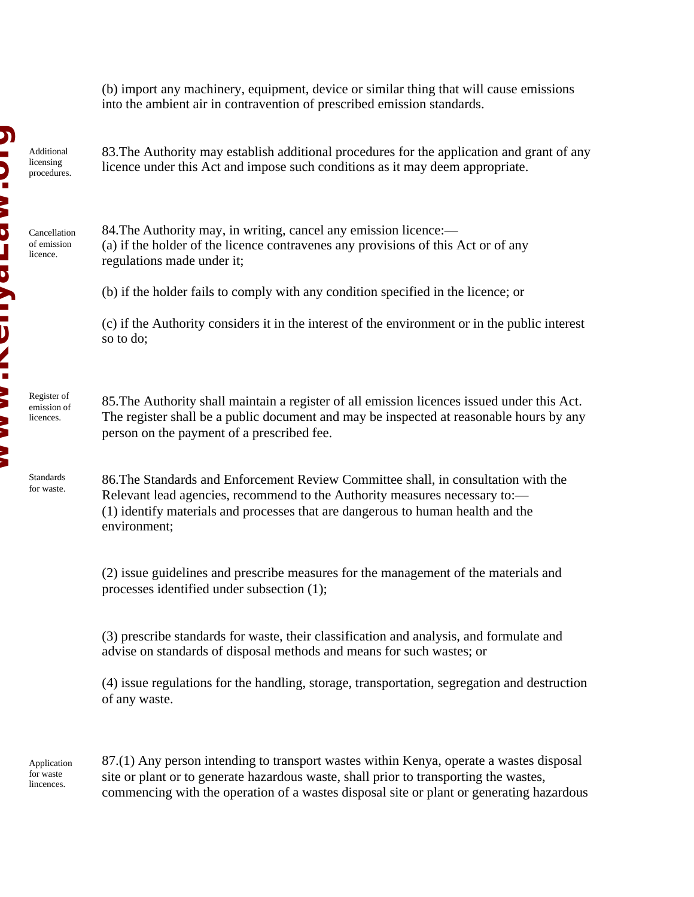(b) import any machinery, equipment, device or similar thing that will cause emissions into the ambient air in contravention of prescribed emission standards.

Additional licensing procedures.

Cancellation of emission licence.

Register of emission of licences.

Standards for waste. 83.The Authority may establish additional procedures for the application and grant of any licence under this Act and impose such conditions as it may deem appropriate.

84.The Authority may, in writing, cancel any emission licence:— (a) if the holder of the licence contravenes any provisions of this Act or of any regulations made under it;

(b) if the holder fails to comply with any condition specified in the licence; or

(c) if the Authority considers it in the interest of the environment or in the public interest so to do;

85.The Authority shall maintain a register of all emission licences issued under this Act. The register shall be a public document and may be inspected at reasonable hours by any person on the payment of a prescribed fee.

86.The Standards and Enforcement Review Committee shall, in consultation with the Relevant lead agencies, recommend to the Authority measures necessary to:— (1) identify materials and processes that are dangerous to human health and the environment;

(2) issue guidelines and prescribe measures for the management of the materials and processes identified under subsection (1);

(3) prescribe standards for waste, their classification and analysis, and formulate and advise on standards of disposal methods and means for such wastes; or

(4) issue regulations for the handling, storage, transportation, segregation and destruction of any waste.

Application for waste lincences.

87.(1) Any person intending to transport wastes within Kenya, operate a wastes disposal site or plant or to generate hazardous waste, shall prior to transporting the wastes, commencing with the operation of a wastes disposal site or plant or generating hazardous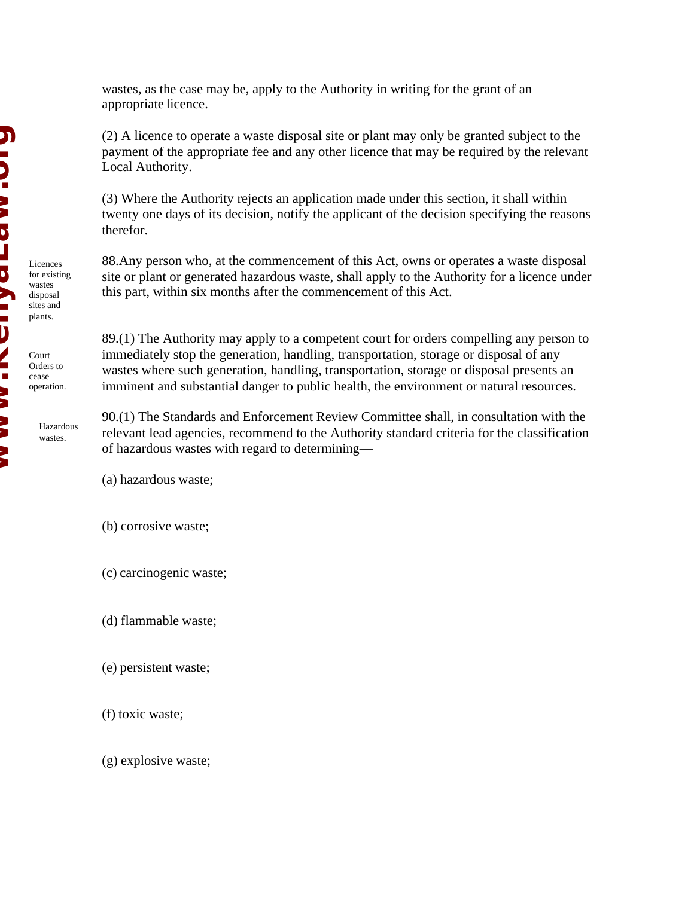Licences for existing wastes disposal sites and plants.

Court Orders to cease operation.

> Hazardous wastes.

wastes, as the case may be, apply to the Authority in writing for the grant of an appropriate licence.

(2) A licence to operate a waste disposal site or plant may only be granted subject to the payment of the appropriate fee and any other licence that may be required by the relevant Local Authority.

(3) Where the Authority rejects an application made under this section, it shall within twenty one days of its decision, notify the applicant of the decision specifying the reasons therefor.

88.Any person who, at the commencement of this Act, owns or operates a waste disposal site or plant or generated hazardous waste, shall apply to the Authority for a licence under this part, within six months after the commencement of this Act.

89.(1) The Authority may apply to a competent court for orders compelling any person to immediately stop the generation, handling, transportation, storage or disposal of any wastes where such generation, handling, transportation, storage or disposal presents an imminent and substantial danger to public health, the environment or natural resources.

90.(1) The Standards and Enforcement Review Committee shall, in consultation with the relevant lead agencies, recommend to the Authority standard criteria for the classification of hazardous wastes with regard to determining—

(a) hazardous waste;

(b) corrosive waste;

(c) carcinogenic waste;

(d) flammable waste;

(e) persistent waste;

(f) toxic waste;

(g) explosive waste;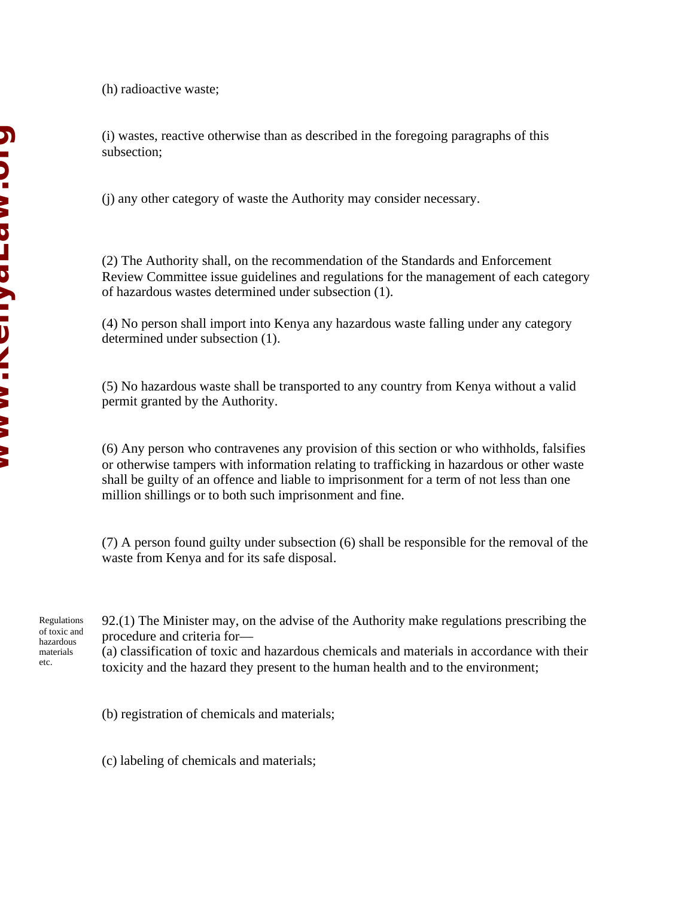(h) radioactive waste;

(i) wastes, reactive otherwise than as described in the foregoing paragraphs of this subsection;

(j) any other category of waste the Authority may consider necessary.

(2) The Authority shall, on the recommendation of the Standards and Enforcement Review Committee issue guidelines and regulations for the management of each category of hazardous wastes determined under subsection (1).

(4) No person shall import into Kenya any hazardous waste falling under any category determined under subsection (1).

(5) No hazardous waste shall be transported to any country from Kenya without a valid permit granted by the Authority.

(6) Any person who contravenes any provision of this section or who withholds, falsifies or otherwise tampers with information relating to trafficking in hazardous or other waste shall be guilty of an offence and liable to imprisonment for a term of not less than one million shillings or to both such imprisonment and fine.

(7) A person found guilty under subsection (6) shall be responsible for the removal of the waste from Kenya and for its safe disposal.

Regulations of toxic and hazardous materials etc.

92.(1) The Minister may, on the advise of the Authority make regulations prescribing the procedure and criteria for—

(a) classification of toxic and hazardous chemicals and materials in accordance with their toxicity and the hazard they present to the human health and to the environment;

(b) registration of chemicals and materials;

(c) labeling of chemicals and materials;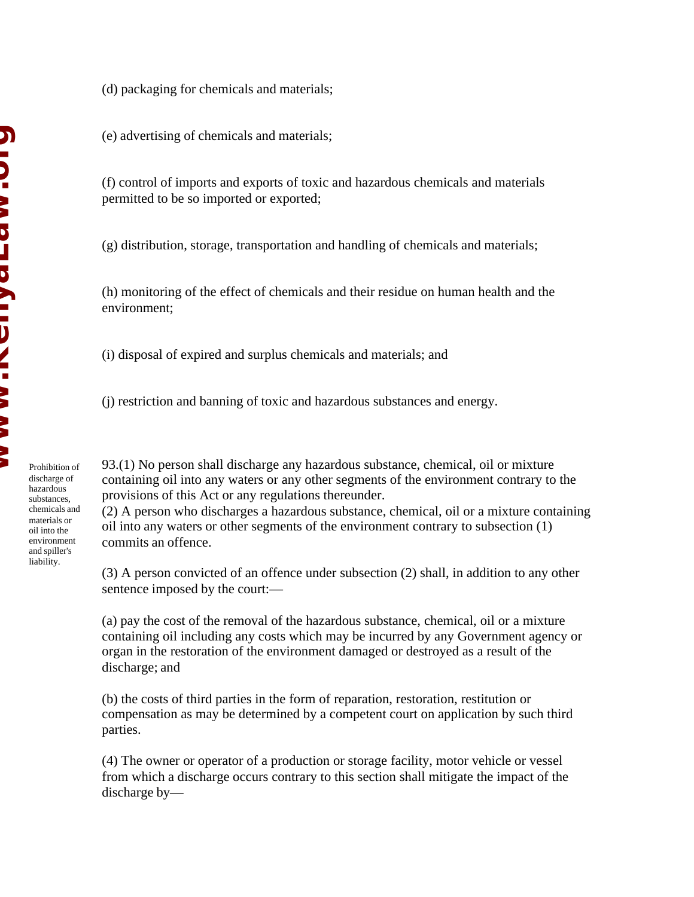Prohibition of discharge of hazardous substances, chemicals and materials or oil into the environment and spiller's liability.

(d) packaging for chemicals and materials;

(e) advertising of chemicals and materials;

(f) control of imports and exports of toxic and hazardous chemicals and materials permitted to be so imported or exported;

(g) distribution, storage, transportation and handling of chemicals and materials;

(h) monitoring of the effect of chemicals and their residue on human health and the environment;

(i) disposal of expired and surplus chemicals and materials; and

(j) restriction and banning of toxic and hazardous substances and energy.

93.(1) No person shall discharge any hazardous substance, chemical, oil or mixture containing oil into any waters or any other segments of the environment contrary to the provisions of this Act or any regulations thereunder.

(2) A person who discharges a hazardous substance, chemical, oil or a mixture containing oil into any waters or other segments of the environment contrary to subsection (1) commits an offence.

(3) A person convicted of an offence under subsection (2) shall, in addition to any other sentence imposed by the court:—

(a) pay the cost of the removal of the hazardous substance, chemical, oil or a mixture containing oil including any costs which may be incurred by any Government agency or organ in the restoration of the environment damaged or destroyed as a result of the discharge; and

(b) the costs of third parties in the form of reparation, restoration, restitution or compensation as may be determined by a competent court on application by such third parties.

(4) The owner or operator of a production or storage facility, motor vehicle or vessel from which a discharge occurs contrary to this section shall mitigate the impact of the discharge by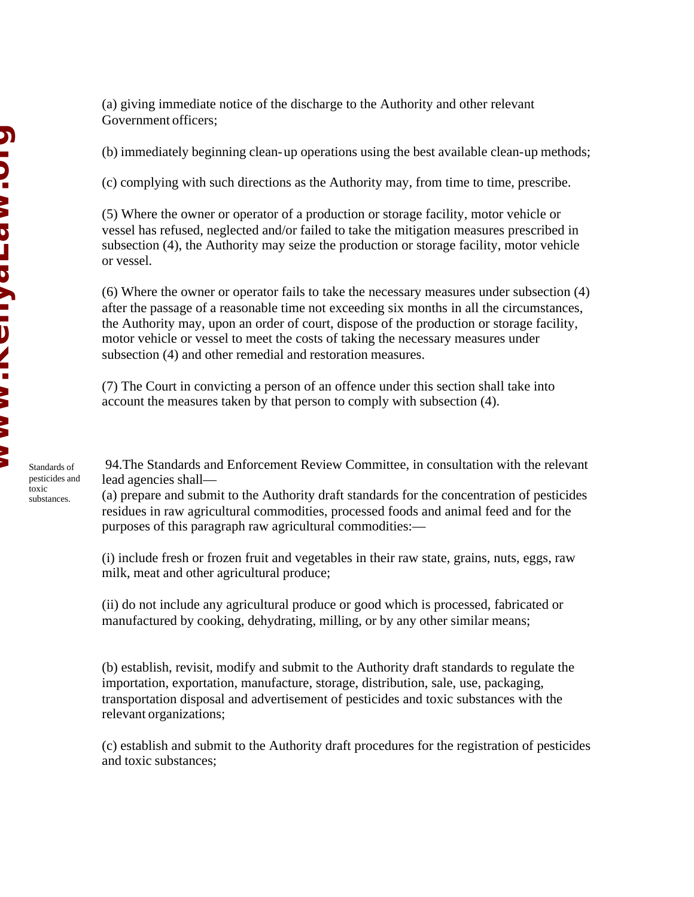(b) immediately beginning clean-up operations using the best available clean-up methods;

(c) complying with such directions as the Authority may, from time to time, prescribe.

(5) Where the owner or operator of a production or storage facility, motor vehicle or vessel has refused, neglected and/or failed to take the mitigation measures prescribed in subsection (4), the Authority may seize the production or storage facility, motor vehicle or vessel.

(6) Where the owner or operator fails to take the necessary measures under subsection (4) after the passage of a reasonable time not exceeding six months in all the circumstances, the Authority may, upon an order of court, dispose of the production or storage facility, motor vehicle or vessel to meet the costs of taking the necessary measures under subsection (4) and other remedial and restoration measures.

(7) The Court in convicting a person of an offence under this section shall take into account the measures taken by that person to comply with subsection (4).

 94.The Standards and Enforcement Review Committee, in consultation with the relevant lead agencies shall—

(a) prepare and submit to the Authority draft standards for the concentration of pesticides residues in raw agricultural commodities, processed foods and animal feed and for the purposes of this paragraph raw agricultural commodities:—

(i) include fresh or frozen fruit and vegetables in their raw state, grains, nuts, eggs, raw milk, meat and other agricultural produce;

(ii) do not include any agricultural produce or good which is processed, fabricated or manufactured by cooking, dehydrating, milling, or by any other similar means;

(b) establish, revisit, modify and submit to the Authority draft standards to regulate the importation, exportation, manufacture, storage, distribution, sale, use, packaging, transportation disposal and advertisement of pesticides and toxic substances with the relevant organizations;

(c) establish and submit to the Authority draft procedures for the registration of pesticides and toxic substances;

**Windshaum.com NID. >> DコD A I D/I >> >> >/**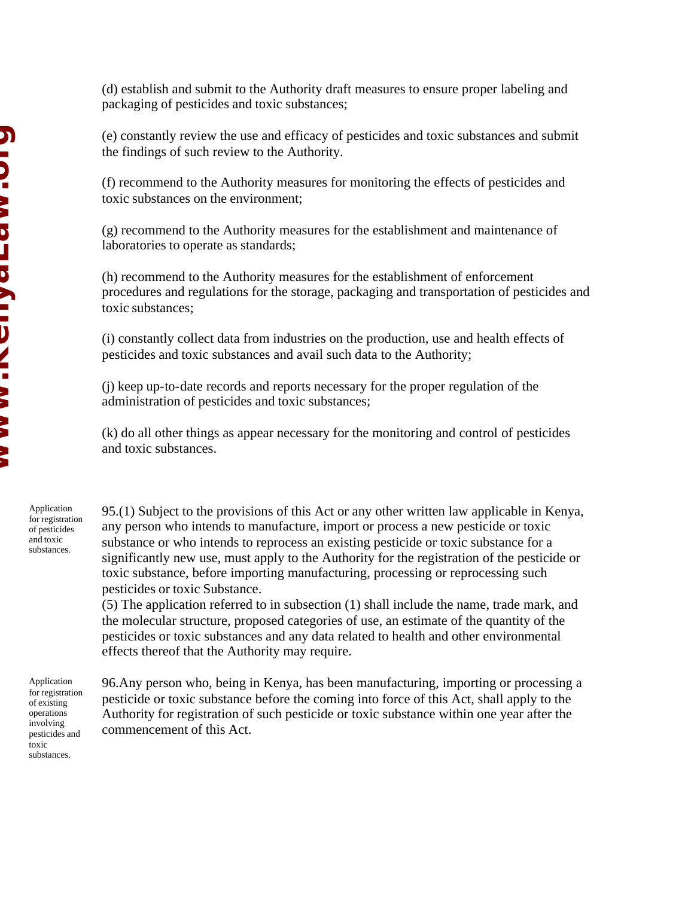(d) establish and submit to the Authority draft measures to ensure proper labeling and packaging of pesticides and toxic substances;

(e) constantly review the use and efficacy of pesticides and toxic substances and submit the findings of such review to the Authority.

(f) recommend to the Authority measures for monitoring the effects of pesticides and toxic substances on the environment;

(g) recommend to the Authority measures for the establishment and maintenance of laboratories to operate as standards;

(h) recommend to the Authority measures for the establishment of enforcement procedures and regulations for the storage, packaging and transportation of pesticides and toxic substances;

(i) constantly collect data from industries on the production, use and health effects of pesticides and toxic substances and avail such data to the Authority;

(j) keep up-to-date records and reports necessary for the proper regulation of the administration of pesticides and toxic substances;

(k) do all other things as appear necessary for the monitoring and control of pesticides and toxic substances.

Application for registration of pesticides and toxic substances.

95.(1) Subject to the provisions of this Act or any other written law applicable in Kenya, any person who intends to manufacture, import or process a new pesticide or toxic substance or who intends to reprocess an existing pesticide or toxic substance for a significantly new use, must apply to the Authority for the registration of the pesticide or toxic substance, before importing manufacturing, processing or reprocessing such pesticides or toxic Substance.

(5) The application referred to in subsection (1) shall include the name, trade mark, and the molecular structure, proposed categories of use, an estimate of the quantity of the pesticides or toxic substances and any data related to health and other environmental effects thereof that the Authority may require.

Application for registration of existing operations involving pesticides and toxic substances.

96.Any person who, being in Kenya, has been manufacturing, importing or processing a pesticide or toxic substance before the coming into force of this Act, shall apply to the Authority for registration of such pesticide or toxic substance within one year after the commencement of this Act.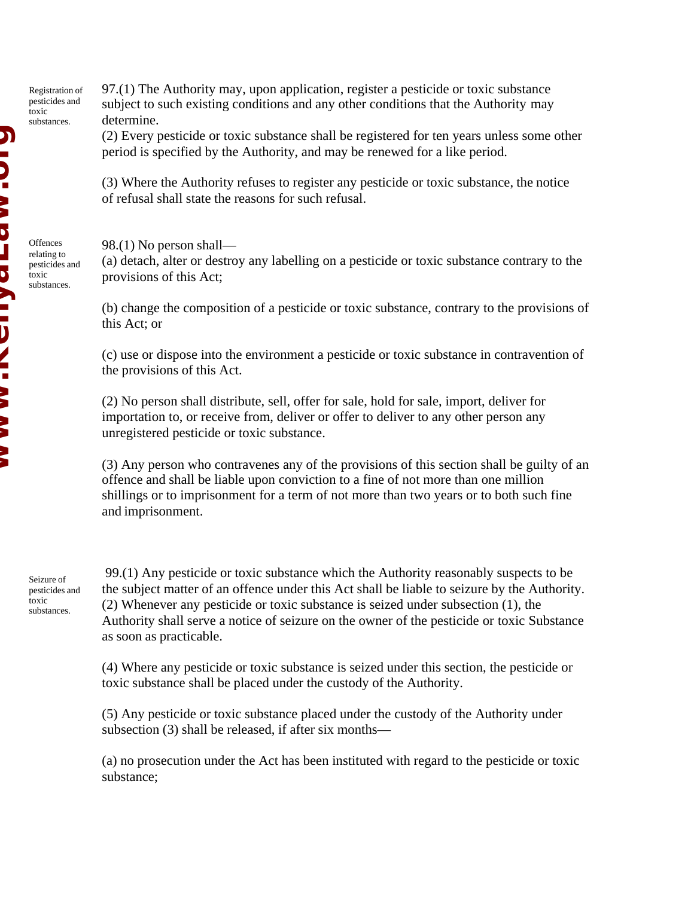Registration of pesticides and toxic substances.

**Offences** relating to pesticides and toxic substances.

97.(1) The Authority may, upon application, register a pesticide or toxic substance subject to such existing conditions and any other conditions that the Authority may determine.

(2) Every pesticide or toxic substance shall be registered for ten years unless some other period is specified by the Authority, and may be renewed for a like period.

(3) Where the Authority refuses to register any pesticide or toxic substance, the notice of refusal shall state the reasons for such refusal.

98.(1) No person shall—

(a) detach, alter or destroy any labelling on a pesticide or toxic substance contrary to the provisions of this Act;

(b) change the composition of a pesticide or toxic substance, contrary to the provisions of this Act; or

(c) use or dispose into the environment a pesticide or toxic substance in contravention of the provisions of this Act.

(2) No person shall distribute, sell, offer for sale, hold for sale, import, deliver for importation to, or receive from, deliver or offer to deliver to any other person any unregistered pesticide or toxic substance.

(3) Any person who contravenes any of the provisions of this section shall be guilty of an offence and shall be liable upon conviction to a fine of not more than one million shillings or to imprisonment for a term of not more than two years or to both such fine and imprisonment.

Seizure of pesticides and toxic substances.

 99.(1) Any pesticide or toxic substance which the Authority reasonably suspects to be the subject matter of an offence under this Act shall be liable to seizure by the Authority. (2) Whenever any pesticide or toxic substance is seized under subsection (1), the Authority shall serve a notice of seizure on the owner of the pesticide or toxic Substance as soon as practicable.

(4) Where any pesticide or toxic substance is seized under this section, the pesticide or toxic substance shall be placed under the custody of the Authority.

(5) Any pesticide or toxic substance placed under the custody of the Authority under subsection (3) shall be released, if after six months—

(a) no prosecution under the Act has been instituted with regard to the pesticide or toxic substance;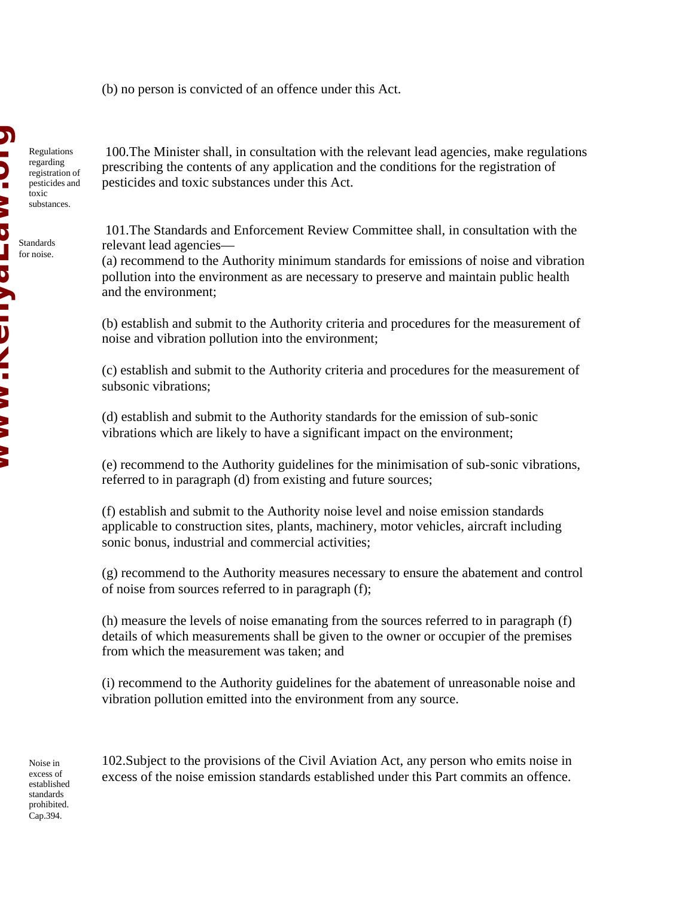(b) no person is convicted of an offence under this Act.

Regulations regarding registration of pesticides and toxic substances.

**Windshaum.com** Standards **JANASHIANI AN** for noise.

N<br>U<br>U

 100.The Minister shall, in consultation with the relevant lead agencies, make regulations prescribing the contents of any application and the conditions for the registration of pesticides and toxic substances under this Act.

 101.The Standards and Enforcement Review Committee shall, in consultation with the relevant lead agencies—

(a) recommend to the Authority minimum standards for emissions of noise and vibration pollution into the environment as are necessary to preserve and maintain public health and the environment;

(b) establish and submit to the Authority criteria and procedures for the measurement of noise and vibration pollution into the environment;

(c) establish and submit to the Authority criteria and procedures for the measurement of subsonic vibrations;

(d) establish and submit to the Authority standards for the emission of sub-sonic vibrations which are likely to have a significant impact on the environment;

(e) recommend to the Authority guidelines for the minimisation of sub-sonic vibrations, referred to in paragraph (d) from existing and future sources;

(f) establish and submit to the Authority noise level and noise emission standards applicable to construction sites, plants, machinery, motor vehicles, aircraft including sonic bonus, industrial and commercial activities;

(g) recommend to the Authority measures necessary to ensure the abatement and control of noise from sources referred to in paragraph (f);

(h) measure the levels of noise emanating from the sources referred to in paragraph (f) details of which measurements shall be given to the owner or occupier of the premises from which the measurement was taken; and

(i) recommend to the Authority guidelines for the abatement of unreasonable noise and vibration pollution emitted into the environment from any source.

Noise in excess of established standards prohibited. Cap.394.

102.Subject to the provisions of the Civil Aviation Act, any person who emits noise in excess of the noise emission standards established under this Part commits an offence.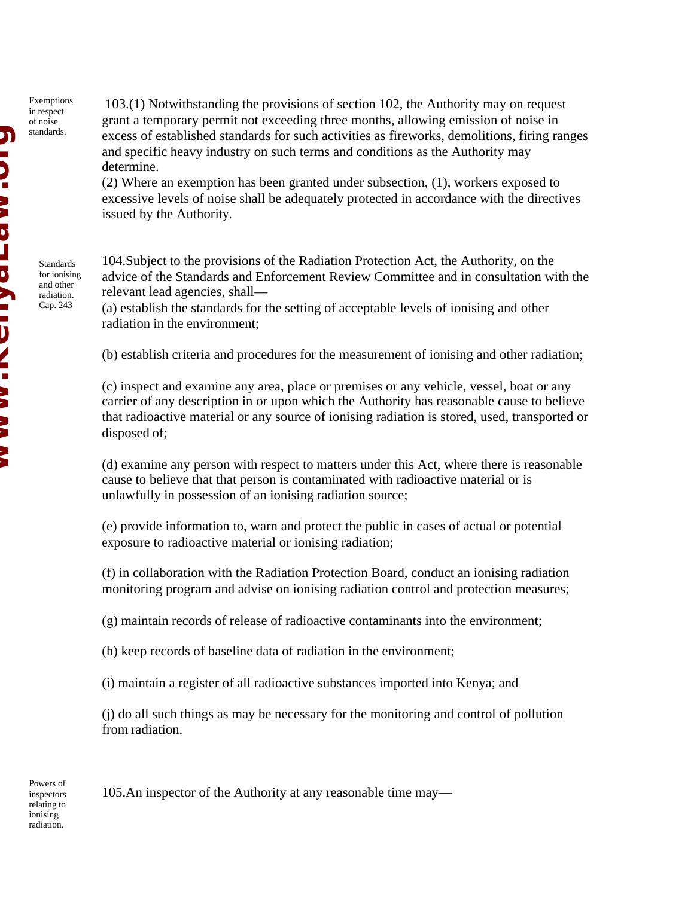Exemptions in respect of noise standards.

> Standards for ionising and other radiation. Cap. 243

 103.(1) Notwithstanding the provisions of section 102, the Authority may on request grant a temporary permit not exceeding three months, allowing emission of noise in excess of established standards for such activities as fireworks, demolitions, firing ranges and specific heavy industry on such terms and conditions as the Authority may determine.

(2) Where an exemption has been granted under subsection, (1), workers exposed to excessive levels of noise shall be adequately protected in accordance with the directives issued by the Authority.

104.Subject to the provisions of the Radiation Protection Act, the Authority, on the advice of the Standards and Enforcement Review Committee and in consultation with the relevant lead agencies, shall—

(a) establish the standards for the setting of acceptable levels of ionising and other radiation in the environment;

(b) establish criteria and procedures for the measurement of ionising and other radiation;

(c) inspect and examine any area, place or premises or any vehicle, vessel, boat or any carrier of any description in or upon which the Authority has reasonable cause to believe that radioactive material or any source of ionising radiation is stored, used, transported or disposed of;

(d) examine any person with respect to matters under this Act, where there is reasonable cause to believe that that person is contaminated with radioactive material or is unlawfully in possession of an ionising radiation source;

(e) provide information to, warn and protect the public in cases of actual or potential exposure to radioactive material or ionising radiation;

(f) in collaboration with the Radiation Protection Board, conduct an ionising radiation monitoring program and advise on ionising radiation control and protection measures;

(g) maintain records of release of radioactive contaminants into the environment;

(h) keep records of baseline data of radiation in the environment;

(i) maintain a register of all radioactive substances imported into Kenya; and

(j) do all such things as may be necessary for the monitoring and control of pollution from radiation.

Powers of inspectors relating to ionising radiation.

105.An inspector of the Authority at any reasonable time may—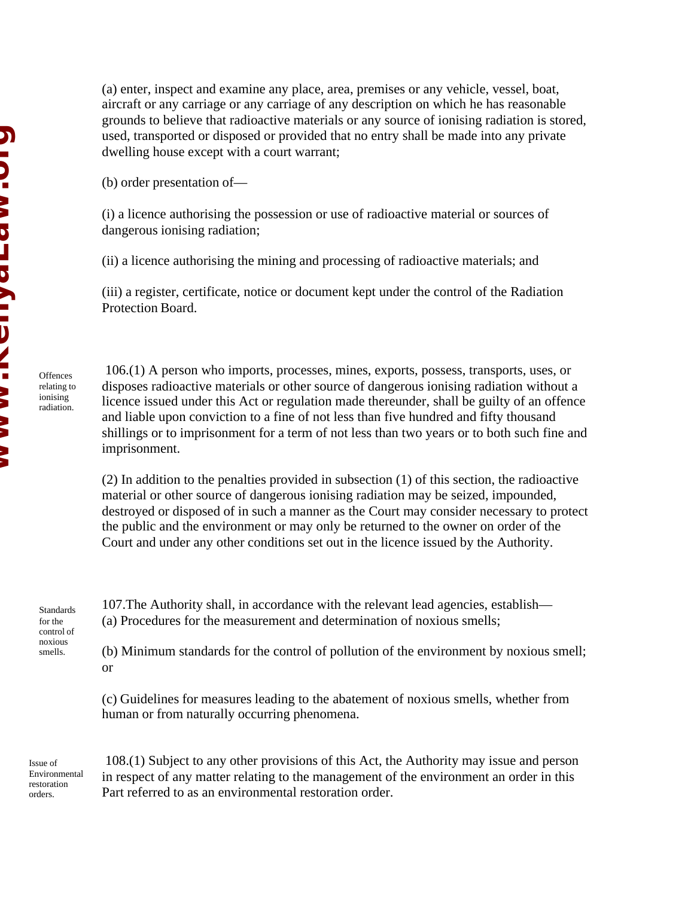(a) enter, inspect and examine any place, area, premises or any vehicle, vessel, boat, aircraft or any carriage or any carriage of any description on which he has reasonable grounds to believe that radioactive materials or any source of ionising radiation is stored, used, transported or disposed or provided that no entry shall be made into any private dwelling house except with a court warrant;

(b) order presentation of—

(i) a licence authorising the possession or use of radioactive material or sources of dangerous ionising radiation;

(ii) a licence authorising the mining and processing of radioactive materials; and

(iii) a register, certificate, notice or document kept under the control of the Radiation Protection Board.

 106.(1) A person who imports, processes, mines, exports, possess, transports, uses, or disposes radioactive materials or other source of dangerous ionising radiation without a licence issued under this Act or regulation made thereunder, shall be guilty of an offence and liable upon conviction to a fine of not less than five hundred and fifty thousand shillings or to imprisonment for a term of not less than two years or to both such fine and imprisonment.

(2) In addition to the penalties provided in subsection (1) of this section, the radioactive material or other source of dangerous ionising radiation may be seized, impounded, destroyed or disposed of in such a manner as the Court may consider necessary to protect the public and the environment or may only be returned to the owner on order of the Court and under any other conditions set out in the licence issued by the Authority.

Standards for the control of noxious smells.

**Offences** relating to ionising radiation.

> 107.The Authority shall, in accordance with the relevant lead agencies, establish— (a) Procedures for the measurement and determination of noxious smells;

(b) Minimum standards for the control of pollution of the environment by noxious smell; or

(c) Guidelines for measures leading to the abatement of noxious smells, whether from human or from naturally occurring phenomena.

Issue of Environmental restoration orders.

 108.(1) Subject to any other provisions of this Act, the Authority may issue and person in respect of any matter relating to the management of the environment an order in this Part referred to as an environmental restoration order.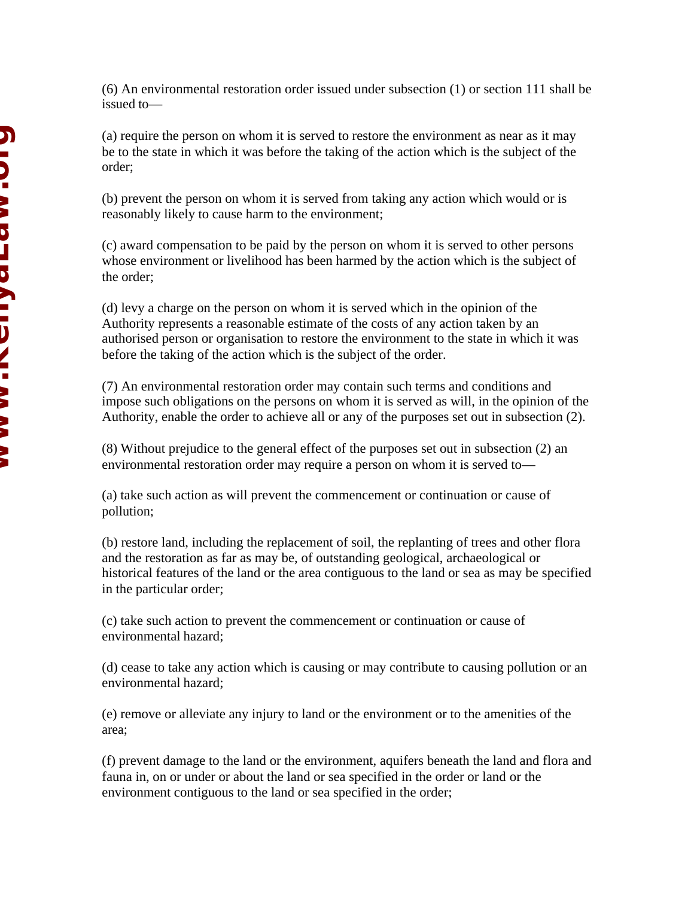(6) An environmental restoration order issued under subsection (1) or section 111 shall be issued to—

(a) require the person on whom it is served to restore the environment as near as it may be to the state in which it was before the taking of the action which is the subject of the order;

(b) prevent the person on whom it is served from taking any action which would or is reasonably likely to cause harm to the environment;

(c) award compensation to be paid by the person on whom it is served to other persons whose environment or livelihood has been harmed by the action which is the subject of the order;

(d) levy a charge on the person on whom it is served which in the opinion of the Authority represents a reasonable estimate of the costs of any action taken by an authorised person or organisation to restore the environment to the state in which it was before the taking of the action which is the subject of the order.

(7) An environmental restoration order may contain such terms and conditions and impose such obligations on the persons on whom it is served as will, in the opinion of the Authority, enable the order to achieve all or any of the purposes set out in subsection (2).

(8) Without prejudice to the general effect of the purposes set out in subsection (2) an environmental restoration order may require a person on whom it is served to—

(a) take such action as will prevent the commencement or continuation or cause of pollution;

(b) restore land, including the replacement of soil, the replanting of trees and other flora and the restoration as far as may be, of outstanding geological, archaeological or historical features of the land or the area contiguous to the land or sea as may be specified in the particular order;

(c) take such action to prevent the commencement or continuation or cause of environmental hazard;

(d) cease to take any action which is causing or may contribute to causing pollution or an environmental hazard;

(e) remove or alleviate any injury to land or the environment or to the amenities of the area;

(f) prevent damage to the land or the environment, aquifers beneath the land and flora and fauna in, on or under or about the land or sea specified in the order or land or the environment contiguous to the land or sea specified in the order;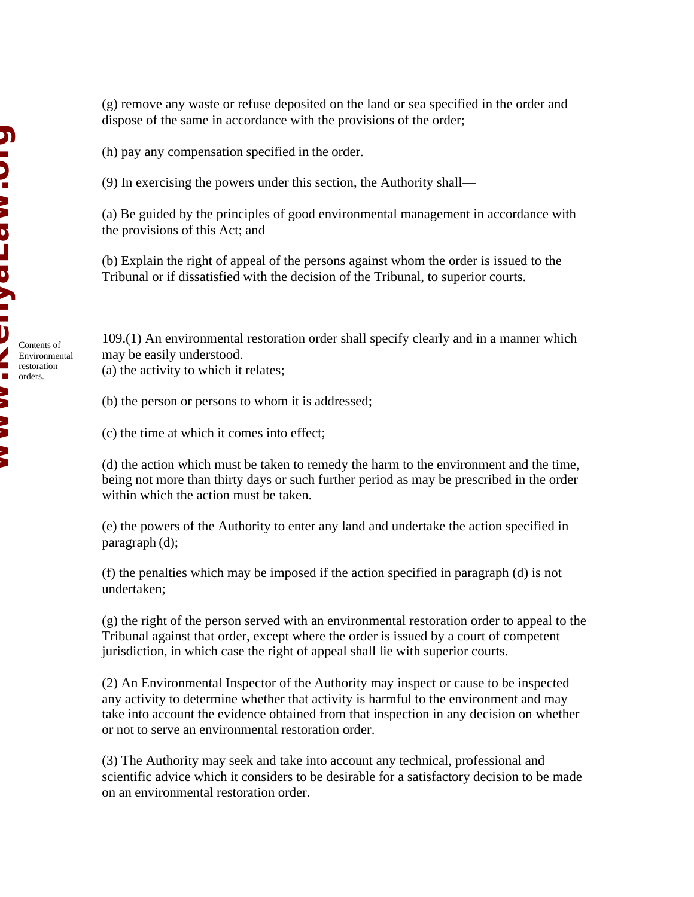(g) remove any waste or refuse deposited on the land or sea specified in the order and dispose of the same in accordance with the provisions of the order;

(h) pay any compensation specified in the order.

(9) In exercising the powers under this section, the Authority shall—

(a) Be guided by the principles of good environmental management in accordance with the provisions of this Act; and

(b) Explain the right of appeal of the persons against whom the order is issued to the Tribunal or if dissatisfied with the decision of the Tribunal, to superior courts.

109.(1) An environmental restoration order shall specify clearly and in a manner which may be easily understood.

(a) the activity to which it relates;

(b) the person or persons to whom it is addressed;

(c) the time at which it comes into effect;

(d) the action which must be taken to remedy the harm to the environment and the time, being not more than thirty days or such further period as may be prescribed in the order within which the action must be taken.

(e) the powers of the Authority to enter any land and undertake the action specified in paragraph (d);

(f) the penalties which may be imposed if the action specified in paragraph (d) is not undertaken;

(g) the right of the person served with an environmental restoration order to appeal to the Tribunal against that order, except where the order is issued by a court of competent jurisdiction, in which case the right of appeal shall lie with superior courts.

(2) An Environmental Inspector of the Authority may inspect or cause to be inspected any activity to determine whether that activity is harmful to the environment and may take into account the evidence obtained from that inspection in any decision on whether or not to serve an environmental restoration order.

(3) The Authority may seek and take into account any technical, professional and scientific advice which it considers to be desirable for a satisfactory decision to be made on an environmental restoration order.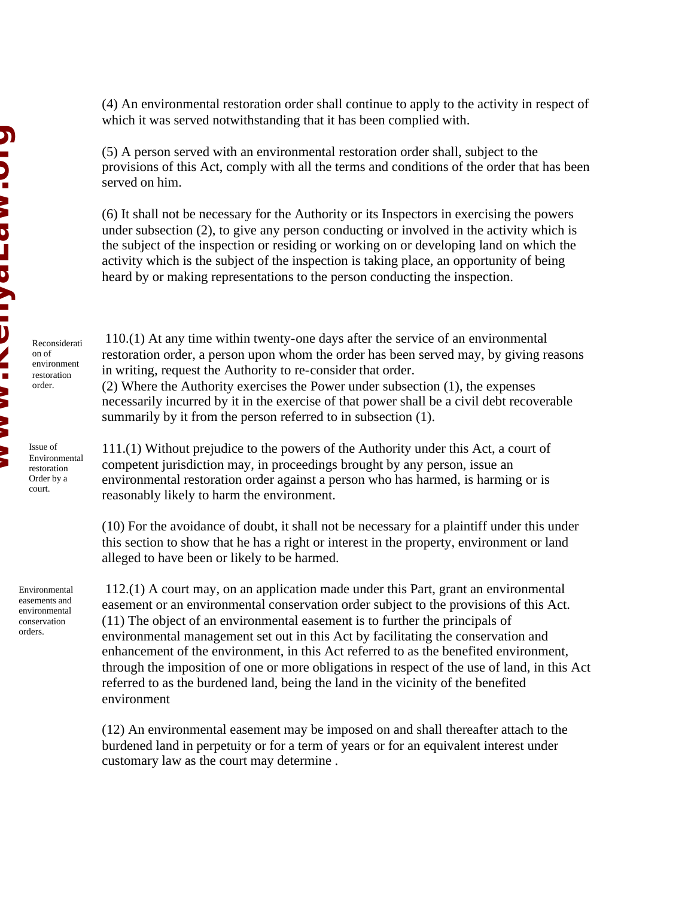(4) An environmental restoration order shall continue to apply to the activity in respect of which it was served notwithstanding that it has been complied with.

(5) A person served with an environmental restoration order shall, subject to the provisions of this Act, comply with all the terms and conditions of the order that has been served on him.

(6) It shall not be necessary for the Authority or its Inspectors in exercising the powers under subsection (2), to give any person conducting or involved in the activity which is the subject of the inspection or residing or working on or developing land on which the activity which is the subject of the inspection is taking place, an opportunity of being heard by or making representations to the person conducting the inspection.

Reconsiderati on of environment restoration order.

Issue of Environmental restoration Order by a court.

Environmental easements and environmental conservation orders.

 110.(1) At any time within twenty-one days after the service of an environmental restoration order, a person upon whom the order has been served may, by giving reasons in writing, request the Authority to re-consider that order.

(2) Where the Authority exercises the Power under subsection (1), the expenses necessarily incurred by it in the exercise of that power shall be a civil debt recoverable summarily by it from the person referred to in subsection (1).

111.(1) Without prejudice to the powers of the Authority under this Act, a court of competent jurisdiction may, in proceedings brought by any person, issue an environmental restoration order against a person who has harmed, is harming or is reasonably likely to harm the environment.

(10) For the avoidance of doubt, it shall not be necessary for a plaintiff under this under this section to show that he has a right or interest in the property, environment or land alleged to have been or likely to be harmed.

 112.(1) A court may, on an application made under this Part, grant an environmental easement or an environmental conservation order subject to the provisions of this Act. (11) The object of an environmental easement is to further the principals of environmental management set out in this Act by facilitating the conservation and enhancement of the environment, in this Act referred to as the benefited environment, through the imposition of one or more obligations in respect of the use of land, in this Act referred to as the burdened land, being the land in the vicinity of the benefited environment

(12) An environmental easement may be imposed on and shall thereafter attach to the burdened land in perpetuity or for a term of years or for an equivalent interest under customary law as the court may determine .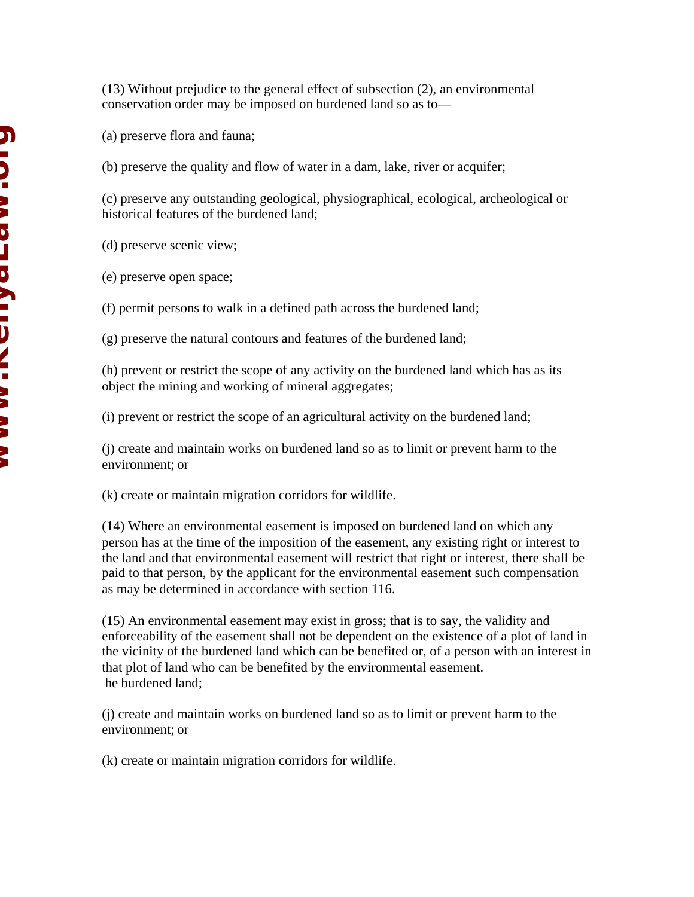(13) Without prejudice to the general effect of subsection (2), an environmental conservation order may be imposed on burdened land so as to—

(a) preserve flora and fauna;

(b) preserve the quality and flow of water in a dam, lake, river or acquifer;

(c) preserve any outstanding geological, physiographical, ecological, archeological or historical features of the burdened land;

(d) preserve scenic view;

(e) preserve open space;

(f) permit persons to walk in a defined path across the burdened land;

(g) preserve the natural contours and features of the burdened land;

(h) prevent or restrict the scope of any activity on the burdened land which has as its object the mining and working of mineral aggregates;

(i) prevent or restrict the scope of an agricultural activity on the burdened land;

(j) create and maintain works on burdened land so as to limit or prevent harm to the environment; or

(k) create or maintain migration corridors for wildlife.

(14) Where an environmental easement is imposed on burdened land on which any person has at the time of the imposition of the easement, any existing right or interest to the land and that environmental easement will restrict that right or interest, there shall be paid to that person, by the applicant for the environmental easement such compensation as may be determined in accordance with section 116.

(15) An environmental easement may exist in gross; that is to say, the validity and enforceability of the easement shall not be dependent on the existence of a plot of land in the vicinity of the burdened land which can be benefited or, of a person with an interest in that plot of land who can be benefited by the environmental easement. he burdened land;

(j) create and maintain works on burdened land so as to limit or prevent harm to the environment; or

(k) create or maintain migration corridors for wildlife.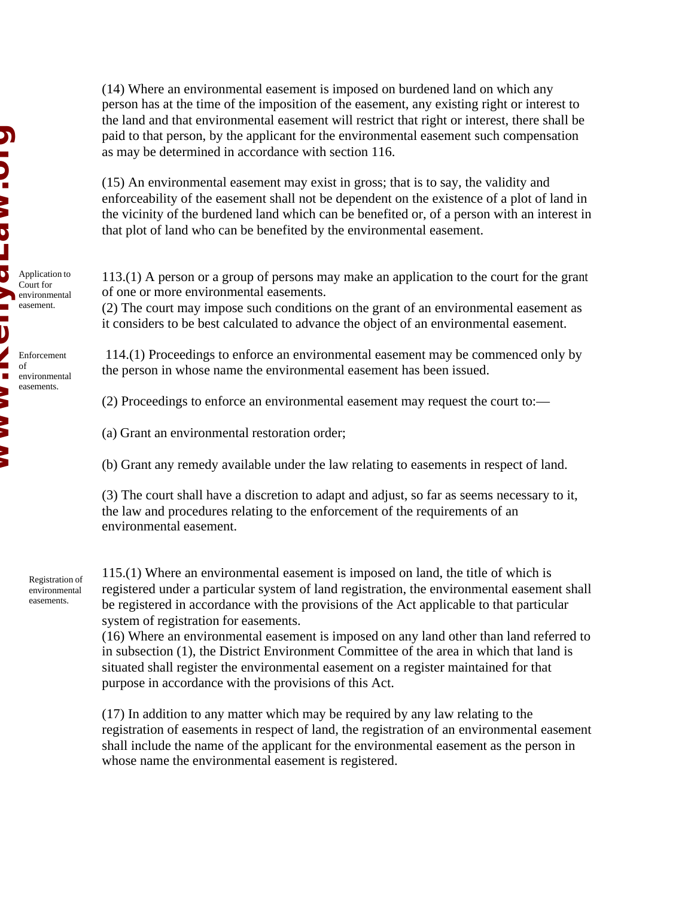(14) Where an environmental easement is imposed on burdened land on which any person has at the time of the imposition of the easement, any existing right or interest to the land and that environmental easement will restrict that right or interest, there shall be paid to that person, by the applicant for the environmental easement such compensation as may be determined in accordance with section 116.

(15) An environmental easement may exist in gross; that is to say, the validity and enforceability of the easement shall not be dependent on the existence of a plot of land in the vicinity of the burdened land which can be benefited or, of a person with an interest in that plot of land who can be benefited by the environmental easement.

113.(1) A person or a group of persons may make an application to the court for the grant of one or more environmental easements.

(2) The court may impose such conditions on the grant of an environmental easement as it considers to be best calculated to advance the object of an environmental easement.

 114.(1) Proceedings to enforce an environmental easement may be commenced only by the person in whose name the environmental easement has been issued.

- (2) Proceedings to enforce an environmental easement may request the court to:—
- (a) Grant an environmental restoration order;
- (b) Grant any remedy available under the law relating to easements in respect of land.

(3) The court shall have a discretion to adapt and adjust, so far as seems necessary to it, the law and procedures relating to the enforcement of the requirements of an environmental easement.

Registration of environmental easements.

115.(1) Where an environmental easement is imposed on land, the title of which is registered under a particular system of land registration, the environmental easement shall be registered in accordance with the provisions of the Act applicable to that particular system of registration for easements.

(16) Where an environmental easement is imposed on any land other than land referred to in subsection (1), the District Environment Committee of the area in which that land is situated shall register the environmental easement on a register maintained for that purpose in accordance with the provisions of this Act.

(17) In addition to any matter which may be required by any law relating to the registration of easements in respect of land, the registration of an environmental easement shall include the name of the applicant for the environmental easement as the person in whose name the environmental easement is registered.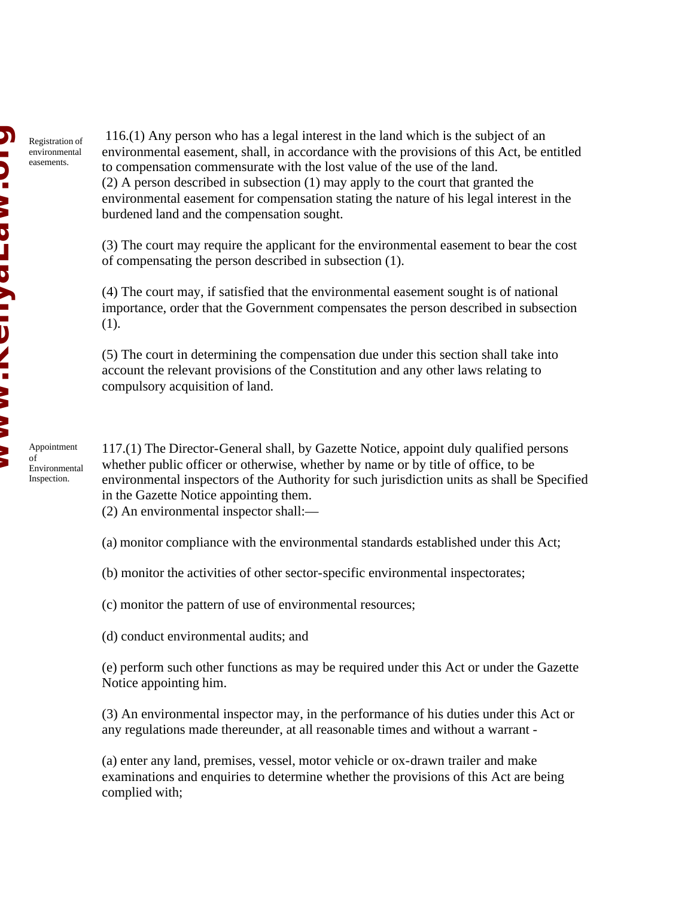Registration of environmental easements.

 116.(1) Any person who has a legal interest in the land which is the subject of an environmental easement, shall, in accordance with the provisions of this Act, be entitled to compensation commensurate with the lost value of the use of the land.

(2) A person described in subsection (1) may apply to the court that granted the environmental easement for compensation stating the nature of his legal interest in the burdened land and the compensation sought.

(3) The court may require the applicant for the environmental easement to bear the cost of compensating the person described in subsection (1).

(4) The court may, if satisfied that the environmental easement sought is of national importance, order that the Government compensates the person described in subsection (1).

(5) The court in determining the compensation due under this section shall take into account the relevant provisions of the Constitution and any other laws relating to compulsory acquisition of land.

Appointment of Environmental Inspection.

117.(1) The Director-General shall, by Gazette Notice, appoint duly qualified persons whether public officer or otherwise, whether by name or by title of office, to be environmental inspectors of the Authority for such jurisdiction units as shall be Specified in the Gazette Notice appointing them.

(2) An environmental inspector shall:—

(a) monitor compliance with the environmental standards established under this Act;

(b) monitor the activities of other sector-specific environmental inspectorates;

(c) monitor the pattern of use of environmental resources;

(d) conduct environmental audits; and

(e) perform such other functions as may be required under this Act or under the Gazette Notice appointing him.

(3) An environmental inspector may, in the performance of his duties under this Act or any regulations made thereunder, at all reasonable times and without a warrant -

(a) enter any land, premises, vessel, motor vehicle or ox-drawn trailer and make examinations and enquiries to determine whether the provisions of this Act are being complied with;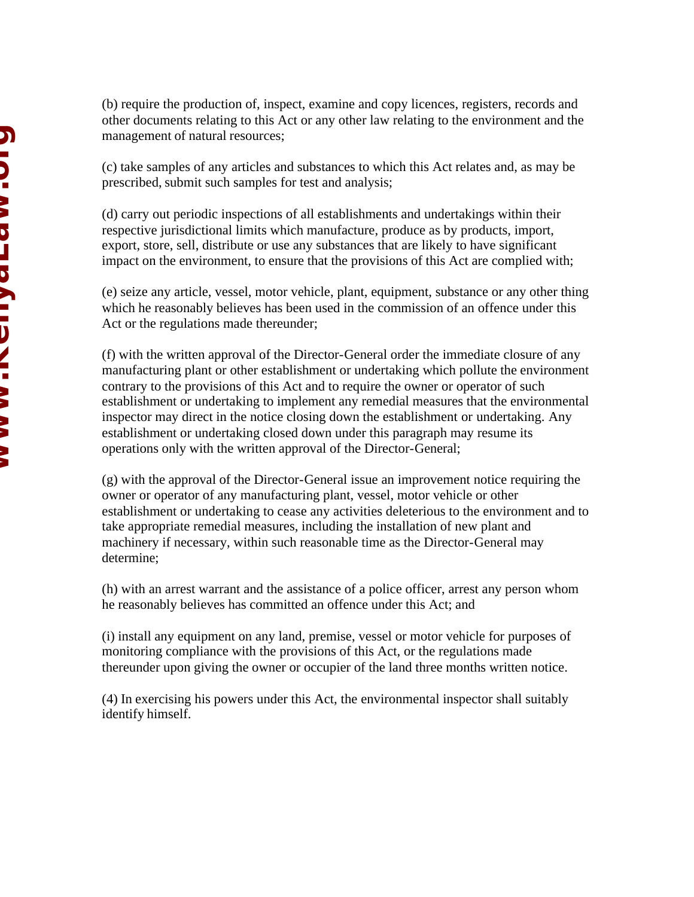(b) require the production of, inspect, examine and copy licences, registers, records and other documents relating to this Act or any other law relating to the environment and the management of natural resources;

(c) take samples of any articles and substances to which this Act relates and, as may be prescribed, submit such samples for test and analysis;

(d) carry out periodic inspections of all establishments and undertakings within their respective jurisdictional limits which manufacture, produce as by products, import, export, store, sell, distribute or use any substances that are likely to have significant impact on the environment, to ensure that the provisions of this Act are complied with;

(e) seize any article, vessel, motor vehicle, plant, equipment, substance or any other thing which he reasonably believes has been used in the commission of an offence under this Act or the regulations made thereunder;

(f) with the written approval of the Director-General order the immediate closure of any manufacturing plant or other establishment or undertaking which pollute the environment contrary to the provisions of this Act and to require the owner or operator of such establishment or undertaking to implement any remedial measures that the environmental inspector may direct in the notice closing down the establishment or undertaking. Any establishment or undertaking closed down under this paragraph may resume its operations only with the written approval of the Director-General;

(g) with the approval of the Director-General issue an improvement notice requiring the owner or operator of any manufacturing plant, vessel, motor vehicle or other establishment or undertaking to cease any activities deleterious to the environment and to take appropriate remedial measures, including the installation of new plant and machinery if necessary, within such reasonable time as the Director-General may determine;

(h) with an arrest warrant and the assistance of a police officer, arrest any person whom he reasonably believes has committed an offence under this Act; and

(i) install any equipment on any land, premise, vessel or motor vehicle for purposes of monitoring compliance with the provisions of this Act, or the regulations made thereunder upon giving the owner or occupier of the land three months written notice.

(4) In exercising his powers under this Act, the environmental inspector shall suitably identify himself.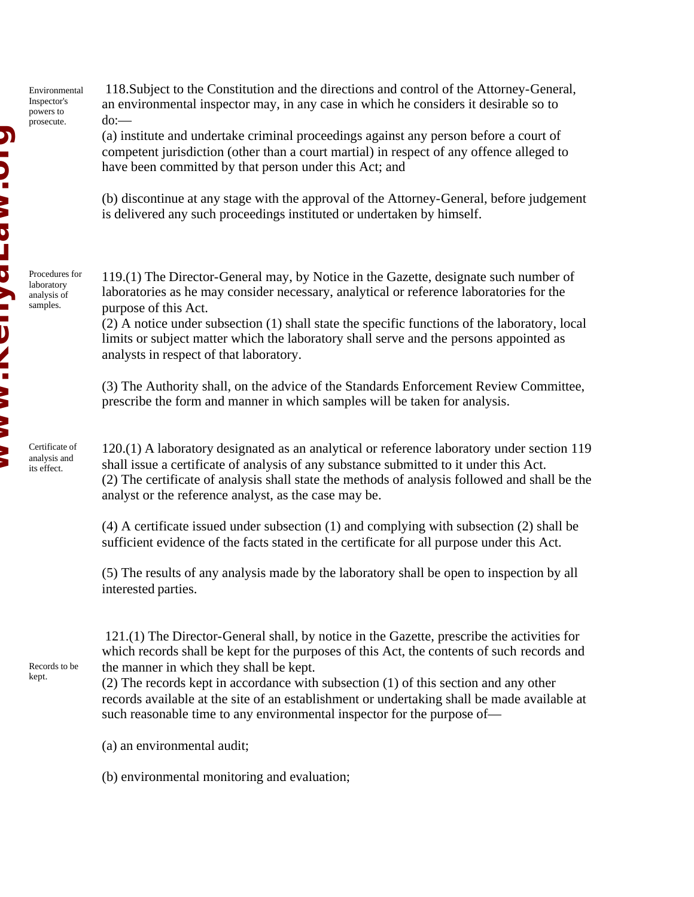118.Subject to the Constitution and the directions and control of the Attorney-General, an environmental inspector may, in any case in which he considers it desirable so to do:—

(a) institute and undertake criminal proceedings against any person before a court of competent jurisdiction (other than a court martial) in respect of any offence alleged to have been committed by that person under this Act; and

(b) discontinue at any stage with the approval of the Attorney-General, before judgement is delivered any such proceedings instituted or undertaken by himself.

119.(1) The Director-General may, by Notice in the Gazette, designate such number of laboratories as he may consider necessary, analytical or reference laboratories for the purpose of this Act.

(2) A notice under subsection (1) shall state the specific functions of the laboratory, local limits or subject matter which the laboratory shall serve and the persons appointed as analysts in respect of that laboratory.

(3) The Authority shall, on the advice of the Standards Enforcement Review Committee, prescribe the form and manner in which samples will be taken for analysis.

120.(1) A laboratory designated as an analytical or reference laboratory under section 119 shall issue a certificate of analysis of any substance submitted to it under this Act. (2) The certificate of analysis shall state the methods of analysis followed and shall be the analyst or the reference analyst, as the case may be.

(4) A certificate issued under subsection (1) and complying with subsection (2) shall be sufficient evidence of the facts stated in the certificate for all purpose under this Act.

(5) The results of any analysis made by the laboratory shall be open to inspection by all interested parties.

 121.(1) The Director-General shall, by notice in the Gazette, prescribe the activities for which records shall be kept for the purposes of this Act, the contents of such records and the manner in which they shall be kept.

(2) The records kept in accordance with subsection (1) of this section and any other records available at the site of an establishment or undertaking shall be made available at such reasonable time to any environmental inspector for the purpose of—

(a) an environmental audit;

(b) environmental monitoring and evaluation;

laboratory analysis of samples.

**Windshaum.com NANA HACITALISM.** 

Procedures for

Certificate of analysis and its effect.

Records to be kept.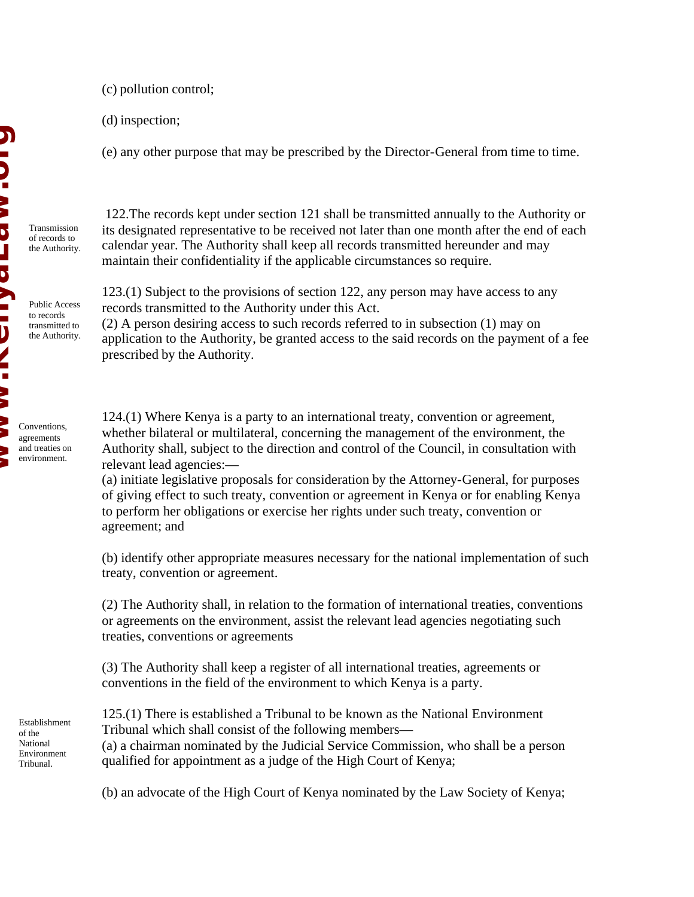(c) pollution control;

(d) inspection;

(e) any other purpose that may be prescribed by the Director-General from time to time.

Transmission of records to the Authority.

Public Access to records transmitted to the Authority.

 122.The records kept under section 121 shall be transmitted annually to the Authority or its designated representative to be received not later than one month after the end of each calendar year. The Authority shall keep all records transmitted hereunder and may maintain their confidentiality if the applicable circumstances so require.

123.(1) Subject to the provisions of section 122, any person may have access to any records transmitted to the Authority under this Act.

(2) A person desiring access to such records referred to in subsection (1) may on application to the Authority, be granted access to the said records on the payment of a fee prescribed by the Authority.

124.(1) Where Kenya is a party to an international treaty, convention or agreement, whether bilateral or multilateral, concerning the management of the environment, the Authority shall, subject to the direction and control of the Council, in consultation with relevant lead agencies:—

(a) initiate legislative proposals for consideration by the Attorney-General, for purposes of giving effect to such treaty, convention or agreement in Kenya or for enabling Kenya to perform her obligations or exercise her rights under such treaty, convention or agreement; and

(b) identify other appropriate measures necessary for the national implementation of such treaty, convention or agreement.

(2) The Authority shall, in relation to the formation of international treaties, conventions or agreements on the environment, assist the relevant lead agencies negotiating such treaties, conventions or agreements

(3) The Authority shall keep a register of all international treaties, agreements or conventions in the field of the environment to which Kenya is a party.

125.(1) There is established a Tribunal to be known as the National Environment Tribunal which shall consist of the following members— (a) a chairman nominated by the Judicial Service Commission, who shall be a person qualified for appointment as a judge of the High Court of Kenya;

(b) an advocate of the High Court of Kenya nominated by the Law Society of Kenya;

Establishment of the National Environment Tribunal.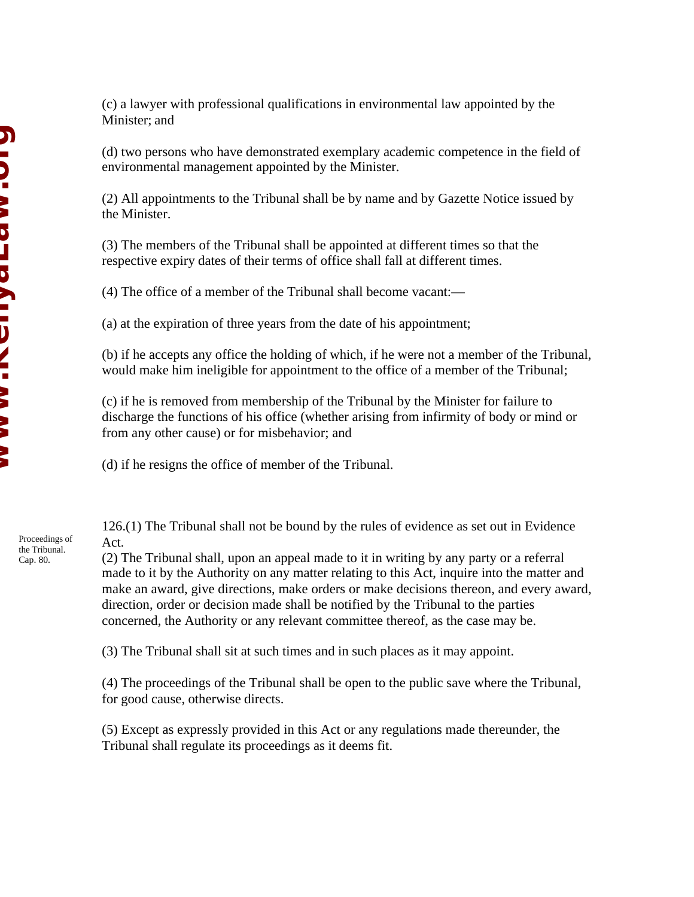(c) a lawyer with professional qualifications in environmental law appointed by the Minister; and

(d) two persons who have demonstrated exemplary academic competence in the field of environmental management appointed by the Minister.

(2) All appointments to the Tribunal shall be by name and by Gazette Notice issued by the Minister.

(3) The members of the Tribunal shall be appointed at different times so that the respective expiry dates of their terms of office shall fall at different times.

(4) The office of a member of the Tribunal shall become vacant:—

(a) at the expiration of three years from the date of his appointment;

(b) if he accepts any office the holding of which, if he were not a member of the Tribunal, would make him ineligible for appointment to the office of a member of the Tribunal;

(c) if he is removed from membership of the Tribunal by the Minister for failure to discharge the functions of his office (whether arising from infirmity of body or mind or from any other cause) or for misbehavior; and

(d) if he resigns the office of member of the Tribunal.

126.(1) The Tribunal shall not be bound by the rules of evidence as set out in Evidence Act.

(2) The Tribunal shall, upon an appeal made to it in writing by any party or a referral made to it by the Authority on any matter relating to this Act, inquire into the matter and make an award, give directions, make orders or make decisions thereon, and every award, direction, order or decision made shall be notified by the Tribunal to the parties concerned, the Authority or any relevant committee thereof, as the case may be.

(3) The Tribunal shall sit at such times and in such places as it may appoint.

(4) The proceedings of the Tribunal shall be open to the public save where the Tribunal, for good cause, otherwise directs.

(5) Except as expressly provided in this Act or any regulations made thereunder, the Tribunal shall regulate its proceedings as it deems fit.

Proceedings of the Tribunal. Cap. 80.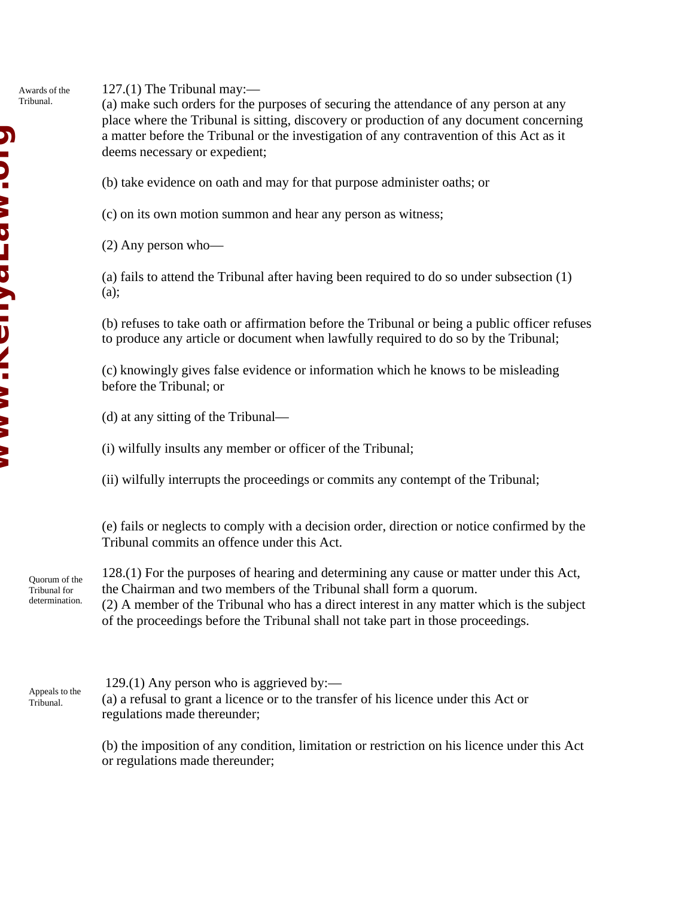127.(1) The Tribunal may:— Awards of the Tribunal.

(a) make such orders for the purposes of securing the attendance of any person at any place where the Tribunal is sitting, discovery or production of any document concerning a matter before the Tribunal or the investigation of any contravention of this Act as it deems necessary or expedient;

(b) take evidence on oath and may for that purpose administer oaths; or

(c) on its own motion summon and hear any person as witness;

(2) Any person who—

(a) fails to attend the Tribunal after having been required to do so under subsection (1) (a);

(b) refuses to take oath or affirmation before the Tribunal or being a public officer refuses to produce any article or document when lawfully required to do so by the Tribunal;

(c) knowingly gives false evidence or information which he knows to be misleading before the Tribunal; or

(d) at any sitting of the Tribunal—

(i) wilfully insults any member or officer of the Tribunal;

(ii) wilfully interrupts the proceedings or commits any contempt of the Tribunal;

(e) fails or neglects to comply with a decision order, direction or notice confirmed by the Tribunal commits an offence under this Act.

Quorum of the Tribunal for determination.

128.(1) For the purposes of hearing and determining any cause or matter under this Act, the Chairman and two members of the Tribunal shall form a quorum.

(2) A member of the Tribunal who has a direct interest in any matter which is the subject of the proceedings before the Tribunal shall not take part in those proceedings.

Appeals to the Tribunal.

 129.(1) Any person who is aggrieved by:— (a) a refusal to grant a licence or to the transfer of his licence under this Act or regulations made thereunder;

(b) the imposition of any condition, limitation or restriction on his licence under this Act or regulations made thereunder;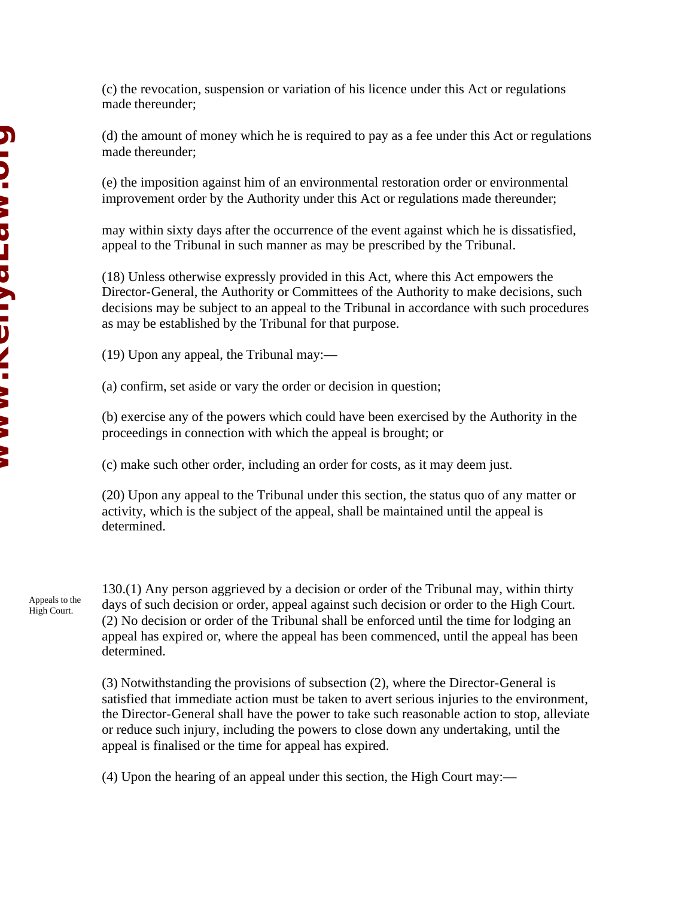**Windshaum.com NID. >> DTD > ID\L: >> >> \** 

(c) the revocation, suspension or variation of his licence under this Act or regulations made thereunder;

(d) the amount of money which he is required to pay as a fee under this Act or regulations made thereunder;

(e) the imposition against him of an environmental restoration order or environmental improvement order by the Authority under this Act or regulations made thereunder;

may within sixty days after the occurrence of the event against which he is dissatisfied, appeal to the Tribunal in such manner as may be prescribed by the Tribunal.

(18) Unless otherwise expressly provided in this Act, where this Act empowers the Director-General, the Authority or Committees of the Authority to make decisions, such decisions may be subject to an appeal to the Tribunal in accordance with such procedures as may be established by the Tribunal for that purpose.

(19) Upon any appeal, the Tribunal may:—

(a) confirm, set aside or vary the order or decision in question;

(b) exercise any of the powers which could have been exercised by the Authority in the proceedings in connection with which the appeal is brought; or

(c) make such other order, including an order for costs, as it may deem just.

(20) Upon any appeal to the Tribunal under this section, the status quo of any matter or activity, which is the subject of the appeal, shall be maintained until the appeal is determined.

Appeals to the High Court.

130.(1) Any person aggrieved by a decision or order of the Tribunal may, within thirty days of such decision or order, appeal against such decision or order to the High Court. (2) No decision or order of the Tribunal shall be enforced until the time for lodging an appeal has expired or, where the appeal has been commenced, until the appeal has been determined.

(3) Notwithstanding the provisions of subsection (2), where the Director-General is satisfied that immediate action must be taken to avert serious injuries to the environment, the Director-General shall have the power to take such reasonable action to stop, alleviate or reduce such injury, including the powers to close down any undertaking, until the appeal is finalised or the time for appeal has expired.

(4) Upon the hearing of an appeal under this section, the High Court may:—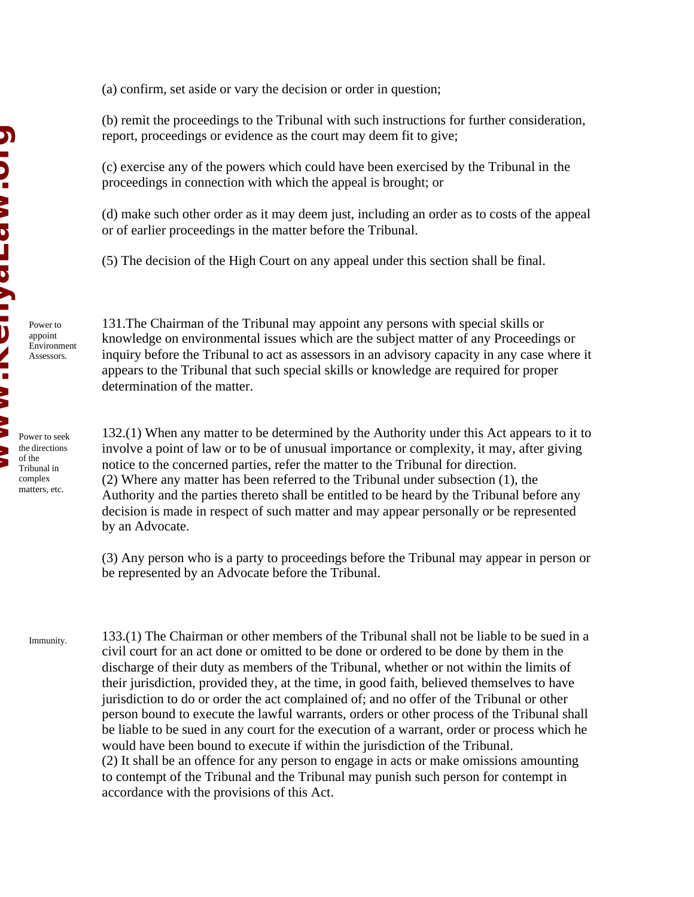Power to appoint Environment Assessors.

Tribunal in complex matters, etc. (a) confirm, set aside or vary the decision or order in question;

(b) remit the proceedings to the Tribunal with such instructions for further consideration, report, proceedings or evidence as the court may deem fit to give;

(c) exercise any of the powers which could have been exercised by the Tribunal in the proceedings in connection with which the appeal is brought; or

(d) make such other order as it may deem just, including an order as to costs of the appeal or of earlier proceedings in the matter before the Tribunal.

(5) The decision of the High Court on any appeal under this section shall be final.

131.The Chairman of the Tribunal may appoint any persons with special skills or knowledge on environmental issues which are the subject matter of any Proceedings or inquiry before the Tribunal to act as assessors in an advisory capacity in any case where it appears to the Tribunal that such special skills or knowledge are required for proper determination of the matter.

132.(1) When any matter to be determined by the Authority under this Act appears to it to involve a point of law or to be of unusual importance or complexity, it may, after giving notice to the concerned parties, refer the matter to the Tribunal for direction. (2) Where any matter has been referred to the Tribunal under subsection (1), the Authority and the parties thereto shall be entitled to be heard by the Tribunal before any decision is made in respect of such matter and may appear personally or be represented by an Advocate.

(3) Any person who is a party to proceedings before the Tribunal may appear in person or be represented by an Advocate before the Tribunal.

133.(1) The Chairman or other members of the Tribunal shall not be liable to be sued in a civil court for an act done or omitted to be done or ordered to be done by them in the discharge of their duty as members of the Tribunal, whether or not within the limits of their jurisdiction, provided they, at the time, in good faith, believed themselves to have jurisdiction to do or order the act complained of; and no offer of the Tribunal or other person bound to execute the lawful warrants, orders or other process of the Tribunal shall be liable to be sued in any court for the execution of a warrant, order or process which he would have been bound to execute if within the jurisdiction of the Tribunal. (2) It shall be an offence for any person to engage in acts or make omissions amounting to contempt of the Tribunal and the Tribunal may punish such person for contempt in accordance with the provisions of this Act. Immunity.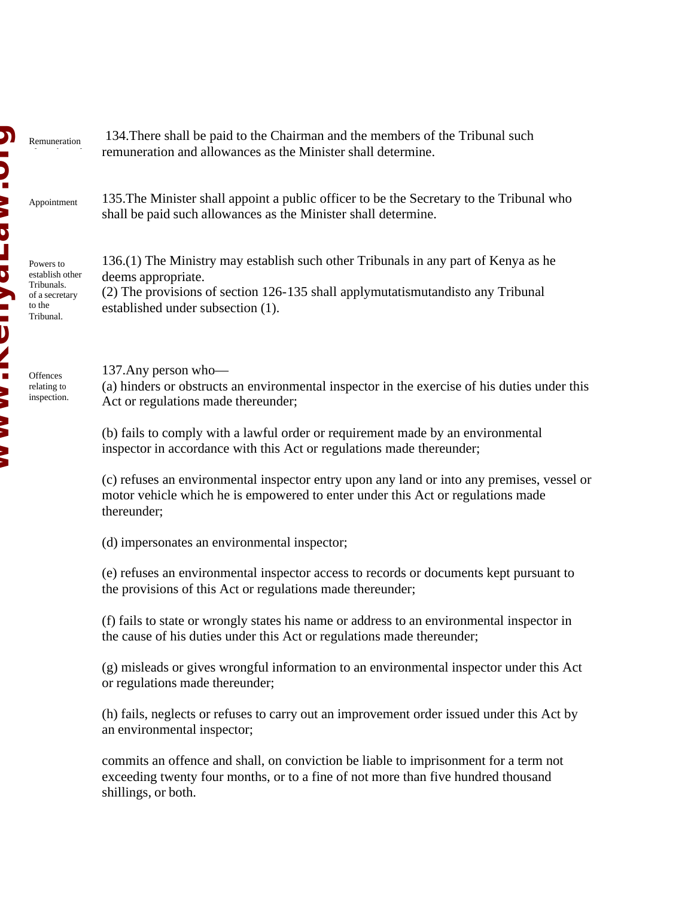Appointment

Powers to

Tribunals. of a secretary to the Tribunal.

**Offences** relating to inspection.

remuneration and allowances as the Minister shall determine. shall be paid such allowances as the Minister shall determine. 136.(1) The Ministry may establish such other Tribunals in any part of Kenya as he deems appropriate. (2) The provisions of section 126-135 shall applymutatismutandisto any Tribunal established under subsection (1). 137.Any person who— Act or regulations made thereunder; (b) fails to comply with a lawful order or requirement made by an environmental inspector in accordance with this Act or regulations made thereunder; motor vehicle which he is empowered to enter under this Act or regulations made thereunder; (d) impersonates an environmental inspector; the provisions of this Act or regulations made thereunder; the cause of his duties under this Act or regulations made thereunder; or regulations made thereunder; an environmental inspector; commits an offence and shall, on conviction be liable to imprisonment for a term not exceeding twenty four months, or to a fine of not more than five hundred thousand Remuneration establish other

134.There shall be paid to the Chairman and the members of the Tribunal such

135.The Minister shall appoint a public officer to be the Secretary to the Tribunal who

(a) hinders or obstructs an environmental inspector in the exercise of his duties under this

(c) refuses an environmental inspector entry upon any land or into any premises, vessel or

(e) refuses an environmental inspector access to records or documents kept pursuant to

(f) fails to state or wrongly states his name or address to an environmental inspector in

(g) misleads or gives wrongful information to an environmental inspector under this Act

(h) fails, neglects or refuses to carry out an improvement order issued under this Act by

shillings, or both.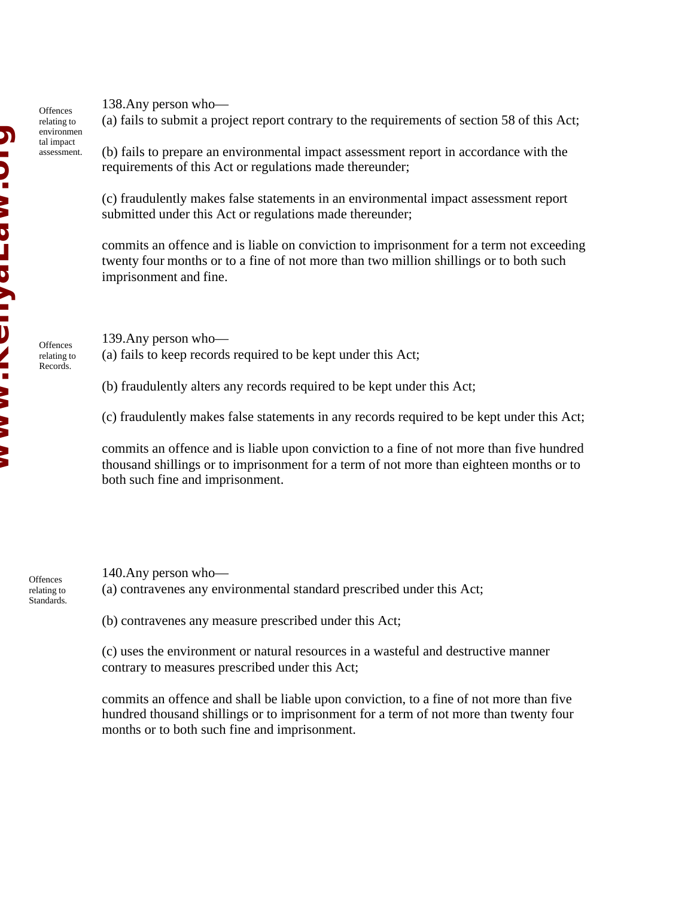**Offences** relating to environmen tal impact assessment.

**Offences** relating to Records.

138.Any person who—

(a) fails to submit a project report contrary to the requirements of section 58 of this Act;

(b) fails to prepare an environmental impact assessment report in accordance with the requirements of this Act or regulations made thereunder;

(c) fraudulently makes false statements in an environmental impact assessment report submitted under this Act or regulations made thereunder;

commits an offence and is liable on conviction to imprisonment for a term not exceeding twenty four months or to a fine of not more than two million shillings or to both such imprisonment and fine.

139.Any person who— (a) fails to keep records required to be kept under this Act;

(b) fraudulently alters any records required to be kept under this Act;

(c) fraudulently makes false statements in any records required to be kept under this Act;

commits an offence and is liable upon conviction to a fine of not more than five hundred thousand shillings or to imprisonment for a term of not more than eighteen months or to both such fine and imprisonment.

**Offences** relating to Standards.

140.Any person who— (a) contravenes any environmental standard prescribed under this Act;

(b) contravenes any measure prescribed under this Act;

(c) uses the environment or natural resources in a wasteful and destructive manner contrary to measures prescribed under this Act;

commits an offence and shall be liable upon conviction, to a fine of not more than five hundred thousand shillings or to imprisonment for a term of not more than twenty four months or to both such fine and imprisonment.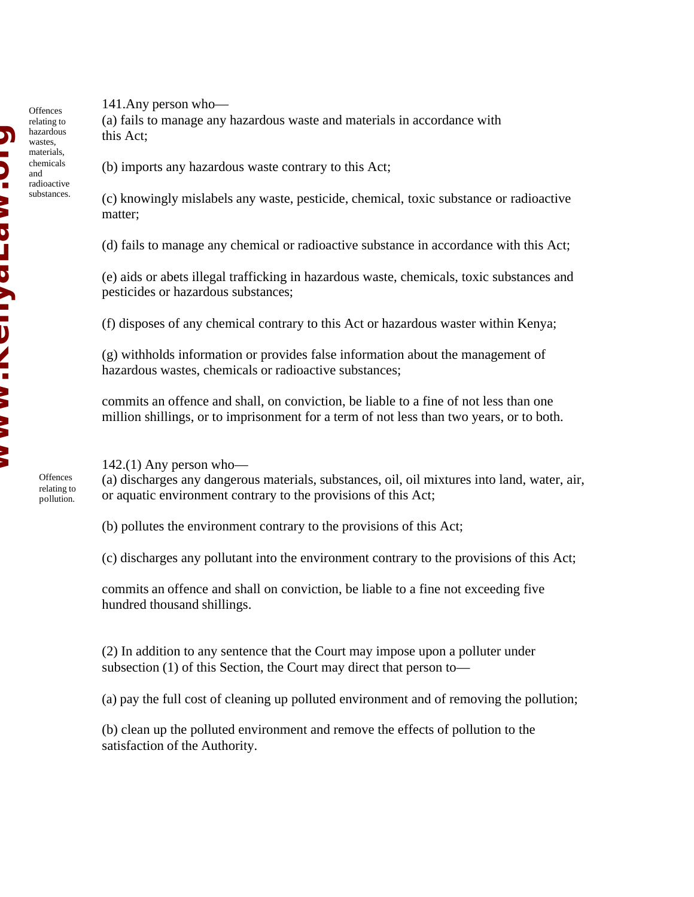141.Any person who—

(a) fails to manage any hazardous waste and materials in accordance with this Act;

(b) imports any hazardous waste contrary to this Act;

(c) knowingly mislabels any waste, pesticide, chemical, toxic substance or radioactive matter;

(d) fails to manage any chemical or radioactive substance in accordance with this Act;

(e) aids or abets illegal trafficking in hazardous waste, chemicals, toxic substances and pesticides or hazardous substances;

(f) disposes of any chemical contrary to this Act or hazardous waster within Kenya;

(g) withholds information or provides false information about the management of hazardous wastes, chemicals or radioactive substances;

commits an offence and shall, on conviction, be liable to a fine of not less than one million shillings, or to imprisonment for a term of not less than two years, or to both.

 $142(1)$  Any person who-

(a) discharges any dangerous materials, substances, oil, oil mixtures into land, water, air, or aquatic environment contrary to the provisions of this Act;

(b) pollutes the environment contrary to the provisions of this Act;

(c) discharges any pollutant into the environment contrary to the provisions of this Act;

commits an offence and shall on conviction, be liable to a fine not exceeding five hundred thousand shillings.

(2) In addition to any sentence that the Court may impose upon a polluter under subsection (1) of this Section, the Court may direct that person to—

(a) pay the full cost of cleaning up polluted environment and of removing the pollution;

(b) clean up the polluted environment and remove the effects of pollution to the satisfaction of the Authority.

**Offences** relating to hazardous wastes, materials, chemicals and radioactive substances.

> **Offences** relating to pollution.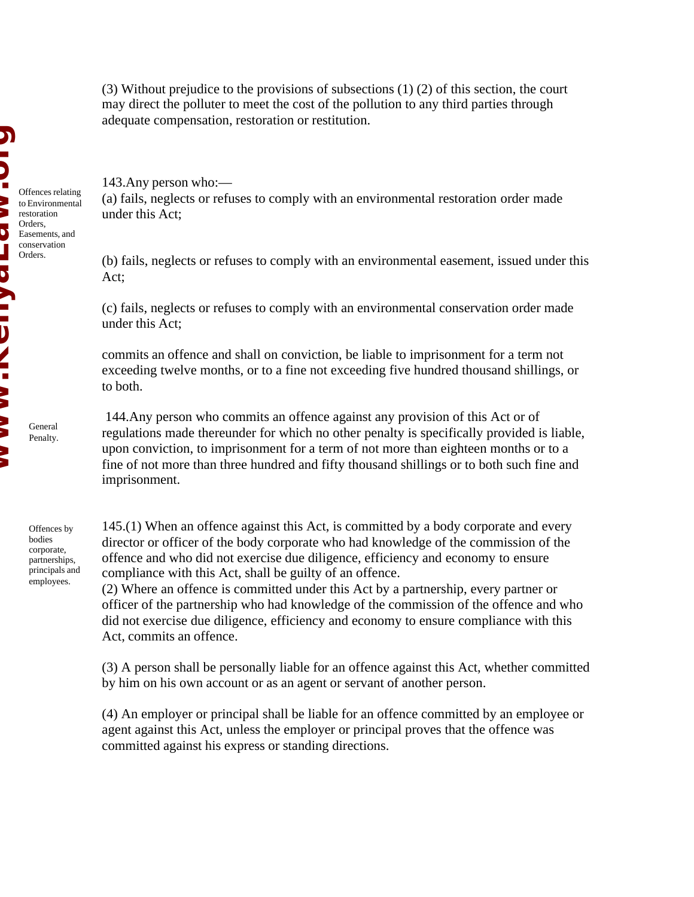(3) Without prejudice to the provisions of subsections (1) (2) of this section, the court may direct the polluter to meet the cost of the pollution to any third parties through adequate compensation, restoration or restitution.

143.Any person who:—

(a) fails, neglects or refuses to comply with an environmental restoration order made under this Act;

(b) fails, neglects or refuses to comply with an environmental easement, issued under this Act;

(c) fails, neglects or refuses to comply with an environmental conservation order made under this Act;

commits an offence and shall on conviction, be liable to imprisonment for a term not exceeding twelve months, or to a fine not exceeding five hundred thousand shillings, or to both.

 144.Any person who commits an offence against any provision of this Act or of regulations made thereunder for which no other penalty is specifically provided is liable, upon conviction, to imprisonment for a term of not more than eighteen months or to a fine of not more than three hundred and fifty thousand shillings or to both such fine and imprisonment.

Offences by bodies corporate, partnerships, principals and employees.

General Penalty.

> 145.(1) When an offence against this Act, is committed by a body corporate and every director or officer of the body corporate who had knowledge of the commission of the offence and who did not exercise due diligence, efficiency and economy to ensure compliance with this Act, shall be guilty of an offence.

(2) Where an offence is committed under this Act by a partnership, every partner or officer of the partnership who had knowledge of the commission of the offence and who did not exercise due diligence, efficiency and economy to ensure compliance with this Act, commits an offence.

(3) A person shall be personally liable for an offence against this Act, whether committed by him on his own account or as an agent or servant of another person.

(4) An employer or principal shall be liable for an offence committed by an employee or agent against this Act, unless the employer or principal proves that the offence was committed against his express or standing directions.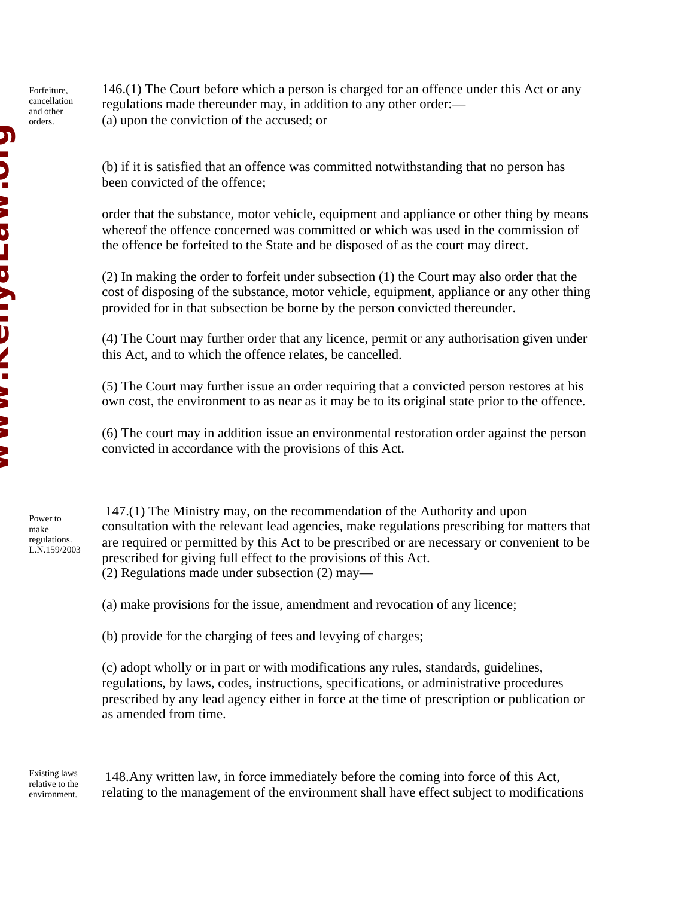Forfeiture, cancellation and other orders.

146.(1) The Court before which a person is charged for an offence under this Act or any regulations made thereunder may, in addition to any other order:— (a) upon the conviction of the accused; or

(b) if it is satisfied that an offence was committed notwithstanding that no person has been convicted of the offence;

order that the substance, motor vehicle, equipment and appliance or other thing by means whereof the offence concerned was committed or which was used in the commission of the offence be forfeited to the State and be disposed of as the court may direct.

(2) In making the order to forfeit under subsection (1) the Court may also order that the cost of disposing of the substance, motor vehicle, equipment, appliance or any other thing provided for in that subsection be borne by the person convicted thereunder.

(4) The Court may further order that any licence, permit or any authorisation given under this Act, and to which the offence relates, be cancelled.

(5) The Court may further issue an order requiring that a convicted person restores at his own cost, the environment to as near as it may be to its original state prior to the offence.

(6) The court may in addition issue an environmental restoration order against the person convicted in accordance with the provisions of this Act.

Power to make regulations. L.N.159/2003

 147.(1) The Ministry may, on the recommendation of the Authority and upon consultation with the relevant lead agencies, make regulations prescribing for matters that are required or permitted by this Act to be prescribed or are necessary or convenient to be prescribed for giving full effect to the provisions of this Act. (2) Regulations made under subsection (2) may—

(a) make provisions for the issue, amendment and revocation of any licence;

(b) provide for the charging of fees and levying of charges;

(c) adopt wholly or in part or with modifications any rules, standards, guidelines, regulations, by laws, codes, instructions, specifications, or administrative procedures prescribed by any lead agency either in force at the time of prescription or publication or as amended from time.

Existing laws relative to the environment.

 148.Any written law, in force immediately before the coming into force of this Act, relating to the management of the environment shall have effect subject to modifications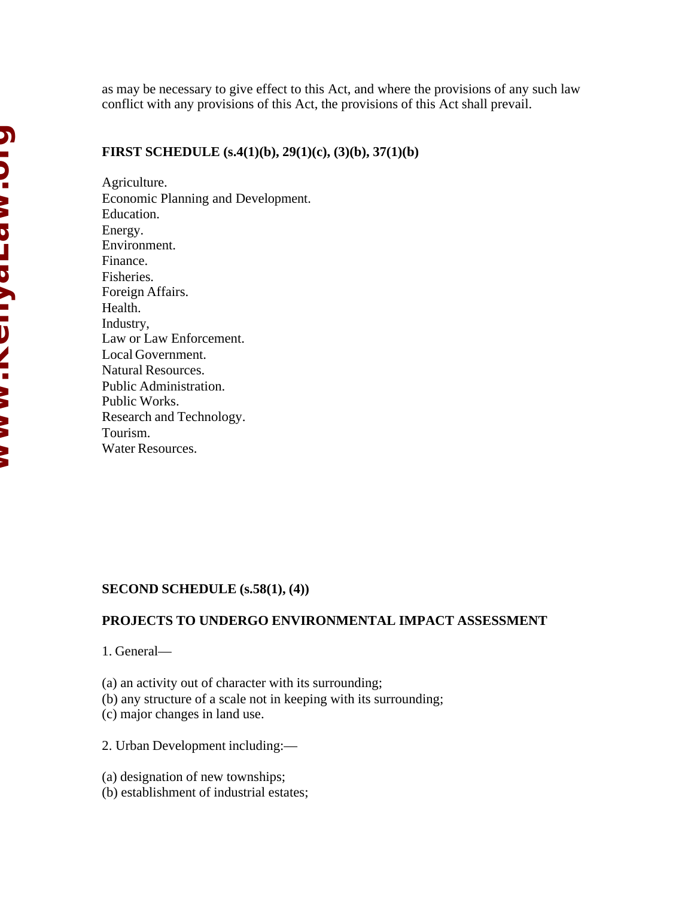as may be necessary to give effect to this Act, and where the provisions of any such law conflict with any provisions of this Act, the provisions of this Act shall prevail.

## **FIRST SCHEDULE (s.4(1)(b), 29(1)(c), (3)(b), 37(1)(b)**

Agriculture. Economic Planning and Development. Education. Energy. Environment. Finance. Fisheries. Foreign Affairs. Health. Industry, Law or Law Enforcement. Local Government. Natural Resources. Public Administration. Public Works. Research and Technology. Tourism. Water Resources.

## **SECOND SCHEDULE (s.58(1), (4))**

## **PROJECTS TO UNDERGO ENVIRONMENTAL IMPACT ASSESSMENT**

1. General—

(a) an activity out of character with its surrounding;

(b) any structure of a scale not in keeping with its surrounding;

(c) major changes in land use.

2. Urban Development including:—

(a) designation of new townships;

(b) establishment of industrial estates;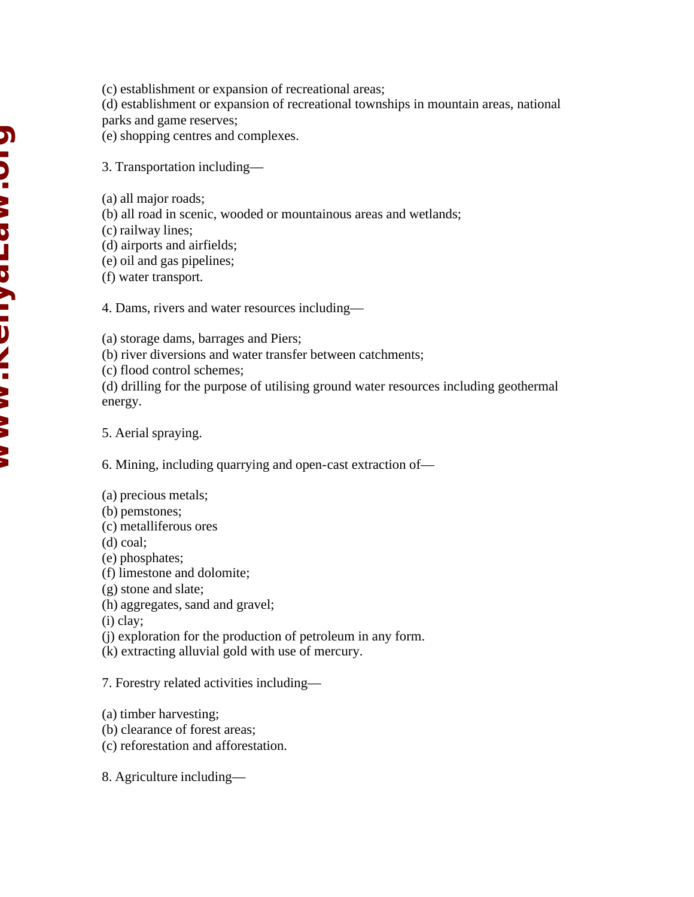- (c) establishment or expansion of recreational areas;
- (d) establishment or expansion of recreational townships in mountain areas, national parks and game reserves;
- (e) shopping centres and complexes.
- 3. Transportation including—
- (a) all major roads;
- (b) all road in scenic, wooded or mountainous areas and wetlands;
- (c) railway lines;
- (d) airports and airfields;
- (e) oil and gas pipelines;
- (f) water transport.

4. Dams, rivers and water resources including—

- (a) storage dams, barrages and Piers;
- (b) river diversions and water transfer between catchments;
- (c) flood control schemes;
- (d) drilling for the purpose of utilising ground water resources including geothermal energy.

5. Aerial spraying.

6. Mining, including quarrying and open-cast extraction of—

- (a) precious metals;
- (b) pemstones;
- (c) metalliferous ores
- (d) coal;
- (e) phosphates;
- (f) limestone and dolomite;
- (g) stone and slate;
- (h) aggregates, sand and gravel;
- (i) clay;
- (j) exploration for the production of petroleum in any form.
- (k) extracting alluvial gold with use of mercury.

7. Forestry related activities including—

- (a) timber harvesting;
- (b) clearance of forest areas;
- (c) reforestation and afforestation.
- 8. Agriculture including—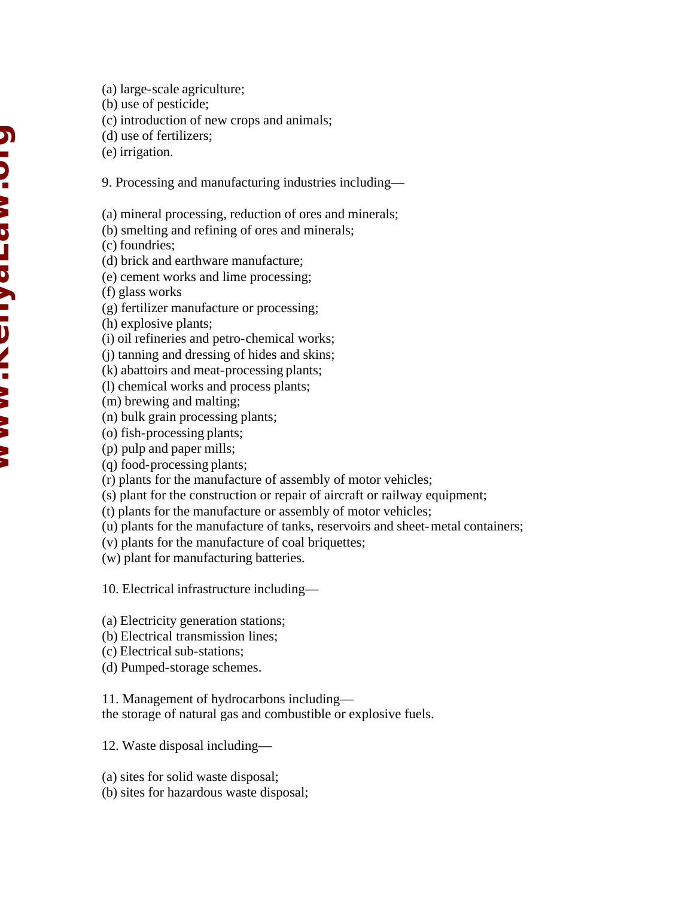- (a) large-scale agriculture;
- (b) use of pesticide;
- (c) introduction of new crops and animals;
- (d) use of fertilizers;
- (e) irrigation.

9. Processing and manufacturing industries including—

(a) mineral processing, reduction of ores and minerals;

- (b) smelting and refining of ores and minerals;
- (c) foundries;
- (d) brick and earthware manufacture;
- (e) cement works and lime processing;
- (f) glass works
- (g) fertilizer manufacture or processing;
- (h) explosive plants;
- (i) oil refineries and petro-chemical works;
- (j) tanning and dressing of hides and skins;
- (k) abattoirs and meat-processing plants;
- (l) chemical works and process plants;
- (m) brewing and malting;
- (n) bulk grain processing plants;
- (o) fish-processing plants;
- (p) pulp and paper mills;
- (q) food-processing plants;
- (r) plants for the manufacture of assembly of motor vehicles;
- (s) plant for the construction or repair of aircraft or railway equipment;
- (t) plants for the manufacture or assembly of motor vehicles;
- (u) plants for the manufacture of tanks, reservoirs and sheet-metal containers;
- (v) plants for the manufacture of coal briquettes;
- (w) plant for manufacturing batteries.

10. Electrical infrastructure including—

- (a) Electricity generation stations;
- (b) Electrical transmission lines;
- (c) Electrical sub-stations;
- (d) Pumped-storage schemes.

11. Management of hydrocarbons including the storage of natural gas and combustible or explosive fuels.

12. Waste disposal including—

- (a) sites for solid waste disposal;
- (b) sites for hazardous waste disposal;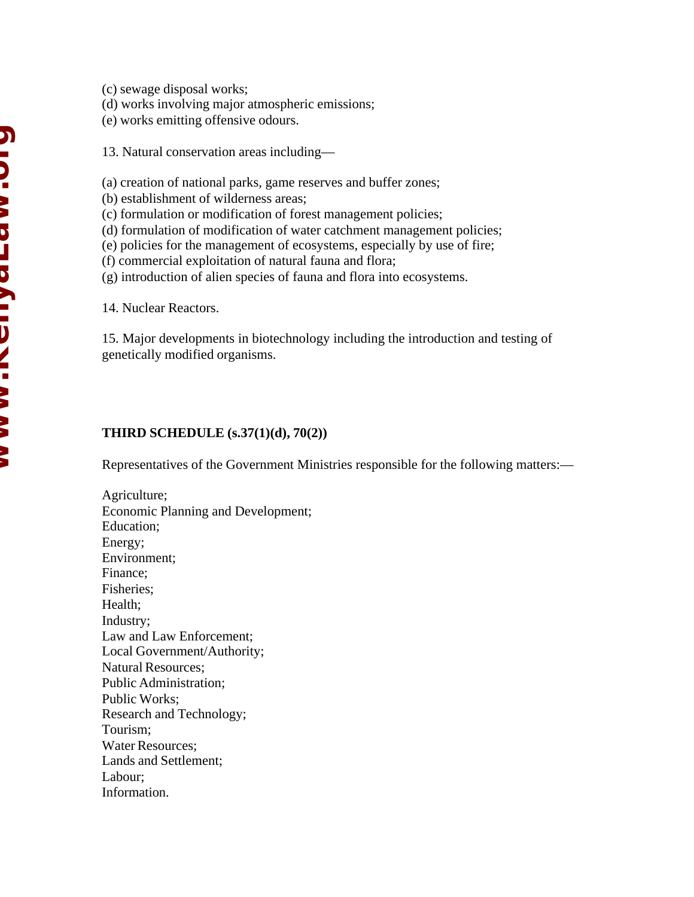- (c) sewage disposal works;
- (d) works involving major atmospheric emissions;
- (e) works emitting offensive odours.
- 13. Natural conservation areas including—
- (a) creation of national parks, game reserves and buffer zones;
- (b) establishment of wilderness areas;
- (c) formulation or modification of forest management policies;
- (d) formulation of modification of water catchment management policies;
- (e) policies for the management of ecosystems, especially by use of fire;
- (f) commercial exploitation of natural fauna and flora;
- (g) introduction of alien species of fauna and flora into ecosystems.

14. Nuclear Reactors.

15. Major developments in biotechnology including the introduction and testing of genetically modified organisms.

## **THIRD SCHEDULE (s.37(1)(d), 70(2))**

Representatives of the Government Ministries responsible for the following matters:—

Agriculture; Economic Planning and Development; Education; Energy; Environment; Finance; Fisheries; Health; Industry; Law and Law Enforcement; Local Government/Authority; Natural Resources; Public Administration; Public Works; Research and Technology; Tourism; Water Resources; Lands and Settlement; Labour; Information.